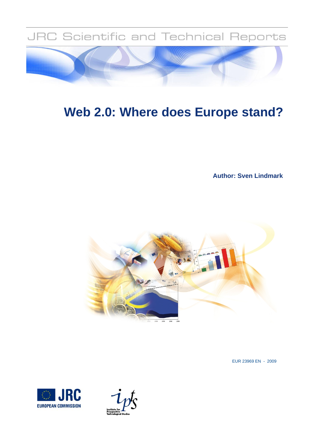

# **Web 2.0: Where does Europe stand?**

**Author: Sven Lindmark**



EUR 23969 EN - 2009



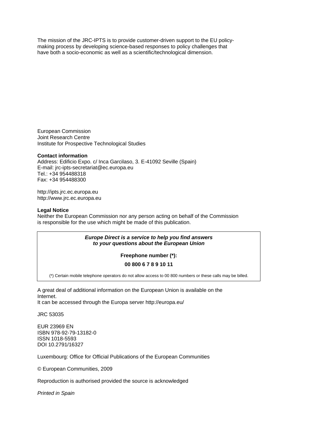The mission of the JRC-IPTS is to provide customer-driven support to the EU policymaking process by developing science-based responses to policy challenges that have both a socio-economic as well as a scientific/technological dimension.

European Commission Joint Research Centre Institute for Prospective Technological Studies

#### **Contact information**

Address: Edificio Expo. c/ Inca Garcilaso, 3. E-41092 Seville (Spain) E-mail: jrc-ipts-secretariat@ec.europa.eu Tel.: +34 954488318 Fax: +34 954488300

http://ipts.jrc.ec.europa.eu http://www.jrc.ec.europa.eu

#### **Legal Notice**

Neither the European Commission nor any person acting on behalf of the Commission is responsible for the use which might be made of this publication.

> *Europe Direct is a service to help you find answers to your questions about the European Union*

> > **Freephone number (\*):**

#### **00 800 6 7 8 9 10 11**

(\*) Certain mobile telephone operators do not allow access to 00 800 numbers or these calls may be billed.

A great deal of additional information on the European Union is available on the Internet. It can be accessed through the Europa server http://europa.eu/

JRC 53035

EUR 23969 EN ISBN 978-92-79-13182-0 ISSN 1018-5593 DOI 10.2791/16327

Luxembourg: Office for Official Publications of the European Communities

© European Communities, 2009

Reproduction is authorised provided the source is acknowledged

*Printed in Spain*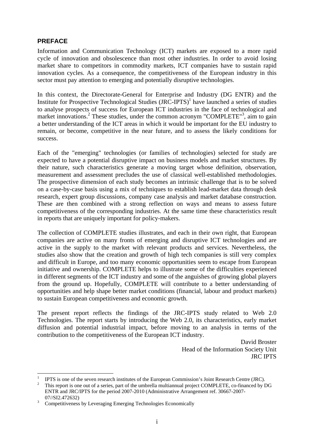### **PREFACE**

1

Information and Communication Technology (ICT) markets are exposed to a more rapid cycle of innovation and obsolescence than most other industries. In order to avoid losing market share to competitors in commodity markets, ICT companies have to sustain rapid innovation cycles. As a consequence, the competitiveness of the European industry in this sector must pay attention to emerging and potentially disruptive technologies.

In this context, the Directorate-General for Enterprise and Industry (DG ENTR) and the Institute for Prospective Technological Studies (JRC-IPTS)<sup>1</sup> have launched a series of studies to analyse prospects of success for European ICT industries in the face of technological and market innovations.<sup>2</sup> These studies, under the common acronym "COMPLETE"<sup>3</sup>, aim to gain a better understanding of the ICT areas in which it would be important for the EU industry to remain, or become, competitive in the near future, and to assess the likely conditions for success.

Each of the "emerging" technologies (or families of technologies) selected for study are expected to have a potential disruptive impact on business models and market structures. By their nature, such characteristics generate a moving target whose definition, observation, measurement and assessment precludes the use of classical well-established methodologies. The prospective dimension of each study becomes an intrinsic challenge that is to be solved on a case-by-case basis using a mix of techniques to establish lead-market data through desk research, expert group discussions, company case analysis and market database construction. These are then combined with a strong reflection on ways and means to assess future competitiveness of the corresponding industries. At the same time these characteristics result in reports that are uniquely important for policy-makers.

The collection of COMPLETE studies illustrates, and each in their own right, that European companies are active on many fronts of emerging and disruptive ICT technologies and are active in the supply to the market with relevant products and services. Nevertheless, the studies also show that the creation and growth of high tech companies is still very complex and difficult in Europe, and too many economic opportunities seem to escape from European initiative and ownership. COMPLETE helps to illustrate some of the difficulties experienced in different segments of the ICT industry and some of the anguishes of growing global players from the ground up. Hopefully, COMPLETE will contribute to a better understanding of opportunities and help shape better market conditions (financial, labour and product markets) to sustain European competitiveness and economic growth.

The present report reflects the findings of the JRC-IPTS study related to Web 2.0 Technologies. The report starts by introducing the Web 2.0, its characteristics, early market diffusion and potential industrial impact, before moving to an analysis in terms of the contribution to the competitiveness of the European ICT industry.

> David Broster Head of the Information Society Unit JRC IPTS

<sup>1</sup> <sup>1</sup> IPTS is one of the seven research institutes of the European Commission's Joint Research Centre (JRC).<br><sup>2</sup> This generaties are substituted a series next of the umbrells multiennual project COMPLETE as financed by L

This report is one out of a series, part of the umbrella multiannual project COMPLETE, co-financed by DG ENTR and JRC/IPTS for the period 2007-2010 (Administrative Arrangement ref. 30667-2007- 07//SI2.472632) 3

Competitiveness by Leveraging Emerging Technologies Economically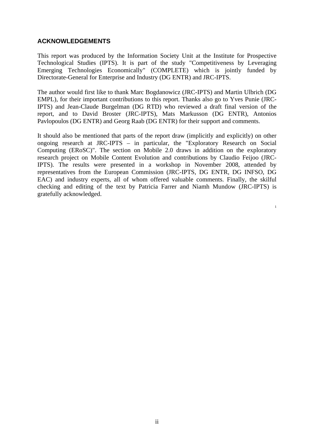### **ACKNOWLEDGEMENTS**

This report was produced by the Information Society Unit at the Institute for Prospective Technological Studies (IPTS). It is part of the study "Competitiveness by Leveraging Emerging Technologies Economically" (COMPLETE) which is jointly funded by Directorate-General for Enterprise and Industry (DG ENTR) and JRC-IPTS.

The author would first like to thank Marc Bogdanowicz (JRC-IPTS) and Martin Ulbrich (DG EMPL), for their important contributions to this report. Thanks also go to Yves Punie (JRC-IPTS) and Jean-Claude Burgelman (DG RTD) who reviewed a draft final version of the report, and to David Broster (JRC-IPTS), Mats Markusson (DG ENTR), Antonios Pavlopoulos (DG ENTR) and Georg Raab (DG ENTR) for their support and comments.

It should also be mentioned that parts of the report draw (implicitly and explicitly) on other ongoing research at JRC-IPTS – in particular, the "Exploratory Research on Social Computing (ERoSC)". The section on Mobile 2.0 draws in addition on the exploratory research project on Mobile Content Evolution and contributions by Claudio Feijoo (JRC-IPTS). The results were presented in a workshop in November 2008, attended by representatives from the European Commission (JRC-IPTS, DG ENTR, DG INFSO, DG EAC) and industry experts, all of whom offered valuable comments. Finally, the skilful checking and editing of the text by Patricia Farrer and Niamh Mundow (JRC-IPTS) is gratefully acknowledged.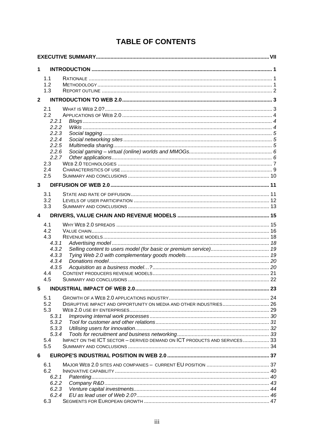# **TABLE OF CONTENTS**

| $\mathbf 1$    |                |                                                                           |    |
|----------------|----------------|---------------------------------------------------------------------------|----|
|                | 1.1            |                                                                           |    |
|                | 1.2            |                                                                           |    |
|                | 1.3            |                                                                           |    |
| $\mathbf{2}$   |                |                                                                           |    |
|                | 2.1            |                                                                           |    |
|                | 2.2            |                                                                           |    |
|                | 2.2.1          |                                                                           |    |
|                | 2.2.2          |                                                                           |    |
|                | 2.2.3          |                                                                           |    |
|                | 2.2.4          |                                                                           |    |
|                | 2.2.5          |                                                                           |    |
|                | 2.2.6          |                                                                           |    |
|                | 2.2.7          |                                                                           |    |
|                | 2.3            |                                                                           |    |
|                | 2.4<br>2.5     |                                                                           |    |
|                |                |                                                                           |    |
| $\overline{3}$ |                |                                                                           |    |
|                | 3.1            |                                                                           |    |
|                | 3.2            |                                                                           |    |
|                | 3.3            |                                                                           |    |
| 4              |                |                                                                           |    |
|                | 4.1            |                                                                           |    |
|                | 4.2            |                                                                           |    |
|                | 4.3            |                                                                           |    |
|                | 4.3.1          |                                                                           |    |
|                | 4.3.2          |                                                                           |    |
|                | 4.3.3          |                                                                           |    |
|                | 4.3.4<br>4.3.5 |                                                                           |    |
|                | 4.4            |                                                                           |    |
|                | 4.5            |                                                                           |    |
| 5              |                | <b>INDUSTRIAL IMPACT OF WEB 2.0</b>                                       | 23 |
|                |                |                                                                           |    |
|                | 5.1<br>5.2     | DISRUPTIVE IMPACT AND OPPORTUNITY ON MEDIA AND OTHER INDUSTRIES 26        |    |
|                | 5.3            |                                                                           |    |
|                | 5.3.1          |                                                                           |    |
|                | 5.3.2          |                                                                           |    |
|                | 5.3.3          |                                                                           |    |
|                | 5.3.4          |                                                                           |    |
|                | 5.4            | IMPACT ON THE ICT SECTOR - DERIVED DEMAND ON ICT PRODUCTS AND SERVICES 33 |    |
|                | 5.5            |                                                                           |    |
| 6              |                |                                                                           |    |
|                | 6.1            |                                                                           |    |
|                | 6.2            |                                                                           |    |
|                | 6.2.1          |                                                                           |    |
|                | 6.2.2          |                                                                           |    |
|                | 6.2.3          |                                                                           |    |
|                | 6.2.4<br>6.3   |                                                                           |    |
|                |                |                                                                           |    |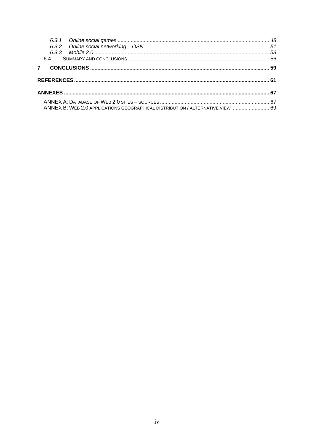|             | 64 |                                                                                |  |
|-------------|----|--------------------------------------------------------------------------------|--|
| $7^{\circ}$ |    |                                                                                |  |
|             |    |                                                                                |  |
|             |    |                                                                                |  |
|             |    | ANNEX B: WEB 2.0 APPLICATIONS GEOGRAPHICAL DISTRIBUTION / ALTERNATIVE VIEW  69 |  |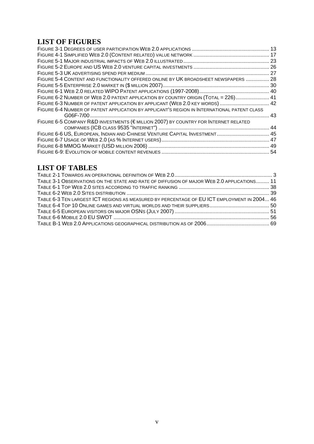# **LIST OF FIGURES**

| FIGURE 5-4 CONTENT AND FUNCTIONALITY OFFERED ONLINE BY UK BROADSHEET NEWSPAPERS  28         |     |
|---------------------------------------------------------------------------------------------|-----|
|                                                                                             |     |
|                                                                                             |     |
| FIGURE 6-2 NUMBER OF WEB 2.0 PATENT APPLICATION BY COUNTRY ORIGIN (TOTAL = 226) 41          |     |
| FIGURE 6-3 NUMBER OF PATENT APPLICATION BY APPLICANT (WEB 2.0 KEY WORDS)  42                |     |
| FIGURE 6-4 NUMBER OF PATENT APPLICATION BY APPLICANT'S REGION IN INTERNATIONAL PATENT CLASS |     |
|                                                                                             | .43 |
| FIGURE 6-5 COMPANY R&D INVESTMENTS (€MILLION 2007) BY COUNTRY FOR INTERNET RELATED          |     |
|                                                                                             |     |
| FIGURE 6-6 US, EUROPEAN, INDIAN AND CHINESE VENTURE CAPITAL INVESTMENT 45                   |     |
|                                                                                             |     |
|                                                                                             |     |
|                                                                                             |     |

# **LIST OF TABLES**

| TABLE 3-1 OBSERVATIONS ON THE STATE AND RATE OF DIFFUSION OF MAJOR WEB 2.0 APPLICATIONS 11  |  |
|---------------------------------------------------------------------------------------------|--|
|                                                                                             |  |
|                                                                                             |  |
| TABLE 6-3 TEN LARGEST ICT REGIONS AS MEASURED BY PERCENTAGE OF EU ICT EMPLOYMENT IN 2004 46 |  |
|                                                                                             |  |
|                                                                                             |  |
|                                                                                             |  |
|                                                                                             |  |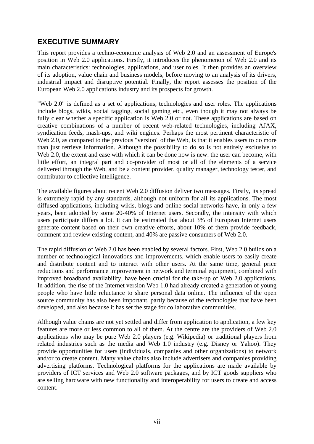# **EXECUTIVE SUMMARY**

This report provides a techno-economic analysis of Web 2.0 and an assessment of Europe's position in Web 2.0 applications. Firstly, it introduces the phenomenon of Web 2.0 and its main characteristics: technologies, applications, and user roles. It then provides an overview of its adoption, value chain and business models, before moving to an analysis of its drivers, industrial impact and disruptive potential. Finally, the report assesses the position of the European Web 2.0 applications industry and its prospects for growth.

"Web 2.0" is defined as a set of applications, technologies and user roles. The applications include blogs, wikis, social tagging, social gaming etc., even though it may not always be fully clear whether a specific application is Web 2.0 or not. These applications are based on creative combinations of a number of recent web-related technologies, including AJAX, syndication feeds, mash-ups, and wiki engines. Perhaps the most pertinent characteristic of Web 2.0, as compared to the previous "version" of the Web, is that it enables users to do more than just retrieve information. Although the possibility to do so is not entirely exclusive to Web 2.0, the extent and ease with which it can be done now is new: the user can become, with little effort, an integral part and co-provider of most or all of the elements of a service delivered through the Web, and be a content provider, quality manager, technology tester, and contributor to collective intelligence.

The available figures about recent Web 2.0 diffusion deliver two messages. Firstly, its spread is extremely rapid by any standards, although not uniform for all its applications. The most diffused applications, including wikis, blogs and online social networks have, in only a few years, been adopted by some 20-40% of Internet users. Secondly, the intensity with which users participate differs a lot. It can be estimated that about 3% of European Internet users generate content based on their own creative efforts, about 10% of them provide feedback, comment and review existing content, and 40% are passive consumers of Web 2.0.

The rapid diffusion of Web 2.0 has been enabled by several factors. First, Web 2.0 builds on a number of technological innovations and improvements, which enable users to easily create and distribute content and to interact with other users. At the same time, general price reductions and performance improvement in network and terminal equipment, combined with improved broadband availability, have been crucial for the take-up of Web 2.0 applications. In addition, the rise of the Internet version Web 1.0 had already created a generation of young people who have little reluctance to share personal data online. The influence of the open source community has also been important, partly because of the technologies that have been developed, and also because it has set the stage for collaborative communities.

Although value chains are not yet settled and differ from application to application, a few key features are more or less common to all of them. At the centre are the providers of Web 2.0 applications who may be pure Web 2.0 players (e.g. Wikipedia) or traditional players from related industries such as the media and Web 1.0 industry (e.g. Disney or Yahoo). They provide opportunities for users (individuals, companies and other organizations) to network and/or to create content. Many value chains also include advertisers and companies providing advertising platforms. Technological platforms for the applications are made available by providers of ICT services and Web 2.0 software packages, and by ICT goods suppliers who are selling hardware with new functionality and interoperability for users to create and access content.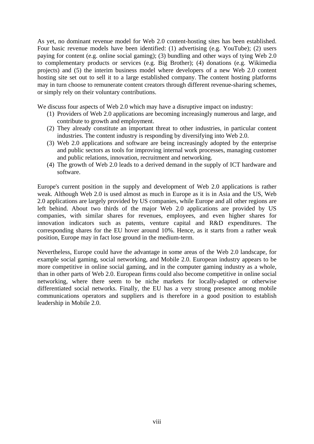As yet, no dominant revenue model for Web 2.0 content-hosting sites has been established. Four basic revenue models have been identified: (1) advertising (e.g. YouTube); (2) users paying for content (e.g. online social gaming); (3) bundling and other ways of tying Web 2.0 to complementary products or services (e.g. Big Brother); (4) donations (e.g. Wikimedia projects) and (5) the interim business model where developers of a new Web 2.0 content hosting site set out to sell it to a large established company. The content hosting platforms may in turn choose to remunerate content creators through different revenue-sharing schemes, or simply rely on their voluntary contributions.

We discuss four aspects of Web 2.0 which may have a disruptive impact on industry:

- (1) Providers of Web 2.0 applications are becoming increasingly numerous and large, and contribute to growth and employment.
- (2) They already constitute an important threat to other industries, in particular content industries. The content industry is responding by diversifying into Web 2.0.
- (3) Web 2.0 applications and software are being increasingly adopted by the enterprise and public sectors as tools for improving internal work processes, managing customer and public relations, innovation, recruitment and networking.
- (4) The growth of Web 2.0 leads to a derived demand in the supply of ICT hardware and software.

Europe's current position in the supply and development of Web 2.0 applications is rather weak. Although Web 2.0 is used almost as much in Europe as it is in Asia and the US, Web 2.0 applications are largely provided by US companies, while Europe and all other regions are left behind. About two thirds of the major Web 2.0 applications are provided by US companies, with similar shares for revenues, employees, and even higher shares for innovation indicators such as patents, venture capital and R&D expenditures. The corresponding shares for the EU hover around 10%. Hence, as it starts from a rather weak position, Europe may in fact lose ground in the medium-term.

Nevertheless, Europe could have the advantage in some areas of the Web 2.0 landscape, for example social gaming, social networking, and Mobile 2.0. European industry appears to be more competitive in online social gaming, and in the computer gaming industry as a whole, than in other parts of Web 2.0. European firms could also become competitive in online social networking, where there seem to be niche markets for locally-adapted or otherwise differentiated social networks. Finally, the EU has a very strong presence among mobile communications operators and suppliers and is therefore in a good position to establish leadership in Mobile 2.0.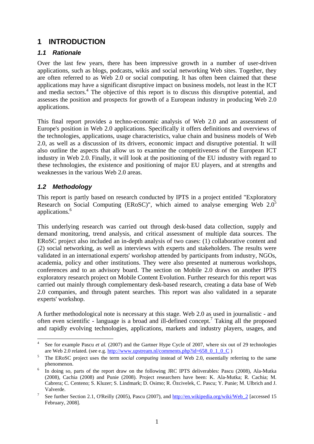# **1 INTRODUCTION**

### *1.1 Rationale*

Over the last few years, there has been impressive growth in a number of user-driven applications, such as blogs, podcasts, wikis and social networking Web sites. Together, they are often referred to as Web 2.0 or social computing. It has often been claimed that these applications may have a significant disruptive impact on business models, not least in the ICT and media sectors.<sup>4</sup> The objective of this report is to discuss this disruptive potential, and assesses the position and prospects for growth of a European industry in producing Web 2.0 applications.

This final report provides a techno-economic analysis of Web 2.0 and an assessment of Europe's position in Web 2.0 applications. Specifically it offers definitions and overviews of the technologies, applications, usage characteristics, value chain and business models of Web 2.0, as well as a discussion of its drivers, economic impact and disruptive potential. It will also outline the aspects that allow us to examine the competitiveness of the European ICT industry in Web 2.0. Finally, it will look at the positioning of the EU industry with regard to these technologies, the existence and positioning of major EU players, and at strengths and weaknesses in the various Web 2.0 areas.

### *1.2 Methodology*

1

This report is partly based on research conducted by IPTS in a project entitled "Exploratory Research on Social Computing (ERoSC)", which aimed to analyse emerging Web  $2.0^5$ applications.6

This underlying research was carried out through desk-based data collection, supply and demand monitoring, trend analysis, and critical assessment of multiple data sources. The ERoSC project also included an in-depth analysis of two cases: (1) collaborative content and (2) social networking, as well as interviews with experts and stakeholders. The results were validated in an international experts' workshop attended by participants from industry, NGOs, academia, policy and other institutions. They were also presented at numerous workshops, conferences and to an advisory board. The section on Mobile 2.0 draws on another IPTS exploratory research project on Mobile Content Evolution. Further research for this report was carried out mainly through complementary desk-based research, creating a data base of Web 2.0 companies, and through patent searches. This report was also validated in a separate experts' workshop.

A further methodological note is necessary at this stage. Web 2.0 as used in journalistic - and often even scientific - language is a broad and ill-defined concept.<sup>7</sup> Taking all the proposed and rapidly evolving technologies, applications, markets and industry players, usages, and

<sup>4</sup> See for example Pascu *et al.* (2007) and the Gartner Hype Cycle of 2007, where six out of 29 technologies are Web 2.0 related. (see e.g.  $\frac{http://www.upstream.nl/comments.php?id=658_010_C }{5}$   $\frac{5}{3}$   $\frac{m}{5}$   $\frac{m}{5}$  50.50

The ERoSC project uses the term *social computing* instead of Web 2.0, essentially referring to the same phenomenon.

In doing so, parts of the report draw on the following JRC IPTS deliverables: Pascu (2008), Ala-Mutka (2008), Cachia (2008) and Punie (2008). Project researchers have been: K. Ala-Mutka; R. Cachia; M. Cabrera; C. Centeno; S. Kluzer; S. Lindmark; D. Osimo; R. Özcivelek, C. Pascu; Y. Punie; M. Ulbrich and J. Valverde.

See further Section 2.1, O'Reilly (2005), Pascu (2007), and http://en.wikipedia.org/wiki/Web\_2 [accessed 15 February, 2008].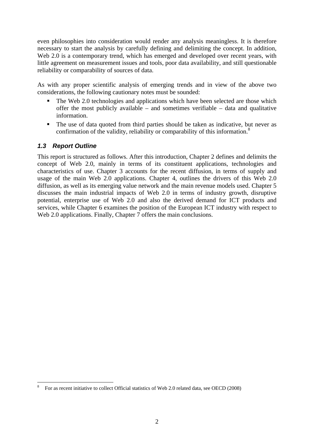even philosophies into consideration would render any analysis meaningless. It is therefore necessary to start the analysis by carefully defining and delimiting the concept. In addition, Web 2.0 is a contemporary trend, which has emerged and developed over recent years, with little agreement on measurement issues and tools, poor data availability, and still questionable reliability or comparability of sources of data.

As with any proper scientific analysis of emerging trends and in view of the above two considerations, the following cautionary notes must be sounded:

- The Web 2.0 technologies and applications which have been selected are those which offer the most publicly available – and sometimes verifiable – data and qualitative information.
- The use of data quoted from third parties should be taken as indicative, but never as confirmation of the validity, reliability or comparability of this information. $8$

### *1.3 Report Outline*

1

This report is structured as follows. After this introduction, Chapter 2 defines and delimits the concept of Web 2.0, mainly in terms of its constituent applications, technologies and characteristics of use. Chapter 3 accounts for the recent diffusion, in terms of supply and usage of the main Web 2.0 applications. Chapter 4, outlines the drivers of this Web 2.0 diffusion, as well as its emerging value network and the main revenue models used. Chapter 5 discusses the main industrial impacts of Web 2.0 in terms of industry growth, disruptive potential, enterprise use of Web 2.0 and also the derived demand for ICT products and services, while Chapter 6 examines the position of the European ICT industry with respect to Web 2.0 applications. Finally, Chapter 7 offers the main conclusions.

<sup>8</sup> For as recent initiative to collect Official statistics of Web 2.0 related data, see OECD (2008)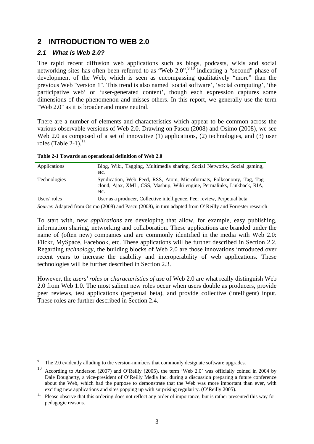# **2 INTRODUCTION TO WEB 2.0**

### *2.1 What is Web 2.0?*

The rapid recent diffusion web applications such as blogs, podcasts, wikis and social networking sites has often been referred to as "Web 2.0",<sup>9,10</sup> indicating a "second" phase of development of the Web, which is seen as encompassing qualitatively "more" than the previous Web "version 1". This trend is also named 'social software', 'social computing', 'the participative web' or 'user-generated content', though each expression captures some dimensions of the phenomenon and misses others. In this report, we generally use the term "Web 2.0" as it is broader and more neutral.

There are a number of elements and characteristics which appear to be common across the various observable versions of Web 2.0. Drawing on Pascu (2008) and Osimo (2008), we see Web 2.0 as composed of a set of innovative (1) applications, (2) technologies, and (3) user roles (Table 2-1). $^{11}$ 

| Applications              | Blog, Wiki, Tagging, Multimedia sharing, Social Networks, Social gaming,<br>etc.                                                                       |
|---------------------------|--------------------------------------------------------------------------------------------------------------------------------------------------------|
| <b>Technologies</b>       | Syndication, Web Feed, RSS, Atom, Microformats, Folksonomy, Tag, Tag<br>cloud, Ajax, XML, CSS, Mashup, Wiki engine, Permalinks, Linkback, RIA,<br>etc. |
| Users' roles              | User as a producer, Collective intelligence, Peer review, Perpetual beta                                                                               |
| $\cdots$<br>$\sim$ $\sim$ | (0.000)<br>$1.7$ $(2000)^2$ , $1 \cdot 1$ $(1)$ $(1)$ $(1)$                                                                                            |

**Table 2-1 Towards an operational definition of Web 2.0** 

*Source*: Adapted from Osimo (2008) and Pascu (2008), in turn adapted from O' Reilly and Forrester research

To start with, new *applications* are developing that allow, for example, easy publishing, information sharing, networking and collaboration. These applications are branded under the name of (often new) companies and are commonly identified in the media with Web 2.0: Flickr, MySpace, Facebook, etc. These applications will be further described in Section 2.2. Regarding *technology*, the building blocks of Web 2.0 are those innovations introduced over recent years to increase the usability and interoperability of web applications. These technologies will be further described in Section 2.3.

However, the *users' roles* or *characteristics of use* of Web 2.0 are what really distinguish Web 2.0 from Web 1.0. The most salient new roles occur when users double as producers, provide peer reviews, test applications (perpetual beta), and provide collective (intelligent) input. These roles are further described in Section 2.4.

<sup>1</sup> 9 The 2.0 evidently alluding to the version-numbers that commonly designate software upgrades.

<sup>10</sup> According to Anderson (2007) and O'Reilly (2005), the term 'Web 2.0' was officially coined in 2004 by Dale Dougherty, a vice-president of O'Reilly Media Inc. during a discussion preparing a future conference about the Web, which had the purpose to demonstrate that the Web was more important than ever, with exciting new applications and sites popping up with surprising regularity. (O'Reilly 2005).<br><sup>11</sup> Please observe that this ordering does not reflect any order of importance, but is rather presented this way for

pedagogic reasons.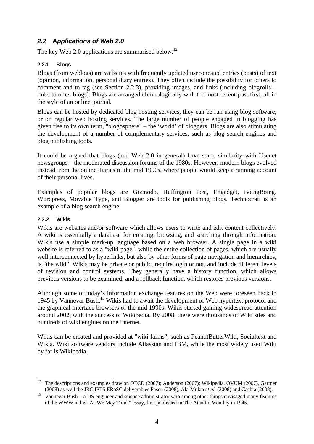### *2.2 Applications of Web 2.0*

The key Web 2.0 applications are summarised below.<sup>12</sup>

### **2.2.1 Blogs**

Blogs (from weblogs) are websites with frequently updated user-created entries (posts) of text (opinion, information, personal diary entries). They often include the possibility for others to comment and to tag (see Section 2.2.3), providing images, and links (including blogrolls – links to other blogs). Blogs are arranged chronologically with the most recent post first, all in the style of an online journal.

Blogs can be hosted by dedicated blog hosting services, they can be run using blog software, or on regular web hosting services. The large number of people engaged in blogging has given rise to its own term, "blogosphere" – the 'world' of bloggers. Blogs are also stimulating the development of a number of complementary services, such as blog search engines and blog publishing tools.

It could be argued that blogs (and Web 2.0 in general) have some similarity with Usenet newsgroups – the moderated discussion forums of the 1980s. However, modern blogs evolved instead from the online diaries of the mid 1990s, where people would keep a running account of their personal lives.

Examples of popular blogs are Gizmodo, Huffington Post, Engadget, BoingBoing. Wordpress, Movable Type, and Blogger are tools for publishing blogs. Technocrati is an example of a blog search engine.

### **2.2.2 Wikis**

1

Wikis are websites and/or software which allows users to write and edit content collectively. A wiki is essentially a database for creating, browsing, and searching through information. Wikis use a simple mark-up language based on a web browser. A single page in a wiki website is referred to as a "wiki page", while the entire collection of pages, which are usually well interconnected by hyperlinks, but also by other forms of page navigation and hierarchies, is "the wiki". Wikis may be private or public, require login or not, and include different levels of revision and control systems. They generally have a history function, which allows previous versions to be examined, and a rollback function, which restores previous versions.

Although some of today's information exchange features on the Web were foreseen back in 1945 by Vannevar Bush,13 Wikis had to await the development of Web hypertext protocol and the graphical interface browsers of the mid 1990s. Wikis started gaining widespread attention around 2002, with the success of Wikipedia. By 2008, there were thousands of Wiki sites and hundreds of wiki engines on the Internet.

Wikis can be created and provided at "wiki farms", such as PeanutButterWiki, Socialtext and Wikia. Wiki software vendors include Atlassian and IBM, while the most widely used Wiki by far is Wikipedia.

<sup>&</sup>lt;sup>12</sup> The descriptions and examples draw on OECD (2007); Anderson (2007); Wikipedia, OVUM (2007), Gartner (2008) as well the JRC IPTS ERoSC deliverables Pascu (2008), Ala-Mukta *et al.* (2008) and Cachia (2008). 13 Vannevar Bush – a US engineer and science administrator who among other things envisaged many features

of the WWW in his "As We May Think" essay, first published in The Atlantic Monthly in 1945.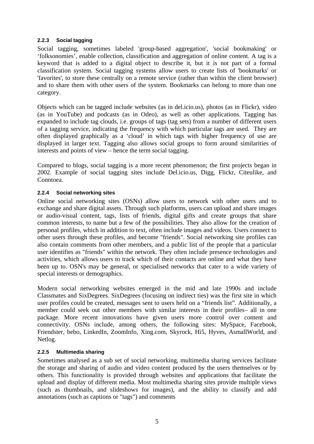### **2.2.3 Social tagging**

Social tagging, sometimes labeled 'group-based aggregation', 'social bookmaking' or 'folksonomies', enable collection, classification and aggregation of online content. A tag is a keyword that is added to a digital object to describe it, but it is not part of a formal classification system. Social tagging systems allow users to create lists of 'bookmarks' or 'favorites', to store these centrally on a remote service (rather than within the client browser) and to share them with other users of the system. Bookmarks can belong to more than one category.

Objects which can be tagged include websites (as in del.icio.us), photos (as in Flickr), video (as in YouTube) and podcasts (as in Odeo), as well as other applications. Tagging has expanded to include tag clouds, i.e. groups of tags (tag sets) from a number of different users of a tagging service, indicating the frequency with which particular tags are used. They are often displayed graphically as a 'cloud' in which tags with higher frequency of use are displayed in larger text. Tagging also allows social groups to form around similarities of interests and points of view – hence the term social tagging.

Compared to blogs, social tagging is a more recent phenomenon; the first projects began in 2002. Example of social tagging sites include Del.icio.us, Digg, Flickr, Citeulike, and Conntoea.

### **2.2.4 Social networking sites**

Online social networking sites (OSNs) allow users to network with other users and to exchange and share digital assets. Through such platforms, users can upload and share images or audio-visual content, tags, lists of friends, digital gifts and create groups that share common interests, to name but a few of the possibilities. They also allow for the creation of personal profiles, which in addition to text, often include images and videos. Users connect to other users through these profiles, and become "friends". Social networking site profiles can also contain comments from other members, and a public list of the people that a particular user identifies as "friends" within the network. They often include presence technologies and activities, which allows users to track which of their contacts are online and what they have been up to. OSN's may be general, or specialised networks that cater to a wide variety of special interests or demographics.

Modern social networking websites emerged in the mid and late 1990s and include Classmates and SixDegrees. SixDegrees (focusing on indirect ties) was the first site in which user profiles could be created, messages sent to users held on a "friends list". Additionally, a member could seek out other members with similar interests in their profiles– all in one package. More recent innovations have given users more control over content and connectivity. OSNs include, among others, the following sites: MySpace, Facebook, Friendster, bebo, LinkedIn, ZoomInfo, Xing.com, Skyrock, Hi5, Hyves, AsmallWorld, and Netlog.

### **2.2.5 Multimedia sharing**

Sometimes analysed as a sub set of social networking, multimedia sharing services facilitate the storage and sharing of audio and video content produced by the users themselves or by others. This functionality is provided through websites and applications that facilitate the upload and display of different media. Most multimedia sharing sites provide multiple views (such as thumbnails, and slideshows for images), and the ability to classify and add annotations (such as captions or "tags") and comments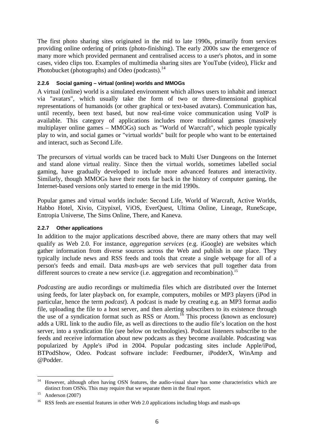The first photo sharing sites originated in the mid to late 1990s, primarily from services providing online ordering of prints (photo-finishing). The early 2000s saw the emergence of many more which provided permanent and centralised access to a user's photos, and in some cases, video clips too. Examples of multimedia sharing sites are YouTube (video), Flickr and Photobucket (photographs) and Odeo (podcasts).<sup>14</sup>

### **2.2.6 Social gaming – virtual (online) worlds and MMOGs**

A virtual (online) world is a simulated environment which allows users to inhabit and interact via "avatars", which usually take the form of two or three-dimensional graphical representations of humanoids (or other graphical or text-based avatars). Communication has, until recently, been text based, but now real-time voice communication using VoIP is available. This category of applications includes more traditional games (massively multiplayer online games – MMOGs) such as "World of Warcraft", which people typically play to win, and social games or "virtual worlds" built for people who want to be entertained and interact, such as Second Life.

The precursors of virtual worlds can be traced back to Multi User Dungeons on the Internet and stand alone virtual reality. Since then the virtual worlds, sometimes labelled social gaming, have gradually developed to include more advanced features and interactivity. Similarly, though MMOGs have their roots far back in the history of computer gaming, the Internet-based versions only started to emerge in the mid 1990s.

Popular games and virtual worlds include: Second Life, World of Warcraft, Active Worlds, Habbo Hotel, Xivio, Citypixel, ViOS, EverQuest, Ultima Online, Lineage, RuneScape, Entropia Universe, The Sims Online, There, and Kaneva.

### **2.2.7 Other applications**

In addition to the major applications described above, there are many others that may well qualify as Web 2.0. For instance, *aggregation services* (e.g. iGoogle) are websites which gather information from diverse sources across the Web and publish in one place. They typically include news and RSS feeds and tools that create a single webpage for all of a person's feeds and email. Data *mash-ups* are web services that pull together data from different sources to create a new service (i.e. aggregation and recombination).<sup>15</sup>

*Podcasting* are audio recordings or multimedia files which are distributed over the Internet using feeds, for later playback on, for example, computers, mobiles or MP3 players (iPod in particular, hence the term *podcast*). A podcast is made by creating e.g. an MP3 format audio file, uploading the file to a host server, and then alerting subscribers to its existence through the use of a syndication format such as RSS or Atom.16 This process (known as enclosure) adds a URL link to the audio file, as well as directions to the audio file's location on the host server, into a syndication file (see below on technologies). Podcast listeners subscribe to the feeds and receive information about new podcasts as they become available. Podcasting was popularized by Apple's iPod in 2004. Popular podcasting sites include Apple/iPod, BTPodShow, Odeo. Podcast software include: Feedburner, iPodderX, WinAmp and @Podder.

<sup>&</sup>lt;u>.</u> <sup>14</sup> However, although often having OSN features, the audio-visual share has some characteristics which are distinct from OSNs. This may require that we separate them in the final report.<br><sup>15</sup> Anderson (2007)

<sup>&</sup>lt;sup>16</sup> RSS feeds are essential features in other Web 2.0 applications including blogs and mash-ups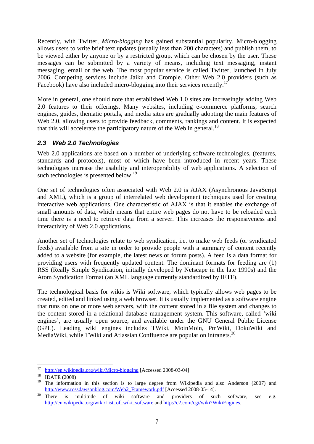Recently, with Twitter, *Micro-blogging* has gained substantial popularity. Micro-blogging allows users to write brief text updates (usually less than 200 characters) and publish them, to be viewed either by anyone or by a restricted group, which can be chosen by the user. These messages can be submitted by a variety of means, including text messaging, instant messaging, email or the web. The most popular service is called Twitter, launched in July 2006. Competing services include Jaiku and Cromple. Other Web 2.0 providers (such as Facebook) have also included micro-blogging into their services recently.<sup>17</sup>

More in general, one should note that established Web 1.0 sites are increasingly adding Web 2.0 features to their offerings. Many websites, including e-commerce platforms, search engines, guides, thematic portals, and media sites are gradually adopting the main features of Web 2.0, allowing users to provide feedback, comments, rankings and content. It is expected that this will accelerate the participatory nature of the Web in general.<sup>18</sup>

### *2.3 Web 2.0 Technologies*

Web 2.0 applications are based on a number of underlying software technologies, (features, standards and protocols), most of which have been introduced in recent years. These technologies increase the usability and interoperability of web applications. A selection of such technologies is presented below.<sup>19</sup>

One set of technologies often associated with Web 2.0 is AJAX (Asynchronous JavaScript and XML), which is a group of interrelated web development techniques used for creating interactive web applications. One characteristic of AJAX is that it enables the exchange of small amounts of data, which means that entire web pages do not have to be reloaded each time there is a need to retrieve data from a server. This increases the responsiveness and interactivity of Web 2.0 applications.

Another set of technologies relate to web syndication, i.e. to make web feeds (or syndicated feeds) available from a site in order to provide people with a summary of content recently added to a website (for example, the latest news or forum posts). A feed is a data format for providing users with frequently updated content. The dominant formats for feeding are (1) RSS (Really Simple Syndication, initially developed by Netscape in the late 1990s) and the Atom Syndication Format (an XML language currently standardized by IETF).

The technological basis for wikis is Wiki software, which typically allows web pages to be created, edited and linked using a web browser. It is usually implemented as a software engine that runs on one or more web servers, with the content stored in a file system and changes to the content stored in a relational database management system. This software, called 'wiki engines', are usually open source, and available under the GNU General Public License (GPL). Leading wiki engines includes TWiki, MoinMoin, PmWiki, DokuWiki and MediaWiki, while TWiki and Atlassian Confluence are popular on intranets.<sup>20</sup>

<sup>17</sup>  $\frac{17}{18}$  http://en.wikipedia.org/wiki/Micro-blogging [Accessed 2008-03-04] IDATE (2008)

The information in this section is to large degree from Wikipedia and also Anderson (2007) and http://www.rossdawsonblog.com/Web2\_Framework.pdf [Accessed 2008-05-14].<br>There is multitude of wiki software and providers of such software, see e.g.

http://en.wikipedia.org/wiki/List\_of\_wiki\_software and http://c2.com/cgi/wiki?WikiEngines.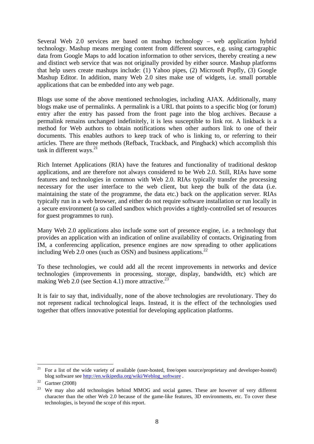Several Web 2.0 services are based on mashup technology – web application hybrid technology. Mashup means merging content from different sources, e.g. using cartographic data from Google Maps to add location information to other services, thereby creating a new and distinct web service that was not originally provided by either source. Mashup platforms that help users create mashups include: (1) Yahoo pipes, (2) Microsoft Popfly, (3) Google Mashup Editor. In addition, many Web 2.0 sites make use of widgets, i.e. small portable applications that can be embedded into any web page.

Blogs use some of the above mentioned technologies, including AJAX. Additionally, many blogs make use of permalinks. A permalink is a URL that points to a specific blog (or forum) entry after the entry has passed from the front page into the blog archives. Because a permalink remains unchanged indefinitely, it is less susceptible to link rot. A linkback is a method for Web authors to obtain notifications when other authors link to one of their documents. This enables authors to keep track of who is linking to, or referring to their articles. There are three methods (Refback, Trackback, and Pingback) which accomplish this task in different ways. $2<sup>1</sup>$ 

Rich Internet Applications (RIA) have the features and functionality of traditional desktop applications, and are therefore not always considered to be Web 2.0. Still, RIAs have some features and technologies in common with Web 2.0. RIAs typically transfer the processing necessary for the user interface to the web client, but keep the bulk of the data (i.e. maintaining the state of the programme, the data etc.) back on the application server. RIAs typically run in a web browser, and either do not require software installation or run locally in a secure environment (a so called sandbox which provides a tightly-controlled set of resources for guest programmes to run).

Many Web 2.0 applications also include some sort of presence engine, i.e. a technology that provides an application with an indication of online availability of contacts. Originating from IM, a conferencing application, presence engines are now spreading to other applications including Web 2.0 ones (such as OSN) and business applications.<sup>22</sup>

To these technologies, we could add all the recent improvements in networks and device technologies (improvements in processing, storage, display, bandwidth, etc) which are making Web 2.0 (see Section 4.1) more attractive.<sup>23</sup>

It is fair to say that, individually, none of the above technologies are revolutionary. They do not represent radical technological leaps. Instead, it is the effect of the technologies used together that offers innovative potential for developing application platforms.

<sup>1</sup> <sup>21</sup> For a list of the wide variety of available (user-hosted, free/open source/proprietary and developer-hosted) blog software see http://en.wikipedia.org/wiki/Weblog\_software .<br><sup>22</sup> Gartner (2008)

<sup>&</sup>lt;sup>23</sup> We may also add technologies behind MMOG and social games. These are however of very different character than the other Web 2.0 because of the game-like features, 3D environments, etc. To cover these technologies, is beyond the scope of this report.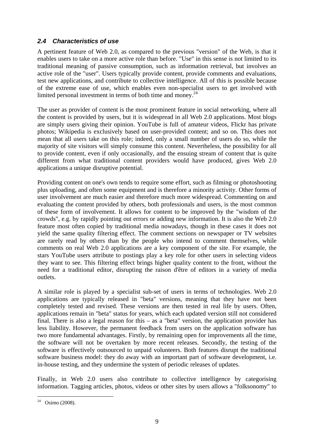### *2.4 Characteristics of use*

A pertinent feature of Web 2.0, as compared to the previous "version" of the Web, is that it enables users to take on a more active role than before. "Use" in this sense is not limited to its traditional meaning of passive consumption, such as information retrieval, but involves an active role of the "user". Users typically provide content, provide comments and evaluations, test new applications, and contribute to collective intelligence. All of this is possible because of the extreme ease of use, which enables even non-specialist users to get involved with limited personal investment in terms of both time and money. $^{24}$ 

The user as provider of content is the most prominent feature in social networking, where all the content is provided by users, but it is widespread in all Web 2.0 applications. Most blogs are simply users giving their opinion. YouTube is full of amateur videos, Flickr has private photos; Wikipedia is exclusively based on user-provided content; and so on. This does not mean that all users take on this role; indeed, only a small number of users do so, while the majority of site visitors will simply consume this content. Nevertheless, the possibility for all to provide content, even if only occasionally, and the ensuing stream of content that is quite different from what traditional content providers would have produced, gives Web 2.0 applications a unique disruptive potential.

Providing content on one's own tends to require some effort, such as filming or photoshooting plus uploading, and often some equipment and is therefore a minority activity. Other forms of user involvement are much easier and therefore much more widespread. Commenting on and evaluating the content provided by others, both professionals and users, is the most common of these form of involvement. It allows for content to be improved by the "wisdom of the crowds", e.g. by rapidly pointing out errors or adding new information. It is also the Web 2.0 feature most often copied by traditional media nowadays, though in these cases it does not yield the same quality filtering effect. The comment sections on newspaper or TV websites are rarely read by others than by the people who intend to comment themselves, while comments on real Web 2.0 applications are a key component of the site. For example, the stars YouTube users attribute to postings play a key role for other users in selecting videos they want to see. This filtering effect brings higher quality content to the front, without the need for a traditional editor, disrupting the raison d'être of editors in a variety of media outlets.

A similar role is played by a specialist sub-set of users in terms of technologies. Web 2.0 applications are typically released in "beta" versions, meaning that they have not been completely tested and revised. These versions are then tested in real life by users. Often, applications remain in "beta" status for years, which each updated version still not considered final. There is also a legal reason for this – as a "beta" version, the application provider has less liability. However, the permanent feedback from users on the application software has two more fundamental advantages. Firstly, by remaining open for improvements all the time, the software will not be overtaken by more recent releases. Secondly, the testing of the software is effectively outsourced to unpaid volunteers. Both features disrupt the traditional software business model: they do away with an important part of software development, i.e. in-house testing, and they undermine the system of periodic releases of updates.

Finally, in Web 2.0 users also contribute to collective intelligence by categorising information. Tagging articles, photos, videos or other sites by users allows a "folksonomy" to

<sup>1</sup>  $24$  Osimo (2008).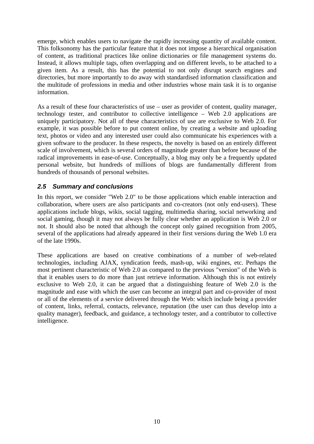emerge, which enables users to navigate the rapidly increasing quantity of available content. This folksonomy has the particular feature that it does not impose a hierarchical organisation of content, as traditional practices like online dictionaries or file management systems do. Instead, it allows multiple tags, often overlapping and on different levels, to be attached to a given item. As a result, this has the potential to not only disrupt search engines and directories, but more importantly to do away with standardised information classification and the multitude of professions in media and other industries whose main task it is to organise information.

As a result of these four characteristics of use – user as provider of content, quality manager, technology tester, and contributor to collective intelligence – Web 2.0 applications are uniquely participatory. Not all of these characteristics of use are exclusive to Web 2.0. For example, it was possible before to put content online, by creating a website and uploading text, photos or video and any interested user could also communicate his experiences with a given software to the producer. In these respects, the novelty is based on an entirely different scale of involvement, which is several orders of magnitude greater than before because of the radical improvements in ease-of-use. Conceptually, a blog may only be a frequently updated personal website, but hundreds of millions of blogs are fundamentally different from hundreds of thousands of personal websites.

### *2.5 Summary and conclusions*

In this report, we consider "Web 2.0" to be those applications which enable interaction and collaboration, where users are also participants and co-creators (not only end-users). These applications include blogs, wikis, social tagging, multimedia sharing, social networking and social gaming, though it may not always be fully clear whether an application is Web 2.0 or not. It should also be noted that although the concept only gained recognition from 2005, several of the applications had already appeared in their first versions during the Web 1.0 era of the late 1990s.

These applications are based on creative combinations of a number of web-related technologies, including AJAX, syndication feeds, mash-up, wiki engines, etc. Perhaps the most pertinent characteristic of Web 2.0 as compared to the previous "version" of the Web is that it enables users to do more than just retrieve information. Although this is not entirely exclusive to Web 2.0, it can be argued that a distinguishing feature of Web 2.0 is the magnitude and ease with which the user can become an integral part and co-provider of most or all of the elements of a service delivered through the Web: which include being a provider of content, links, referral, contacts, relevance, reputation (the user can thus develop into a quality manager), feedback, and guidance, a technology tester, and a contributor to collective intelligence.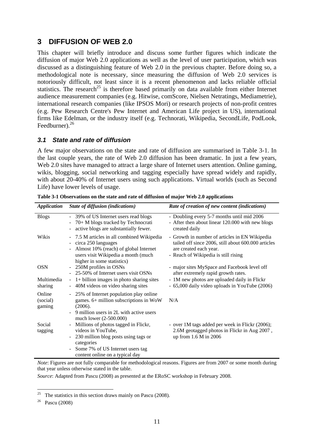# **3 DIFFUSION OF WEB 2.0**

This chapter will briefly introduce and discuss some further figures which indicate the diffusion of major Web 2.0 applications as well as the level of user participation, which was discussed as a distinguishing feature of Web 2.0 in the previous chapter. Before doing so, a methodological note is necessary, since measuring the diffusion of Web 2.0 services is notoriously difficult, not least since it is a recent phenomenon and lacks reliable official statistics. The research<sup>25</sup> is therefore based primarily on data available from either Internet audience measurement companies (e.g. Hitwise, comScore, Nielsen Netratings, Mediametrie), international research companies (like IPSOS Mori) or research projects of non-profit centres (e.g. Pew Research Centre's Pew Internet and American Life project in US), international firms like Edelman, or the industry itself (e.g. Technorati, Wikipedia, SecondLife, PodLook, Feedburner).<sup>26</sup>

### *3.1 State and rate of diffusion*

A few major observations on the state and rate of diffusion are summarised in Table 3-1. In the last couple years, the rate of Web 2.0 diffusion has been dramatic. In just a few years, Web 2.0 sites have managed to attract a large share of Internet users attention. Online gaming, wikis, blogging, social networking and tagging especially have spread widely and rapidly, with about 20-40% of Internet users using such applications. Virtual worlds (such as Second Life) have lower levels of usage.

| <b>Application</b>           | State of diffusion (indications)                                                                                                                                                                                                                    | Rate of creation of new content (indications)                                                                                                                           |
|------------------------------|-----------------------------------------------------------------------------------------------------------------------------------------------------------------------------------------------------------------------------------------------------|-------------------------------------------------------------------------------------------------------------------------------------------------------------------------|
| <b>Blogs</b>                 | 39% of US Internet users read blogs<br>$\blacksquare$<br>70+ M blogs tracked by Technocrati<br>$\overline{\phantom{a}}$<br>active blogs are substantially fewer.<br>$\overline{a}$                                                                  | - Doubling every 5-7 months until mid 2006<br>- After then about linear 120.000 with new blogs<br>created daily                                                         |
| Wikis                        | 7.5 M articles in all combined Wikipedia<br>$\overline{\phantom{a}}$<br>circa 250 languages<br>$\qquad \qquad \blacksquare$<br>Almost 10% (reach) of global Internet<br>users visit Wikipedia a month (much<br>higher in some statistics)           | - Growth in number of articles in EN Wikipedia<br>tailed off since 2006, still about 600.000 articles<br>are created each year.<br>- Reach of Wikipedia is still rising |
| <b>OSN</b>                   | 250M profiles in OSNs<br>$\blacksquare$<br>25-50% of Internet users visit OSNs                                                                                                                                                                      | - major sites MySpace and Facebook level off<br>after extremely rapid growth rates.                                                                                     |
| Multimedia<br>sharing        | $1+$ billion images in photo sharing sites<br>$\qquad \qquad \blacksquare$<br>40M videos on video sharing sites<br>÷,                                                                                                                               | - 1M new photos are uploaded daily in Flickr<br>- 65,000 daily video uploads in YouTube (2006)                                                                          |
| Online<br>(social)<br>gaming | 25% of Internet population play online<br>$\overline{\phantom{a}}$<br>games. 6+ million subscriptions in WoW<br>(2006).<br>9 million users in 2L with active users<br>$\overline{\phantom{a}}$<br>much lower (2-500.000)                            | N/A                                                                                                                                                                     |
| Social<br>tagging            | Millions of photos tagged in Flickr,<br>$\qquad \qquad \blacksquare$<br>videos in YouTube,<br>230 million blog posts using tags or<br>$\overline{\phantom{a}}$<br>categories<br>Some 7% of US Internet users tag<br>content online on a typical day | - over 1M tags added per week in Flickr (2006);<br>2.6M geotagged photos in Flickr in Aug 2007,<br>up from 1.6 M in 2006                                                |

**Table 3-1 Observations on the state and rate of diffusion of major Web 2.0 applications** 

*Note*: Figures are not fully comparable for methodological reasons. Figures are from 2007 or some month during that year unless otherwise stated in the table.

*Source*: Adapted from Pascu (2008) as presented at the ERoSC workshop in February 2008.

<sup>25</sup> The statistics in this section draws mainly on Pascu (2008).

<sup>26</sup> Pascu (2008)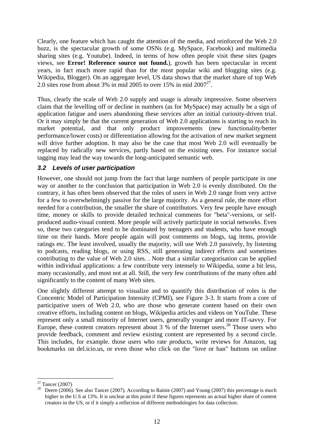Clearly, one feature which has caught the attention of the media, and reinforced the Web 2.0 buzz, is the spectacular growth of some OSNs (e.g. MySpace, Facebook) and multimedia sharing sites (e.g. Youtube). Indeed, in terms of how often people visit these sites (pages views, see **Error! Reference source not found.**), growth has been spectacular in recent years, in fact much more rapid than for the most popular wiki and blogging sites (e.g. Wikipedia, Blogger). On an aggregate level, US data shows that the market share of top Web 2.0 sites rose from about 3% in mid 2005 to over 15% in mid  $2007^{27}$ .

Thus, clearly the scale of Web 2.0 supply and usage is already impressive. Some observers claim that the levelling off or decline in numbers (as for MySpace) may actually be a sign of application fatigue and users abandoning these services after an initial curiosity-driven trial. Or it may simply be that the current generation of Web 2.0 applications is starting to reach its market potential, and that only product improvements (new functionality/better performance/lower costs) or differentiation allowing for the activation of new market segment will drive further adoption. It may also be the case that most Web 2.0 will eventually be replaced by radically new services, partly based on the existing ones. For instance social tagging may lead the way towards the long-anticipated semantic web.

### *3.2 Levels of user participation*

However, one should not jump from the fact that large numbers of people participate in one way or another to the conclusion that participation in Web 2.0 is evenly distributed. On the contrary, it has often been observed that the roles of users in Web 2.0 range from very active for a few to overwhelmingly passive for the large majority. As a general rule, the more effort needed for a contribution, the smaller the share of contributors. Very few people have enough time, money or skills to provide detailed technical comments for "beta"-versions, or selfproduced audio-visual content. More people will actively participate in social networks. Even so, these two categories tend to be dominated by teenagers and students, who have enough time on their hands. More people again will post comments on blogs, tag items, provide ratings etc. The least involved, usually the majority, will use Web 2.0 passively, by listening to podcasts, reading blogs, or using RSS, still generating indirect effects and sometimes contributing to the value of Web 2.0 sites. . Note that a similar categorisation can be applied within individual applications: a few contribute very intensely to Wikipedia, some a bit less, many occasionally, and most not at all. Still, the very few contributions of the many often add significantly to the content of many Web sites.

One slightly different attempt to visualize and to quantify this distribution of roles is the Concentric Model of Participation Intensity (CPMI), see Figure 3-3. It starts from a core of participative users of Web 2.0, who are those who generate content based on their own creative efforts, including content on blogs, Wikipedia articles and videos on YouTube. These represent only a small minority of Internet users, generally younger and more IT-savvy. For Europe, these content creators represent about 3  $\%$  of the Internet users.<sup>28</sup> Those users who provide feedback, comment and review existing content are represented by a second circle. This includes, for example. those users who rate products, write reviews for Amazon, tag bookmarks on del.icio.us, or even those who click on the "love or ban" buttons on online

1

 $27$  Tancer (2007)

<sup>&</sup>lt;sup>28</sup> Deere (2006). See also Tancer (2007). According to Rainie (2007) and Young (2007) this percentage is much higher in the U.S at 13%. It is unclear at this point if these figures represents an actual higher share of content creators in the US, or if it simply a reflection of different methodologies for data collection.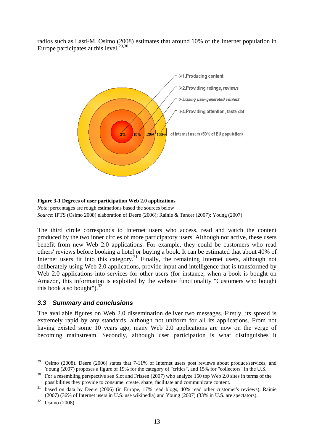radios such as LastFM. Osimo (2008) estimates that around 10% of the Internet population in Europe participates at this level. $29,30$ 



#### **Figure 3-1 Degrees of user participation Web 2.0 applications**

*Note*: percentages are rough estimations based the sources below *Source*: IPTS (Osimo 2008) elaboration of Deere (2006); Rainie & Tancer (2007); Young (2007)

The third circle corresponds to Internet users who access, read and watch the content produced by the two inner circles of more participatory users. Although not active, these users benefit from new Web 2.0 applications. For example, they could be customers who read others' reviews before booking a hotel or buying a book. It can be estimated that about 40% of Internet users fit into this category.<sup>31</sup> Finally, the remaining Internet users, although not deliberately using Web 2.0 applications, provide input and intelligence that is transformed by Web 2.0 applications into services for other users (for instance, when a book is bought on Amazon, this information is exploited by the website functionality "Customers who bought this book also bought"). $32$ 

### *3.3 Summary and conclusions*

The available figures on Web 2.0 dissemination deliver two messages. Firstly, its spread is extremely rapid by any standards, although not uniform for all its applications. From not having existed some 10 years ago, many Web 2.0 applications are now on the verge of becoming mainstream. Secondly, although user participation is what distinguishes it

<sup>29</sup> 29 Osimo (2008). Deere (2006) states that 7-11% of Internet users post reviews about product/services, and Young (2007) proposes a figure of 19% for the category of "critics", and 15% for "collectors" in the U.S.<br><sup>30</sup> For a resembling perspective see Slot and Frissen (2007) who analyze 150 top Web 2.0 sites in terms of the

possibilities they provide to consume, create, share, facilitate and communicate content.<br><sup>31</sup> based on data by Deere (2006) (in Europe, 17% read blogs, 40% read other customer's reviews), Rainie (2007) (36% of Internet users in U.S. use wikipedia) and Young (2007) (33% in U.S. are spectators). 32 Osimo (2008).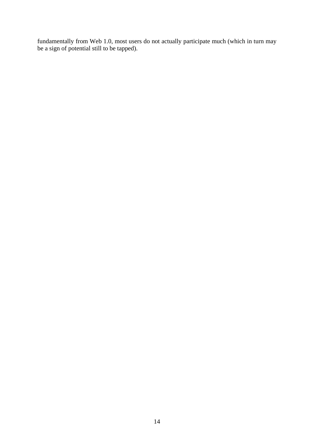fundamentally from Web 1.0, most users do not actually participate much (which in turn may be a sign of potential still to be tapped).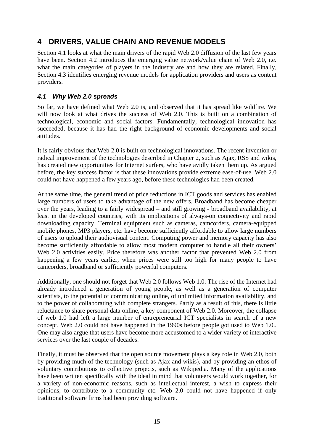# **4 DRIVERS, VALUE CHAIN AND REVENUE MODELS**

Section 4.1 looks at what the main drivers of the rapid Web 2.0 diffusion of the last few years have been. Section 4.2 introduces the emerging value network/value chain of Web 2.0, i.e. what the main categories of players in the industry are and how they are related. Finally, Section 4.3 identifies emerging revenue models for application providers and users as content providers.

### *4.1 Why Web 2.0 spreads*

So far, we have defined what Web 2.0 is, and observed that it has spread like wildfire. We will now look at what drives the success of Web 2.0. This is built on a combination of technological, economic and social factors. Fundamentally, technological innovation has succeeded, because it has had the right background of economic developments and social attitudes.

It is fairly obvious that Web 2.0 is built on technological innovations. The recent invention or radical improvement of the technologies described in Chapter 2, such as Ajax, RSS and wikis, has created new opportunities for Internet surfers, who have avidly taken them up. As argued before, the key success factor is that these innovations provide extreme ease-of-use. Web 2.0 could not have happened a few years ago, before these technologies had been created.

At the same time, the general trend of price reductions in ICT goods and services has enabled large numbers of users to take advantage of the new offers. Broadband has become cheaper over the years, leading to a fairly widespread – and still growing - broadband availability, at least in the developed countries, with its implications of always-on connectivity and rapid downloading capacity. Terminal equipment such as cameras, camcorders, camera-equipped mobile phones, MP3 players, etc. have become sufficiently affordable to allow large numbers of users to upload their audiovisual content. Computing power and memory capacity has also become sufficiently affordable to allow most modern computer to handle all their owners' Web 2.0 activities easily. Price therefore was another factor that prevented Web 2.0 from happening a few years earlier, when prices were still too high for many people to have camcorders, broadband or sufficiently powerful computers.

Additionally, one should not forget that Web 2.0 follows Web 1.0. The rise of the Internet had already introduced a generation of young people, as well as a generation of computer scientists, to the potential of communicating online, of unlimited information availability, and to the power of collaborating with complete strangers. Partly as a result of this, there is little reluctance to share personal data online, a key component of Web 2.0. Moreover, the collapse of web 1.0 had left a large number of entrepreneurial ICT specialists in search of a new concept. Web 2.0 could not have happened in the 1990s before people got used to Web 1.0.. One may also argue that users have become more accustomed to a wider variety of interactive services over the last couple of decades.

Finally, it must be observed that the open source movement plays a key role in Web 2.0, both by providing much of the technology (such as Ajax and wikis), and by providing an ethos of voluntary contributions to collective projects, such as Wikipedia. Many of the applications have been written specifically with the ideal in mind that volunteers would work together, for a variety of non-economic reasons, such as intellectual interest, a wish to express their opinions, to contribute to a community etc. Web 2.0 could not have happened if only traditional software firms had been providing software.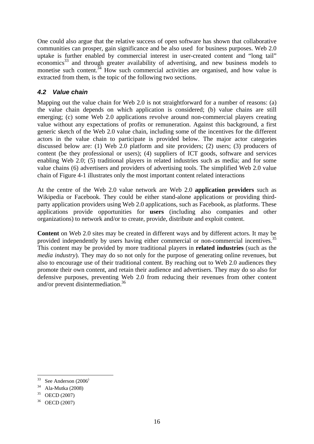One could also argue that the relative success of open software has shown that collaborative communities can prosper, gain significance and be also used for business purposes. Web 2.0 uptake is further enabled by commercial interest in user-created content and "long tail" economics<sup>33</sup> and through greater availability of advertising, and new business models to monetise such content.<sup>34</sup> How such commercial activities are organised, and how value is extracted from them, is the topic of the following two sections.

### *4.2 Value chain*

Mapping out the value chain for Web 2.0 is not straightforward for a number of reasons: (a) the value chain depends on which application is considered; (b) value chains are still emerging; (c) some Web 2.0 applications revolve around non-commercial players creating value without any expectations of profits or remuneration. Against this background, a first generic sketch of the Web 2.0 value chain, including some of the incentives for the different actors in the value chain to participate is provided below. The major actor categories discussed below are: (1) Web 2.0 platform and site providers; (2) users; (3) producers of content (be they professional or users); (4) suppliers of ICT goods, software and services enabling Web 2.0; (5) traditional players in related industries such as media; and for some value chains (6) advertisers and providers of advertising tools. The simplified Web 2.0 value chain of Figure 4-1 illustrates only the most important content related interactions

At the centre of the Web 2.0 value network are Web 2.0 **application providers** such as Wikipedia or Facebook. They could be either stand-alone applications or providing thirdparty application providers using Web 2.0 applications, such as Facebook, as platforms. These applications provide opportunities for **users** (including also companies and other organizations) to network and/or to create, provide, distribute and exploit content.

**Content** on Web 2.0 sites may be created in different ways and by different actors. It may be provided independently by users having either commercial or non-commercial incentives.<sup>35</sup> This content may be provided by more traditional players in **related industries** (such as the *media industry*). They may do so not only for the purpose of generating online revenues, but also to encourage use of their traditional content. By reaching out to Web 2.0 audiences they promote their own content, and retain their audience and advertisers. They may do so also for defensive purposes, preventing Web 2.0 from reducing their revenues from other content and/or prevent disintermediation.36

<sup>1</sup>  $33$  See Anderson (2006)

 $34$  Ala-Mutka (2008)

<sup>35</sup> OECD (2007)

<sup>36</sup> OECD (2007)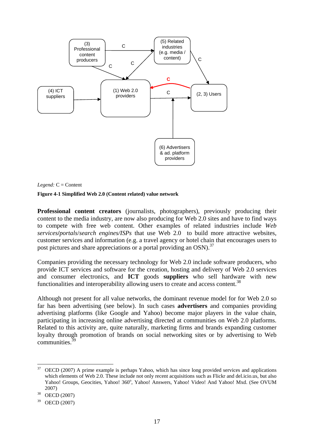

*Legend:* C = Content

#### **Figure 4-1 Simplified Web 2.0 (Content related) value network**

**Professional content creators** (journalists, photographers), previously producing their content to the media industry, are now also producing for Web 2.0 sites and have to find ways to compete with free web content. Other examples of related industries include *Web services***/***portals*/*search engines/ISPs* that use Web 2.0 to build more attractive websites, customer services and information (e.g. a travel agency or hotel chain that encourages users to post pictures and share appreciations or a portal providing an  $OSN$ .<sup>37</sup>

Companies providing the necessary technology for Web 2.0 include software producers, who provide ICT services and software for the creation, hosting and delivery of Web 2.0 services and consumer electronics, and **ICT** goods **suppliers** who sell hardware with new functionalities and interoperability allowing users to create and access content.<sup>38</sup>

Although not present for all value networks, the dominant revenue model for for Web 2.0 so far has been advertising (see below). In such cases **advertisers** and companies providing advertising platforms (like Google and Yahoo) become major players in the value chain, participating in increasing online advertising directed at communities on Web 2.0 platforms. Related to this activity are, quite naturally, marketing firms and brands expanding customer loyalty through promotion of brands on social networking sites or by advertising to Web communities.<sup>3</sup>

<sup>37</sup> OECD (2007) A prime example is perhaps Yahoo, which has since long provided services and applications which elements of Web 2.0. These include not only recent acquisitions such as Flickr and del.icio.us, but also Yahoo! Groups, Geocities, Yahoo! 360°, Yahoo! Answers, Yahoo! Video! And Yahoo! Mxd. (See OVUM  $^{2007)}$ <br><sup>38</sup> OECD (2007)

<sup>39</sup> OECD (2007)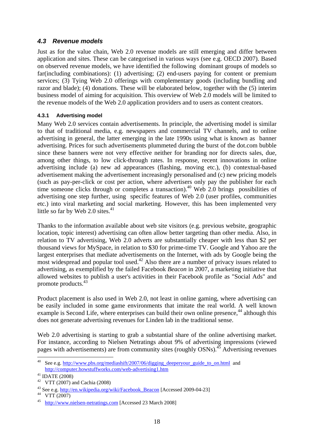### *4.3 Revenue models*

Just as for the value chain, Web 2.0 revenue models are still emerging and differ between application and sites. These can be categorised in various ways (see e.g. OECD 2007). Based on observed revenue models, we have identified the following dominant groups of models so far(including combinations): (1) advertising; (2) end-users paying for content or premium services; (3) Tying Web 2.0 offerings with complementary goods (including bundling and razor and blade); (4) donations. These will be elaborated below, together with the (5) interim business model of aiming for acquisition. This overview of Web 2.0 models will be limited to the revenue models of the Web 2.0 application providers and to users as content creators.

### **4.3.1 Advertising model**

Many Web 2.0 services contain advertisements. In principle, the advertising model is similar to that of traditional media, e.g. newspapers and commercial TV channels, and to online advertising in general, the latter emerging in the late 1990s using what is known as banner advertising. Prices for such advertisements plummeted during the burst of the dot.com bubble since these banners were not very effective neither for branding nor for directs sales, due, among other things, to low click-through rates. In response, recent innovations in online advertising include (a) new ad appearances (flashing, moving etc.), (b) contextual-based advertisement making the advertisement increasingly personalised and (c) new pricing models (such as pay-per-click or cost per action, where advertisers only pay the publisher for each time someone clicks through or completes a transaction).<sup>40</sup> Web 2.0 brings possibilities of advertising one step further, using specific features of Web 2.0 (user profiles, communities etc.) into viral marketing and social marketing. However, this has been implemented very little so far by Web 2.0 sites. $41$ 

Thanks to the information available about web site visitors (e.g. previous website, geographic location, topic interest) advertising can often allow better targeting than other media. Also, in relation to TV advertising, Web 2.0 adverts are substantially cheaper with less than \$2 per thousand views for MySpace, in relation to \$30 for prime-time TV. Google and Yahoo are the largest enterprises that mediate advertisements on the Internet, with ads by Google being the most widespread and popular tool used.<sup>42</sup> Also there are a number of privacy issues related to advertising, as exemplified by the failed Facebook *Beacon* in 2007, a marketing initiative that allowed websites to publish a user's activities in their Facebook profile as "Social Ads" and promote products.43

Product placement is also used in Web 2.0, not least in online gaming, where advertising can be easily included in some game environments that imitate the real world. A well known example is Second Life, where enterprises can build their own online presence,<sup>44</sup> although this does not generate advertising revenues for Linden lab in the traditional sense.

Web 2.0 advertising is starting to grab a substantial share of the online advertising market. For instance, according to Nielsen Netratings about 9% of advertising impressions (viewed pages with advertisements) are from community sites (roughly OSNs).<sup>45</sup> Advertising revenues

1

See e.g. http://www.pbs.org/mediashift/2007/06/digging\_deeperyour\_guide\_to\_on.html and http://computer.howstuffworks.com/web-advertising1.htm

 $41$  IDATE (2008)

<sup>&</sup>lt;sup>42</sup> VTT (2007) and Cachia (2008)

<sup>&</sup>lt;sup>43</sup> See e.g. <u>http://en.wikipedia.org/wiki/Facebook\_Beacon</u> [Accessed 2009-04-23] VTT (2007)

<sup>45</sup> http://www.nielsen-netratings.com [Accessed 23 March 2008]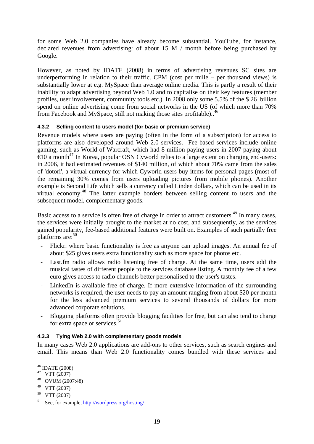for some Web 2.0 companies have already become substantial. YouTube, for instance, declared revenues from advertising: of about 15 M / month before being purchased by Google.

However, as noted by IDATE (2008) in terms of advertising revenues SC sites are underperforming in relation to their traffic. CPM (cost per mille – per thousand views) is substantially lower at e.g. MySpace than average online media. This is partly a result of their inability to adapt advertising beyond Web 1.0 and to capitalise on their key features (member profiles, user involvement, community tools etc.). In 2008 only some 5.5% of the \$ 26 billion spend on online advertising come from social networks in the US (of which more than 70% from Facebook and MySpace, still not making those sites profitable)..46

### **4.3.2 Selling content to users model (for basic or premium service)**

Revenue models where users are paying (often in the form of a subscription) for access to platforms are also developed around Web 2.0 services. Fee-based services include online gaming, such as World of Warcraft, which had 8 million paying users in 2007 paying about  $\epsilon$ 10 a month<sup>47</sup> In Korea, popular OSN Cyworld relies to a large extent on charging end-users: in 2006, it had estimated revenues of \$140 million, of which about 70% came from the sales of 'dotori', a virtual currency for which Cyworld users buy items for personal pages (most of the remaining 30% comes from users uploading pictures from mobile phones). Another example is Second Life which sells a currency called Linden dollars, which can be used in its virtual economy.48 The latter example borders between selling content to users and the subsequent model, complementary goods.

Basic access to a service is often free of charge in order to attract customers.<sup>49</sup> In many cases, the services were initially brought to the market at no cost, and subsequently, as the services gained popularity, fee-based additional features were built on. Examples of such partially free platforms are:<sup>50</sup>

- Flickr: where basic functionality is free as anyone can upload images. An annual fee of about \$25 gives users extra functionality such as more space for photos etc.
- Last.fm radio allows radio listening free of charge. At the same time, users add the musical tastes of different people to the services database listing. A monthly fee of a few euro gives access to radio channels better personalised to the user's tastes.
- LinkedIn is available free of charge. If more extensive information of the surrounding networks is required, the user needs to pay an amount ranging from about \$20 per month for the less advanced premium services to several thousands of dollars for more advanced corporate solutions.
- Blogging platforms often provide blogging facilities for free, but can also tend to charge for extra space or services. $51$

### **4.3.3 Tying Web 2.0 with complementary goods models**

In many cases Web 2.0 applications are add-ons to other services, such as search engines and email. This means than Web 2.0 functionality comes bundled with these services and

<sup>&</sup>lt;u>.</u> 46 IDATE (2008)

 $47$  VTT (2007)

<sup>48</sup> OVUM (2007:48)

<sup>49</sup> VTT (2007)

<sup>50</sup> VTT (2007)

<sup>51</sup> See, for example, http://wordpress.org/hosting/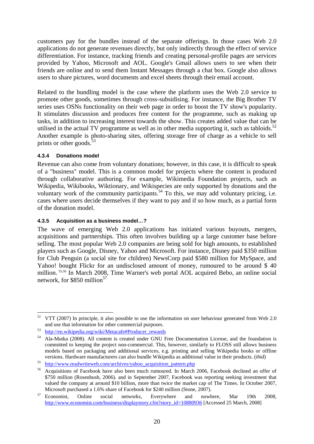customers pay for the bundles instead of the separate offerings. In those cases Web 2.0 applications do not generate revenues directly, but only indirectly through the effect of service differentiation. For instance, tracking friends and creating personal-profile pages are services provided by Yahoo, Microsoft and AOL. Google's Gmail allows users to see when their friends are online and to send them Instant Messages through a chat box. Google also allows users to share pictures, word documents and excel sheets through their email account.

Related to the bundling model is the case where the platform uses the Web 2.0 service to promote other goods, sometimes through cross-subsidising. For instance, the Big Brother TV series uses OSNs functionality on their web page in order to boost the TV show's popularity. It stimulates discussion and produces free content for the programme, such as making up tasks, in addition to increasing interest towards the show. This creates added value that can be utilised in the actual TV programme as well as in other media supporting it, such as tabloids.<sup>52</sup> Another example is photo-sharing sites, offering storage free of charge as a vehicle to sell prints or other goods. $53$ 

### **4.3.4 Donations model**

Revenue can also come from voluntary donations; however, in this case, it is difficult to speak of a "business" model. This is a common model for projects where the content is produced through collaborative authoring. For example, Wikimedia Foundation projects, such as Wikipedia, Wikibooks, Wiktionary, and Wikispecies are only supported by donations and the voluntary work of the community participants.<sup>54</sup> To this, we may add voluntary pricing, i.e. cases where users decide themselves if they want to pay and if so how much, as a partial form of the donation model.

### **4.3.5 Acquisition as a business model…?**

The wave of emerging Web 2.0 applications has initiated various buyouts, mergers, acquisitions and partnerships. This often involves building up a large customer base before selling. The most popular Web 2.0 companies are being sold for high amounts, to established players such as Google, Disney, Yahoo and Microsoft. For instance, Disney paid \$350 million for Club Penguin (a social site for children) NewsCorp paid \$580 million for MySpace, and Yahoo! bought Flickr for an undisclosed amount of money, rumoured to be around \$40 million. 55,56 In March 2008, Time Warner's web portal AOL acquired Bebo, an online social network, for \$850 million<sup>57</sup>

<sup>1</sup>  $52$  VTT (2007) In principle, it also possible to use the information on user behaviour generated from Web 2.0 and use that information for other commercial purposes.<br>
53 http://en.wikipedia.org/wiki/Metacafe#Producer\_rewards<br>
54 Ala-Mutka (2008). All content is created under GNU Free Documentation License, and the foundation is

committed to keeping the project non-commercial. This, however, similarly to FLOSS still allows business models based on packaging and additional services, e.g. printing and selling Wikipedia books or offline versions. Hardware manufacturers can also bundle Wikipedia as additional value in their products. (ibid)<br>
<sup>55</sup> http://www.readwriteweb.com/archives/yahoo acquisition pattern.php<br>
<sup>56</sup> Acquisitions of Facebook have also bee

<sup>\$750</sup> million (Rosenbush, 2006). and in September 2007, Facebook was reporting seeking investment that valued the company at around \$10 billion, more than twice the market cap of The Times. In October 2007, Microsoft purchased a 1.6% share of Facebook for \$240 million (Stone, 2007).<br><sup>57</sup> Economist, Online social networks, Everywhere and nowhere, Mar 19th 2008,

http://www.economist.com/business/displaystory.cfm?story\_id=10880936 [Accessed 25 March, 2008]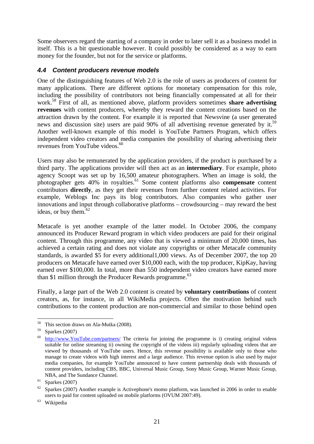Some observers regard the starting of a company in order to later sell it as a business model in itself. This is a bit questionable however. It could possibly be considered as a way to earn money for the founder, but not for the service or platforms.

### *4.4 Content producers revenue models*

One of the distinguishing features of Web 2.0 is the role of users as producers of content for many applications. There are different options for monetary compensation for this role, including the possibility of contributors not being financially compensated at all for their work.58 First of all, as mentioned above, platform providers sometimes **share advertising revenues** with content producers, whereby they reward the content creations based on the attraction drawn by the content. For example it is reported that Newsvine (a user generated news and discussion site) users are paid 90% of all advertising revenue generated by it.<sup>59</sup> Another well-known example of this model is YouTube Partners Program, which offers independent video creators and media companies the possibility of sharing advertising their revenues from YouTube videos.<sup>60</sup>

Users may also be remunerated by the application providers, if the product is purchased by a third party. The applications provider will then act as an **intermediary**. For example, photo agency Scoopt was set up by 16,500 amateur photographers. When an image is sold, the photographer gets 40% in royalties.<sup>61</sup> Some content platforms also **compensate** content contributors **directly**, as they get their revenues from further content related activities. For example, Weblogs Inc pays its blog contributors. Also companies who gather user innovations and input through collaborative platforms – crowdsourcing – may reward the best ideas, or buy them. $62$ 

Metacafe is yet another example of the latter model. In October 2006, the company announced its Producer Reward program in which video producers are paid for their original content. Through this programme, any video that is viewed a minimum of 20,000 times, has achieved a certain rating and does not violate any copyrights or other Metacafe community standards, is awarded \$5 for every additional1,000 views. As of December 2007, the top 20 producers on Metacafe have earned over \$10,000 each, with the top producer, KipKay, having earned over \$100,000. In total, more than 550 independent video creators have earned more than \$1 million through the Producer Rewards programme. $63$ 

Finally, a large part of the Web 2.0 content is created by **voluntary contributions** of content creators, as, for instance, in all WikiMedia projects. Often the motivation behind such contributions to the content production are non-commercial and similar to those behind open

<sup>58</sup> This section draws on Ala-Mutka (2008).

 $59$  Sparkes (2007)

http://www.YouTube.com/partners/ The criteria for joining the programme is i) creating original videos suitable for online streaming ii) owning the copyright of the videos iii) regularly uploading videos that are viewed by thousands of YouTube users. Hence, this revenue possibility is available only to those who manage to create videos with high interest and a large audience. This revenue option is also used by major media companies, for example YouTube announced to have content partnership deals with thousands of content providers, including CBS, BBC, Universal Music Group, Sony Music Group, Warner Music Group,

<sup>&</sup>lt;sup>61</sup> Sparkes (2007)<br><sup>62</sup> Sparkes (2007) Another example is Activephone's momo platform, was launched in 2006 in order to enable users to paid for content uploaded on mobile platforms (OVUM 2007:49).<br><sup>63</sup> Wikipedia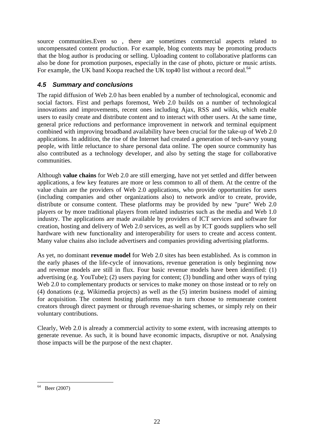source communities.Even so , there are sometimes commercial aspects related to uncompensated content production. For example, blog contents may be promoting products that the blog author is producing or selling. Uploading content to collaborative platforms can also be done for promotion purposes, especially in the case of photo, picture or music artists. For example, the UK band Koopa reached the UK top40 list without a record deal.<sup>64</sup>

## *4.5 Summary and conclusions*

The rapid diffusion of Web 2.0 has been enabled by a number of technological, economic and social factors. First and perhaps foremost, Web 2.0 builds on a number of technological innovations and improvements, recent ones including Ajax, RSS and wikis, which enable users to easily create and distribute content and to interact with other users. At the same time, general price reductions and performance improvement in network and terminal equipment combined with improving broadband availability have been crucial for the take-up of Web 2.0 applications. In addition, the rise of the Internet had created a generation of tech-savvy young people, with little reluctance to share personal data online. The open source community has also contributed as a technology developer, and also by setting the stage for collaborative communities.

Although **value chains** for Web 2.0 are still emerging, have not yet settled and differ between applications, a few key features are more or less common to all of them. At the centre of the value chain are the providers of Web 2.0 applications, who provide opportunities for users (including companies and other organizations also) to network and/or to create, provide, distribute or consume content. These platforms may be provided by new "pure" Web 2.0 players or by more traditional players from related industries such as the media and Web 1.0 industry. The applications are made available by providers of ICT services and software for creation, hosting and delivery of Web 2.0 services, as well as by ICT goods suppliers who sell hardware with new functionality and interoperability for users to create and access content. Many value chains also include advertisers and companies providing advertising platforms.

As yet, no dominant **revenue model** for Web 2.0 sites has been established. As is common in the early phases of the life-cycle of innovations, revenue generation is only beginning now and revenue models are still in flux. Four basic revenue models have been identified: (1) advertising (e.g. YouTube); (2) users paying for content; (3) bundling and other ways of tying Web 2.0 to complementary products or services to make money on those instead or to rely on (4) donations (e.g. Wikimedia projects) as well as the (5) interim business model of aiming for acquisition. The content hosting platforms may in turn choose to remunerate content creators through direct payment or through revenue-sharing schemes, or simply rely on their voluntary contributions.

Clearly, Web 2.0 is already a commercial activity to some extent, with increasing attempts to generate revenue. As such, it is bound have economic impacts, disruptive or not. Analysing those impacts will be the purpose of the next chapter.

<sup>1</sup>  $64$  Beer (2007)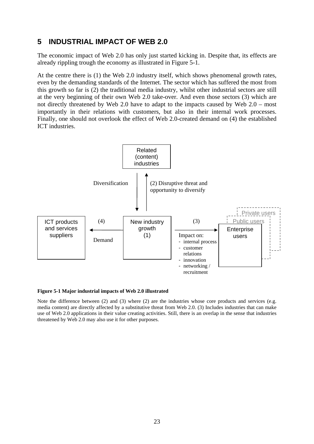# **5 INDUSTRIAL IMPACT OF WEB 2.0**

The economic impact of Web 2.0 has only just started kicking in. Despite that, its effects are already rippling trough the economy as illustrated in Figure 5-1.

At the centre there is (1) the Web 2.0 industry itself, which shows phenomenal growth rates, even by the demanding standards of the Internet. The sector which has suffered the most from this growth so far is (2) the traditional media industry, whilst other industrial sectors are still at the very beginning of their own Web 2.0 take-over. And even those sectors (3) which are not directly threatened by Web 2.0 have to adapt to the impacts caused by Web 2.0 – most importantly in their relations with customers, but also in their internal work processes. Finally, one should not overlook the effect of Web 2.0-created demand on (4) the established ICT industries.



#### **Figure 5-1 Major industrial impacts of Web 2.0 illustrated**

Note the difference between (2) and (3) where (2) are the industries whose core products and services (e.g. media content) are directly affected by a substitutive threat from Web 2.0. (3) Includes industries that can make use of Web 2.0 applications in their value creating activities. Still, there is an overlap in the sense that industries threatened by Web 2.0 may also use it for other purposes.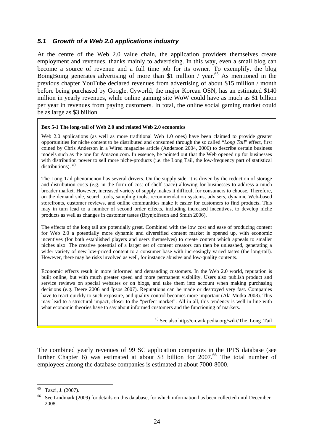### *5.1 Growth of a Web 2.0 applications industry*

At the centre of the Web 2.0 value chain, the application providers themselves create employment and revenues, thanks mainly to advertising. In this way, even a small blog can become a source of revenue and a full time job for its owner. To exemplify, the blog BoingBoing generates advertising of more than \$1 million / year.<sup>65</sup> As mentioned in the previous chapter YouTube declared revenues from advertising of about \$15 million / month before being purchased by Google. Cyworld, the major Korean OSN, has an estimated \$140 million in yearly revenues, while online gaming site WoW could have as much as \$1 billion per year in revenues from paying customers. In total, the online social gaming market could be as large as \$3 billion.

#### **Box 5-1 The long-tail of Web 2.0 and related Web 2.0 economics**

Web 2.0 applications (as well as more traditional Web 1.0 ones) have been claimed to provide greater opportunities for niche content to be distributed and consumed through the so called "*Long Tail*" effect, first coined by Chris Anderson in a Wired magazine article (Anderson 2004, 2006) to describe certain business models such as the one for Amazon.com. In essence, he pointed out that the Web opened up for businesses with distribution power to sell more niche-products (i.e. the Long Tail, the low-frequency part of statistical distributions). a.)

The Long Tail phenomenon has several drivers. On the supply side, it is driven by the reduction of storage and distribution costs (e.g. in the form of cost of shelf-space) allowing for businesses to address a much broader market. However, increased variety of supply makes it difficult for consumers to choose. Therefore, on the demand side, search tools, sampling tools, recommendation systems, advisers, dynamic Web-based storefronts, customer reviews, and online communities make it easier for customers to find products. This may in turn lead to a number of second order effects, including increased incentives, to develop niche products as well as changes in customer tastes (Brynjolfsson and Smith 2006).

The effects of the long tail are potentially great. Combined with the low cost and ease of producing content for Web 2.0 a potentially more dynamic and diversified content market is opened up, with economic incentives (for both established players and users themselves) to create content which appeals to smaller niches also. The creative potential of a larger set of content creators can then be unleashed, generating a wider variety of new low-priced content to a consumer base with increasingly varied tastes (the long-tail). However, there may be risks involved as well, for instance abusive and low-quality contents.

Economic effects result in more informed and demanding customers. In the Web 2.0 world, reputation is built online, but with much greater speed and more permanent visibility. Users also publish product and service reviews on special websites or on blogs, and take them into account when making purchasing decisions (e.g. Deere 2006 and Ipsos 2007). Reputations can be made or destroyed very fast. Companies have to react quickly to such exposure, and quality control becomes more important (Ala-Mutka 2008). This may lead to a structural impact, closer to the "perfect market". All in all, this tendency is well in line with what economic theories have to say about informed customers and the functioning of markets.

a.) See also http://en.wikipedia.org/wiki/The Long Tail

The combined yearly revenues of 99 SC application companies in the IPTS database (see further Chapter 6) was estimated at about \$3 billion for  $2007<sup>66</sup>$  The total number of employees among the database companies is estimated at about 7000-8000.

1

<sup>65</sup> Tazzi, J. (2007).

<sup>&</sup>lt;sup>66</sup> See Lindmark (2009) for details on this database, for which information has been collected until December 2008.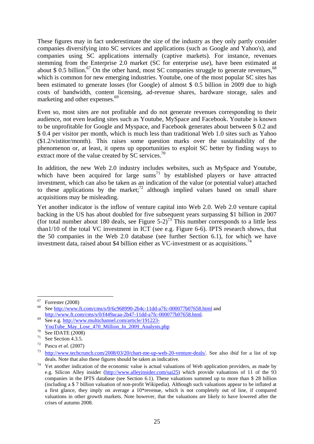These figures may in fact underestimate the size of the industry as they only partly consider companies diversifying into SC services and applications (such as Google and Yahoo's), and companies using SC applications internally (captive markets). For instance, revenues stemming from the Enterprise 2.0 market (SC for enterprise use), have been estimated at about \$ 0.5 billion.<sup>67</sup> On the other hand, most SC companies struggle to generate revenues, <sup>68</sup> which is common for new emerging industries. Youtube, one of the most popular SC sites has been estimated to generate losses (for Google) of almost \$ 0.5 billion in 2009 due to high costs of bandwidth, content licensing, ad-revenue shares, hardware storage, sales and marketing and other expenses.<sup>69</sup>

Even so, most sites are not profitable and do not generate revenues corresponding to their audience, not even leading sites such as Youtube, MySpace and Facebook. Youtube is known to be unprofitable for Google and Myspace, and Facebook generates about between \$ 0.2 and \$ 0.4 per visitor per month, which is much less than traditional Web 1.0 sites such as Yahoo (\$1.2/vistitor/month). This raises some question marks over the sustainability of the phenomenon or, at least, it opens up opportunities to exploit SC better by finding ways to extract more of the value created by SC services.<sup>70</sup>

In addition, the new Web 2.0 industry includes websites, such as MySpace and Youtube, which have been acquired for large  $sum<sup>71</sup>$  by established players or have attracted investment, which can also be taken as an indication of the value (or potential value) attached to these applications by the market; $72$  although implied values based on small share acquisitions may be misleading.

Yet another indicator is the inflow of venture capital into Web 2.0. Web 2.0 venture capital backing in the US has about doubled for five subsequent years surpassing \$1 billion in 2007 (for total number about 180 deals, see Figure  $5-2$ )<sup>73</sup> This number corresponds to a little less than1/10 of the total VC investment in ICT (see e.g. Figure 6-6). IPTS research shows, that the 50 companies in the Web 2.0 database (see further Section 6.1), for which we have investment data, raised about \$4 billion either as VC-investment or as acquisitions.<sup>74</sup>

<sup>67</sup>  $^{67}$  Forrester (2008)

<sup>68</sup> See http://www.ft.com/cms/s/0/6c968990-2b4c-11dd-a7fc-000077b07658.html and http://www.ft.com/cms/s/0/f449acaa-2b47-11dd-a7fc-000077b07658.html.<br>See e.g. http://www.multichannel.com/article/191223-

 $\frac{\text{YouTube May} \text{Los}}{\text{See IDATE (2008)}}$ <br>  $\frac{\text{Note IDATE (2008)}}{\text{So Section 4.3.5}}$ 

See Section 4.3.5.

<sup>72</sup> Pascu *et al.* (2007) 73 http://www.techcrunch.com/2008/03/20/chart-me-up-web-20-venture-deals/. See also *ibid* for a list of top

deals. Note that also these figures should be taken as indicative.<br><sup>74</sup> Yet another indication of the economic value is actual valuations of Web application providers, as made by e.g. Silicon Alley insider (http://www.alleyinsider.com/sai25) which provide valuations of 11 of the 93 companies in the IPTS database (see Section 6.1). These valuations summed up to more than \$ 28 billion (including a \$ 7 billion valuation of non-profit Wikipedia). Although such valuations appear to be inflated at a first glance, they imply on average a 10\*revenue, which is not completely out of line, if compared valuations in other growth markets. Note however, that the valuations are likely to have lowered after the crises of autumn 2008.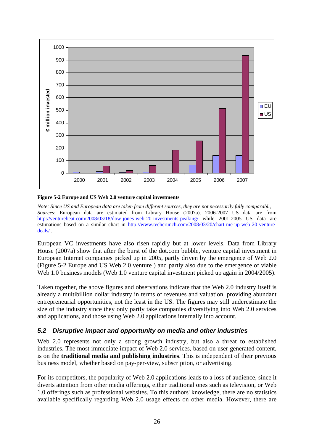

#### **Figure 5-2 Europe and US Web 2.0 venture capital investments**

*Note: Since US and European data are taken from different sources, they are not necessarily fully comparabl., Sources*: European data are estimated from Library House (2007a). 2006-2007 US data are from http://venturebeat.com/2008/03/18/dow-jones-web-20-investments-peaking/ while 2001-2005 US data are estimations based on a similar chart in http://www.techcrunch.com/2008/03/20/chart-me-up-web-20-venturedeals/ .

European VC investments have also risen rapidly but at lower levels. Data from Library House (2007a) show that after the burst of the dot.com bubble, venture capital investment in European Internet companies picked up in 2005, partly driven by the emergence of Web 2.0 (Figure 5-2 Europe and US Web 2.0 venture ) and partly also due to the emergence of viable Web 1.0 business models (Web 1.0 venture capital investment picked up again in 2004/2005).

Taken together, the above figures and observations indicate that the Web 2.0 industry itself is already a multibillion dollar industry in terms of revenues and valuation, providing abundant entrepreneurial opportunities, not the least in the US. The figures may still underestimate the size of the industry since they only partly take companies diversifying into Web 2.0 services and applications, and those using Web 2.0 applications internally into account.

### *5.2 Disruptive impact and opportunity on media and other industries*

Web 2.0 represents not only a strong growth industry, but also a threat to established industries. The most immediate impact of Web 2.0 services, based on user generated content, is on the **traditional media and publishing industries**. This is independent of their previous business model, whether based on pay-per-view, subscription, or advertising.

For its competitors, the popularity of Web 2.0 applications leads to a loss of audience, since it diverts attention from other media offerings, either traditional ones such as television, or Web 1.0 offerings such as professional websites. To this authors' knowledge, there are no statistics available specifically regarding Web 2.0 usage effects on other media. However, there are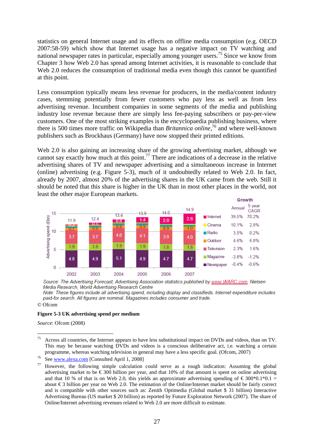statistics on general Internet usage and its effects on offline media consumption (e.g. OECD 2007:58-59) which show that Internet usage has a negative impact on TV watching and national newspaper rates in particular, especially among younger users.75 Since we know from Chapter 3 how Web 2.0 has spread among Internet activities, it is reasonable to conclude that Web 2.0 reduces the consumption of traditional media even though this cannot be quantified at this point.

Less consumption typically means less revenue for producers, in the media/content industry cases, stemming potentially from fewer customers who pay less as well as from less advertising revenue. Incumbent companies in some segments of the media and publishing industry lose revenue because there are simply less fee-paying subscribers or pay-per-view customers. One of the most striking examples is the encyclopaedia publishing business, where there is 500 times more traffic on Wikipedia than *Britannica online,*76 and where well-known publishers such as Brockhaus (Germany) have now stopped their printed editions.

Web 2.0 is also gaining an increasing share of the growing advertising market, although we cannot say exactly how much at this point.<sup>77</sup> There are indications of a decrease in the relative advertising shares of TV and newspaper advertising and a simultaneous increase in Internet (online) advertising (e.g. Figure 5-3), much of it undoubtedly related to Web 2.0. In fact, already by 2007, almost 20% of the advertising shares in the UK came from the web. Still it should be noted that this share is higher in the UK than in most other places in the world, not least the other major European markets.  $C$ rowth

|                                     |    |      |             |                  |                  |      |      |                         | 500000  |                |
|-------------------------------------|----|------|-------------|------------------|------------------|------|------|-------------------------|---------|----------------|
|                                     | 15 |      |             |                  | 43.9             | 14.0 | 14.9 |                         | Annual  | 5 year<br>CAGR |
|                                     |    | 11.9 | 12.4        | 13.4<br>0.8      | 1.4              | 2.0  | 2.8  | $\blacksquare$ Internet | 39.5%   | 70.2%          |
| Advertising spend (£bn)<br>cn<br>cn |    | 67   | _Ա.Ե<br>0.8 | 0.8              | 0.9              | 0.9  | 1.0  | <b>■</b> Cinema         | 10.1%   | 2.8%           |
|                                     |    | 3.7  | 3.7         | 4.0              | 4.1              | 3.9  | 4.0  | $\blacksquare$ Radio    | 3.5%    | 0.2%           |
|                                     |    |      |             | 1.9 <sup>°</sup> |                  |      |      | Outdoor                 | 4.6%    | 6.8%           |
|                                     | 5  | 1.9  | 1.8         |                  | 1.9 <sup>°</sup> | 1.8  | 1.8  | <b>Television</b>       | 2.3%    | 1.6%           |
|                                     |    | 4.8  | 4.9         | 5.1              | 4.9              | 4.7  | 4.7  | $\blacksquare$ Magazine | $-3.8%$ | $-1.2%$        |
|                                     | 0  |      |             |                  |                  |      |      | Newspaper               | $-0.4%$ | $-0.6%$        |
|                                     |    | 2002 | 2003        | 2004             | 2005             | 2006 | 2007 |                         |         |                |

Source: The Advertising Forecast, Advertising Association statistics published by www.WARC.com, Nielsen Media Research, World Advertising Research Centre

Note: These figures include all advertising spend, including display and classifieds. Internet expenditure includes paid-for search. All figures are nominal. Magazines includes consumer and trade.

© Ofcom

#### **Figure 5-3 UK advertising spend per medium**

*Source*: Ofcom (2008)

<sup>75</sup> 75 Across all countries, the Internet appears to have less substitutional impact on DVDs and videos, than on TV. This may be because watching DVDs and videos is a conscious deliberative act, i.e. watching a certain

programme, whereas watching television in general may have a less specific goal. (Ofcom, 2007)<br><sup>76</sup> See <u>www.alexa.com</u> [Consulted April 1, 2008]<br><sup>77</sup> However, the following simple calculation could serve as a rough indica advertising market to be  $\epsilon$  300 billion per year, and that 10% of that amount is spent on online advertising and that 10 % of that is on Web 2.0, this yields an approximate advertising spending of  $\epsilon$  300\*0.1\*0.1 = about € 3 billion per year on Web 2.0. The estimation of the Online/Internet market should be fairly correct and is compatible with other sources such as: Zenith Optimedia (Global market \$ 31 billion) Interactive Advertising Bureau (US market \$ 20 billion) as reported by Future Exploration Network (2007). The share of Online/Internet advertising revenues related to Web 2.0 are more difficult to estimate.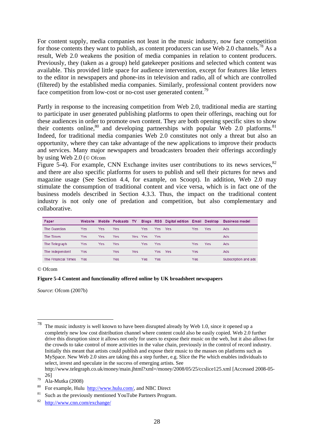For content supply, media companies not least in the music industry, now face competition for those contents they want to publish, as content producers can use Web 2.0 channels.<sup>78</sup> As a result, Web 2.0 weakens the position of media companies in relation to content producers. Previously, they (taken as a group) held gatekeeper positions and selected which content was available. This provided little space for audience intervention, except for features like letters to the editor in newspapers and phone-ins in television and radio, all of which are controlled (filtered) by the established media companies. Similarly, professional content providers now face competition from low-cost or no-cost user generated content.<sup>79</sup>

Partly in response to the increasing competition from Web 2.0, traditional media are starting to participate in user generated publishing platforms to open their offerings, reaching out for these audiences in order to promote own content. They are both opening specific sites to show their contents online,  $80$  and developing partnerships with popular Web 2.0 platforms.  $81$ Indeed, for traditional media companies Web 2.0 constitutes not only a threat but also an opportunity, where they can take advantage of the new applications to improve their products and services. Many major newspapers and broadcasters broaden their offerings accordingly by using Web 2.0 (© Ofcom

Figure 5-4). For example, CNN Exchange invites user contributions to its news services,  $82$ and there are also specific platforms for users to publish and sell their pictures for news and magazine usage (See Section 4.4, for example, on Scoopt). In addition, Web 2.0 may stimulate the consumption of traditional content and vice versa, which is in fact one of the business models described in Section 4.3.3. Thus, the impact on the traditional content industry is not only one of predation and competition, but also complementary and collaborative.

| Paper               | Website |     | Mobile Podcasts TV |      |            |      | Blogs RSS Digital edition Email Desktop |     |            | <b>Business model</b> |
|---------------------|---------|-----|--------------------|------|------------|------|-----------------------------------------|-----|------------|-----------------------|
| The Guardian        | Yes     | Yes | Yes                |      | <b>Yes</b> | Yes. | Yes                                     | Yes | Yes        | Ads                   |
| The Times           | Yes     | Yes | Yes                | Yes. | <b>Yes</b> | Yes  |                                         |     |            | Ads                   |
| The Telegraph       | Yes     | Yes | Yes                |      | <b>Yes</b> | Yes  |                                         | Yes | <b>Yes</b> | Ads                   |
| The Independent     | Yes     |     | Yes                | Yes  |            | Yes. | Yes                                     | Yes |            | Ads                   |
| The Financial Times | Yes     |     | Yes                |      | Yes        | Yes  |                                         | Yes |            | Subscription and ads  |

#### © Ofcom

1

#### **Figure 5-4 Content and functionality offered online by UK broadsheet newspapers**

*Source*: Ofcom (2007b)

 $78$  The music industry is well known to have been disrupted already by Web 1.0, since it opened up a completely new low cost distribution channel where content could also be easily copied. Web 2.0 further drive this disruption since it allows not only for users to expose their music on the web, but it also allows for the crowds to take control of more activities in the value chain, previously in the control of record industry. Initially this meant that artists could publish and expose their music to the masses on platforms such as MySpace. New Web 2.0 sites are taking this a step further, e.g. Slice the Pie which enables individuals to select, invest and speculate in the success of emerging artists. See

http://www.telegraph.co.uk/money/main.jhtml?xml=/money/2008/05/25/ccslice125.xml [Accessed 2008-05- 26] 79 Ala-Mutka (2008)

<sup>&</sup>lt;sup>80</sup> For example, Hulu  $\frac{http://www.hulu.com/}{http://www.hulu.com/}$ , and NBC Direct <br><sup>81</sup> Such as the previously mentioned YouTube Partners Program.

<sup>82</sup> http://www.cnn.com/exchange/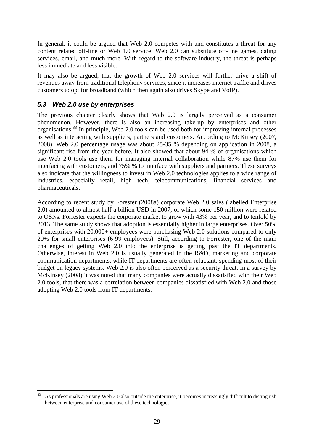In general, it could be argued that Web 2.0 competes with and constitutes a threat for any content related off-line or Web 1.0 service: Web 2.0 can substitute off-line games, dating services, email, and much more. With regard to the software industry, the threat is perhaps less immediate and less visible.

It may also be argued, that the growth of Web 2.0 services will further drive a shift of revenues away from traditional telephony services, since it increases internet traffic and drives customers to opt for broadband (which then again also drives Skype and VoIP).

## *5.3 Web 2.0 use by enterprises*

The previous chapter clearly shows that Web 2.0 is largely perceived as a consumer phenomenon. However, there is also an increasing take-up by enterprises and other organisations.83 In principle, Web 2.0 tools can be used both for improving internal processes as well as interacting with suppliers, partners and customers. According to McKinsey (2007, 2008), Web 2.0 percentage usage was about 25-35 % depending on application in 2008, a significant rise from the year before. It also showed that about 94 % of organisations which use Web 2.0 tools use them for managing internal collaboration while 87% use them for interfacing with customers, and 75% % to interface with suppliers and partners. These surveys also indicate that the willingness to invest in Web 2.0 technologies applies to a wide range of industries, especially retail, high tech, telecommunications, financial services and pharmaceuticals.

According to recent study by Forester (2008a) corporate Web 2.0 sales (labelled Enterprise 2.0) amounted to almost half a billion USD in 2007, of which some 150 million were related to OSNs. Forrester expects the corporate market to grow with 43% per year, and to tenfold by 2013. The same study shows that adoption is essentially higher in large enterprises. Over 50% of enterprises with 20,000+ employees were purchasing Web 2.0 solutions compared to only 20% for small enterprises (6-99 employees). Still, according to Forrester, one of the main challenges of getting Web 2.0 into the enterprise is getting past the IT departments. Otherwise, interest in Web 2.0 is usually generated in the R&D, marketing and corporate communication departments, while IT departments are often reluctant, spending most of their budget on legacy systems. Web 2.0 is also often perceived as a security threat. In a survey by McKinsey (2008) it was noted that many companies were actually dissatisfied with their Web 2.0 tools, that there was a correlation between companies dissatisfied with Web 2.0 and those adopting Web 2.0 tools from IT departments.

<sup>&</sup>lt;u>.</u> 83 As professionals are using Web 2.0 also outside the enterprise, it becomes increasingly difficult to distinguish between enterprise and consumer use of these technologies.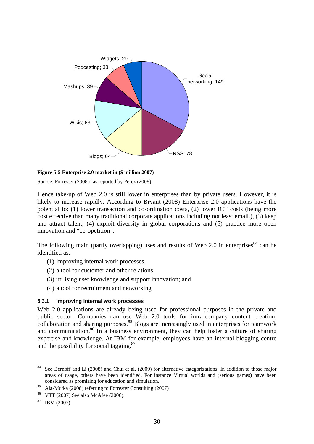

#### **Figure 5-5 Enterprise 2.0 market in (\$ million 2007)**

Source: Forrester (2008a) as reported by Perez (2008)

Hence take-up of Web 2.0 is still lower in enterprises than by private users. However, it is likely to increase rapidly. According to Bryant (2008) Enterprise 2.0 applications have the potential to: (1) lower transaction and co-ordination costs, (2) lower ICT costs (being more cost effective than many traditional corporate applications including not least email.), (3) keep and attract talent, (4) exploit diversity in global corporations and (5) practice more open innovation and "co-opetition".

The following main (partly overlapping) uses and results of Web 2.0 in enterprises  $84$  can be identified as:

- (1) improving internal work processes,
- (2) a tool for customer and other relations
- (3) utilising user knowledge and support innovation; and
- (4) a tool for recruitment and networking

### **5.3.1 Improving internal work processes**

Web 2.0 applications are already being used for professional purposes in the private and public sector. Companies can use Web 2.0 tools for intra-company content creation, collaboration and sharing purposes.<sup>85</sup> Blogs are increasingly used in enterprises for teamwork and communication.<sup>86</sup> In a business environment, they can help foster a culture of sharing expertise and knowledge. At IBM for example, employees have an internal blogging centre and the possibility for social tagging.87

<sup>84</sup> See Bernoff and Li (2008) and Chui et al. (2009) for alternative categorizations. In addition to those major areas of usage, others have been identified. For instance Virtual worlds and (serious games) have been

considered as promising for education and simulation.<br>Ala-Mutka (2008) referring to Forrester Consulting (2007)

<sup>86</sup> VTT (2007) See also McAfee (2006).

 $87$  IBM (2007)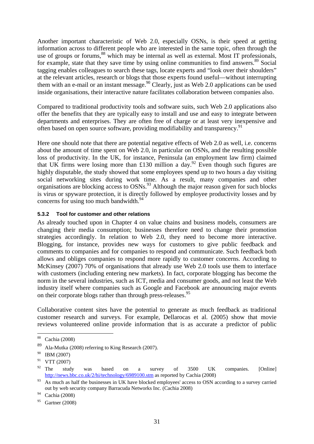Another important characteristic of Web 2.0, especially OSNs, is their speed at getting information across to different people who are interested in the same topic, often through the use of groups or forums,<sup>88</sup> which may be internal as well as external. Most IT professionals, for example, state that they save time by using online communities to find answers.<sup>89</sup> Social tagging enables colleagues to search these tags, locate experts and "look over their shoulders" at the relevant articles, research or blogs that those experts found useful—without interrupting them with an e-mail or an instant message.<sup>90</sup> Clearly, just as Web 2.0 applications can be used inside organisations, their interactive nature facilitates collaboration between companies also.

Compared to traditional productivity tools and software suits, such Web 2.0 applications also offer the benefits that they are typically easy to install and use and easy to integrate between departments and enterprises. They are often free of charge or at least very inexpensive and often based on open source software, providing modifiability and transparency.<sup>91</sup>

Here one should note that there are potential negative effects of Web 2.0 as well, i.e. concerns about the amount of time spent on Web 2.0, in particular on OSNs, and the resulting possible loss of productivity. In the UK, for instance, Peninsula (an employment law firm) claimed that UK firms were losing more than £130 million a day.<sup>92</sup> Even though such figures are highly disputable, the study showed that some employees spend up to two hours a day visiting social networking sites during work time. As a result, many companies and other organisations are blocking access to OSNs.<sup>93</sup> Although the major reason given for such blocks is virus or spyware protection, it is directly followed by employee productivity losses and by concerns for using too much bandwidth. $94$ 

### **5.3.2 Tool for customer and other relations**

As already touched upon in Chapter 4 on value chains and business models, consumers are changing their media consumption; businesses therefore need to change their promotion strategies accordingly. In relation to Web 2.0, they need to become more interactive. Blogging, for instance, provides new ways for customers to give public feedback and comments to companies and for companies to respond and communicate. Such feedback both allows and obliges companies to respond more rapidly to customer concerns. According to McKinsey (2007) 70% of organisations that already use Web 2.0 tools use them to interface with customers (including entering new markets). In fact, corporate blogging has become the norm in the several industries, such as ICT, media and consumer goods, and not least the Web industry itself where companies such as Google and Facebook are announcing major events on their corporate blogs rather than through press-releases.<sup>95</sup>

Collaborative content sites have the potential to generate as much feedback as traditional customer research and surveys. For example, Dellarocas et al. (2005) show that movie reviews volunteered online provide information that is as accurate a predictor of public

 $88\,$ Cachia (2008)

<sup>89</sup> Ala-Mutka (2008) referring to King Research (2007).

<sup>90</sup> IBM (2007)

<sup>91</sup> VTT (2007)

 $92$  The study was based on a survey of 3500 UK companies. [Online] http://news.bbc.co.uk/2/hi/technology/6989100.stm as reported by Cachia (2008)

<sup>&</sup>lt;sup>93</sup> As much as half the businesses in UK have blocked employees' access to OSN according to a survey carried out by web security company Barracuda Networks Inc. (Cachia 2008)

<sup>94</sup> Cachia (2008)

 $95$  Gartner (2008)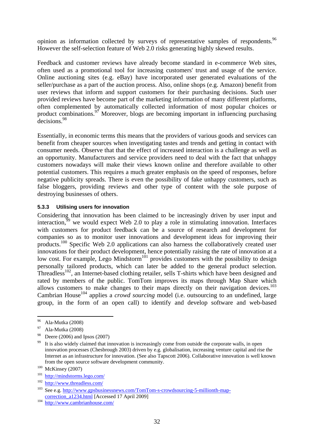opinion as information collected by surveys of representative samples of respondents.<sup>96</sup> However the self-selection feature of Web 2.0 risks generating highly skewed results.

Feedback and customer reviews have already become standard in e-commerce Web sites, often used as a promotional tool for increasing customers' trust and usage of the service. Online auctioning sites (e.g. eBay) have incorporated user generated evaluations of the seller/purchase as a part of the auction process. Also, online shops (e.g. Amazon) benefit from user reviews that inform and support customers for their purchasing decisions. Such user provided reviews have become part of the marketing information of many different platforms, often complemented by automatically collected information of most popular choices or product combinations.<sup>97</sup> Moreover, blogs are becoming important in influencing purchasing decisions.<sup>98</sup>

Essentially, in economic terms this means that the providers of various goods and services can benefit from cheaper sources when investigating tastes and trends and getting in contact with consumer needs. Observe that that the effect of increased interaction is a challenge as well as an opportunity. Manufacturers and service providers need to deal with the fact that unhappy customers nowadays will make their views known online and therefore available to other potential customers. This requires a much greater emphasis on the speed of responses, before negative publicity spreads. There is even the possibility of fake unhappy customers, such as false bloggers, providing reviews and other type of content with the sole purpose of destroying businesses of others.

### **5.3.3 Utilising users for innovation**

Considering that innovation has been claimed to be increasingly driven by user input and interaction,<sup>99</sup> we would expect Web 2.0 to play a role in stimulating innovation. Interfaces with customers for product feedback can be a source of research and development for companies so as to monitor user innovations and development ideas for improving their products.100 Specific Web 2.0 applications can also harness the collaboratively created user innovations for their product development, hence potentially raising the rate of innovation at a low cost. For example, Lego Mindstorm<sup>101</sup> provides customers with the possibility to design personally tailored products, which can later be added to the general product selection. Threadless<sup>102</sup>, an Internet-based clothing retailer, sells T-shirts which have been designed and rated by members of the public. TomTom improves its maps through Map Share which allows customers to make changes to their maps directly on their navigation devices.<sup>103</sup> Cambrian House<sup>104</sup> applies a *crowd sourcing* model (i.e. outsourcing to an undefined, large group, in the form of an open call) to identify and develop software and web-based

1

<sup>96</sup> Ala-Mutka (2008)

<sup>97</sup> Ala-Mutka (2008)

<sup>98</sup> Deere (2006) and Ipsos (2007)

<sup>&</sup>lt;sup>99</sup> It is also widely claimed that innovation is increasingly come from outside the corporate walls, in open innovation processes (Chesbrough 2003) driven by e.g. globalisation, increasing venture capital and rise the Internet as an infrastructure for innovation. (See also Tapscott 2006). Collaborative innovation is well known from the open source software development community.<br>
<sup>100</sup> McKinsey (2007)<br>
<sup>101</sup> http://<u>mindstorms.lego.com/</u><br>
<sup>102</sup> http://www.threadless.com/

<sup>103</sup> See e.g. http://www.gpsbusinessnews.com/TomTom-s-crowdsourcing-5-millionth-mapcorrection\_a1234.html [Accessed 17 April 2009] 104 http://www.cambrianhouse.com/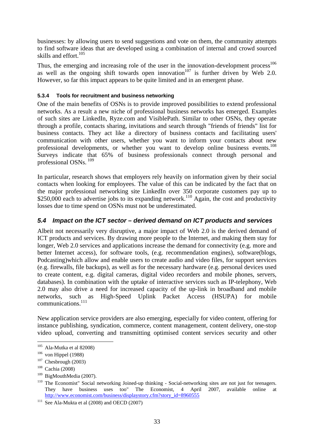businesses: by allowing users to send suggestions and vote on them, the community attempts to find software ideas that are developed using a combination of internal and crowd sourced skills and effort.<sup>105</sup>

Thus, the emerging and increasing role of the user in the innovation-development process $106$ as well as the ongoing shift towards open innovation<sup>107</sup> is further driven by Web 2.0. However, so far this impact appears to be quite limited and in an emergent phase.

### **5.3.4 Tools for recruitment and business networking**

One of the main benefits of OSNs is to provide improved possibilities to extend professional networks. As a result a new niche of professional business networks has emerged. Examples of such sites are LinkedIn, Ryze.com and VisiblePath. Similar to other OSNs, they operate through a profile, contacts sharing, invitations and search through "friends of friends" list for business contacts. They act like a directory of business contacts and facilitating users' communication with other users, whether you want to inform your contacts about new professional developments, or whether you want to develop online business events.<sup>108</sup> Surveys indicate that 65% of business professionals connect through personal and professional OSNs. 109

In particular, research shows that employers rely heavily on information given by their social contacts when looking for employees. The value of this can be indicated by the fact that on the major professional networking site LinkedIn over 350 corporate customers pay up to \$250,000 each to advertise jobs to its expanding network.<sup>110</sup> Again, the cost and productivity losses due to time spend on OSNs must not be underestimated.

### *5.4 Impact on the ICT sector – derived demand on ICT products and services*

Albeit not necessarily very disruptive, a major impact of Web 2.0 is the derived demand of ICT products and services. By drawing more people to the Internet, and making them stay for longer, Web 2.0 services and applications increase the demand for connectivity (e.g. more and better Internet access), for software tools, (e.g. recommendation engines), software(blogs, Podcasting)which allow and enable users to create audio and video files, for support services (e.g. firewalls, file backups), as well as for the necessary hardware (e.g. personal devices used to create content, e.g. digital cameras, digital video recorders and mobile phones, servers, databases). In combination with the uptake of interactive services such as IP-telephony, Web 2.0 may also drive a need for increased capacity of the up-link in broadband and mobile networks, such as High-Speed Uplink Packet Access (HSUPA) for mobile communications.111

New application service providers are also emerging, especially for video content, offering for instance publishing, syndication, commerce, content management, content delivery, one-stop video upload, converting and transmitting optimised content services security and other

1

<sup>105</sup> Ala-Mutka et al 82008)<br>
106 von Hippel (1988)<br>
107 Chesbrough (2003)<br>
108 Cachia (2008)

<sup>&</sup>lt;sup>109</sup> BigMouthMedia (2007).<br><sup>110</sup> The Economist" Social networking Joined-up thinking - Social-networking sites are not just for teenagers. They have business uses too" The Economist, 4 April 2007, available online at http://www.economist.com/business/displaystory.cfm?story\_id=8960555<br><sup>111</sup> See Ala-Mukta et al (2008) and OECD (2007)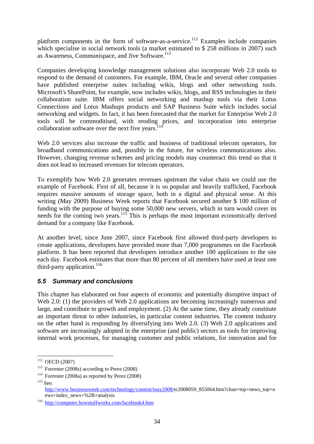platform components in the form of software-as-a-service.<sup>112</sup> Examples include companies which specialise in social network tools (a market estimated to \$258 millions in 2007) such as Awareness, Communispace, and Jive Software.<sup>113</sup>

Companies developing knowledge management solutions also incorporate Web 2.0 tools to respond to the demand of customers. For example, IBM, Oracle and several other companies have published enterprise suites including wikis, blogs and other networking tools. Microsoft's SharePoint, for example, now includes wikis, blogs, and RSS technologies in their collaboration suite. IBM offers social networking and mashup tools via their Lotus Connections and Lotus Mashups products and SAP Business Suite which includes social networking and widgets. In fact, it has been forecasted that the market for Enterprise Web 2.0 tools will be commoditised, with eroding prices, and incorporation into enterprise collaboration software over the next five years. $114$ 

Web 2.0 services also increase the traffic and business of traditional telecom operators, for broadband communications and, possibly in the future, for wireless communications also. However, changing revenue schemes and pricing models may counteract this trend so that it does not lead to increased revenues for telecom operators.

To exemplify how Web 2.0 generates revenues upstream the value chain we could use the example of Facebook. First of all, because it is so popular and heavily trafficked, Facebook requires massive amounts of storage space, both in a digital and physical sense. At this writing (May 2009) Business Week reports that Facebook secured another \$ 100 million of funding with the purpose of buying some 50,000 new servers, which in turn would cover its needs for the coming two years.<sup>115</sup> This is perhaps the most important economically derived demand for a company like Facebook.

At another level, since June 2007, since Facebook first allowed third-party developers to create applications, developers have provided more than 7,000 programmes on the Facebook platform. It has been reported that developers introduce another 100 applications to the site each day. Facebook estimates that more than 80 percent of all members have used at least one third-party application.<sup>116</sup>

### *5.5 Summary and conclusions*

This chapter has elaborated on four aspects of economic and potentially disruptive impact of Web 2.0: (1) the providers of Web 2.0 applications are becoming increasingly numerous and large, and contribute to growth and employment. (2) At the same time, they already constitute an important threat to other industries, in particular content industries. The content industry on the other hand is responding by diversifying into Web 2.0. (3) Web 2.0 applications and software are increasingly adopted in the enterprise (and public) sectors as tools for improving internal work processes, for managing customer and public relations, for innovation and for

 $112$  OECD (2007)

<sup>&</sup>lt;sup>113</sup> Forrester (2008s) according to Perez (2008)<br><sup>114</sup> Forrester (2008a) as reported by Perez (2008)<br><sup>115</sup> See:

http://www.businessweek.com/technology/content/may2008/tc2008059\_855064.htm?chan=top+news\_top+n ews+index\_news+%2B+analysis<br><sup>116</sup> http://computer.howstuffworks.com/facebook4.htm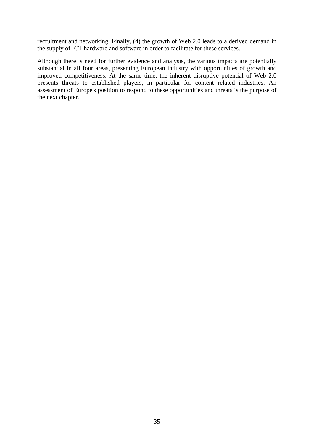recruitment and networking. Finally, (4) the growth of Web 2.0 leads to a derived demand in the supply of ICT hardware and software in order to facilitate for these services.

Although there is need for further evidence and analysis, the various impacts are potentially substantial in all four areas, presenting European industry with opportunities of growth and improved competitiveness. At the same time, the inherent disruptive potential of Web 2.0 presents threats to established players, in particular for content related industries. An assessment of Europe's position to respond to these opportunities and threats is the purpose of the next chapter.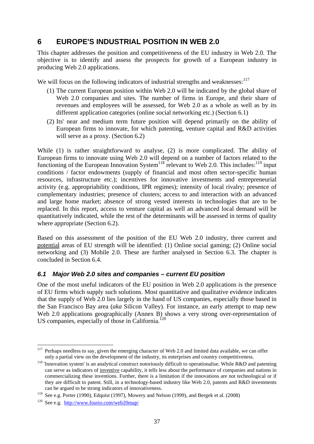# **6 EUROPE'S INDUSTRIAL POSITION IN WEB 2.0**

This chapter addresses the position and competitiveness of the EU industry in Web 2.0. The objective is to identify and assess the prospects for growth of a European industry in producing Web 2.0 applications.

We will focus on the following indicators of industrial strengths and weaknesses:  $117$ 

- (1) The current European position within Web 2.0 will be indicated by the global share of Web 2.0 companies and sites. The number of firms in Europe, and their share of revenues and employees will be assessed, for Web 2.0 as a whole as well as by its different application categories (online social networking etc.) (Section 6.1)
- (2) Its' near and medium term future position will depend primarily on the ability of European firms to innovate, for which patenting, venture capital and R&D activities will serve as a proxy. (Section 6.2)

While (1) is rather straightforward to analyse, (2) is more complicated. The ability of European firms to innovate using Web 2.0 will depend on a number of factors related to the functioning of the European Innovation System<sup>118</sup> relevant to Web 2.0. This includes:<sup>119</sup> input conditions / factor endowments (supply of financial and most often sector-specific human resources, infrastructure etc.); incentives for innovative investments and entrepreneurial activity (e.g. appropriability conditions, IPR regimes); intensity of local rivalry; presence of complementary industries; presence of clusters; access to and interaction with an advanced and large home market; absence of strong vested interests in technologies that are to be replaced. In this report, access to venture capital as well an advanced local demand will be quantitatively indicated, while the rest of the determinants will be assessed in terms of quality where appropriate (Section 6.2).

Based on this assessment of the position of the EU Web 2.0 industry, three current and potential areas of EU strength will be identified: (1) Online social gaming; (2) Online social networking and (3) Mobile 2.0. These are further analysed in Section 6.3. The chapter is concluded in Section 6.4.

### *6.1 Major Web 2.0 sites and companies – current EU position*

One of the most useful indicators of the EU position in Web 2.0 applications is the presence of EU firms which supply such solutions. Most quantitative and qualitative evidence indicates that the supply of Web 2.0 lies largely in the hand of US companies, especially those based in the San Francisco Bay area (*aka* Silicon Valley). For instance, an early attempt to map new Web 2.0 applications geographically (Annex B) shows a very strong over-representation of US companies, especially of those in California. $120$ 

1

<sup>117</sup> Perhaps needless to say, given the emerging character of Web 2.0 and limited data available, we can offer

only a partial view on the development of the industry, its enterprises and country competitiveness.<br><sup>118</sup> 'Innovation system' is an analytical construct notoriously difficult to operationalise. While R&D and patenting can serve as indicators of inventive capability, it tells less about the performance of companies and nations in commercializing these inventions. Further, there is a limitation if the innovations are not technological or if they are difficult to patent. Still, in a technology-based industry like Web 2.0, patents and R&D investments can be argued to be strong indicators of innovativeness.

<sup>&</sup>lt;sup>119</sup> See e.g. Porter (1990), Edquist (1997), Mowery and Nelson (1999), and Bergek et al. (2008) <sup>120</sup> See e.g. http://www.fourio.com/web20map/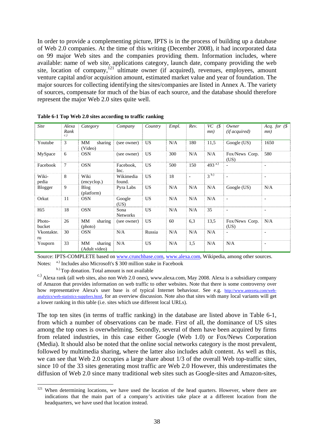In order to provide a complementing picture, IPTS is in the process of building up a database of Web 2.0 companies. At the time of this writing (December 2008), it had incorporated data on 99 major Web sites and the companies providing them. Information includes, where available: name of web site, applications category, launch date, company providing the web site, location of company,  $^{121}$  ultimate owner (if acquired), revenues, employees, amount venture capital and/or acquisition amount, estimated market value and year of foundation. The major sources for collecting identifying the sites/companies are listed in Annex A. The variety of sources, compensate for much of the bias of each source, and the database should therefore represent the major Web 2.0 sites quite well.

| <b>Site</b>      | Alexa<br>Rank<br>c.) | Category                       | Company                 | Country   | Empl. | Rev.                     | $VC$ ( $\$<br>mn) | Owner<br><i>(if acquired)</i> | Acq. for $(\$$<br>mn)    |
|------------------|----------------------|--------------------------------|-------------------------|-----------|-------|--------------------------|-------------------|-------------------------------|--------------------------|
| Youtube          | 3                    | sharing<br>MM<br>(Video)       | (see owner)             | <b>US</b> | N/A   | 180                      | 11,5              | Google (US)                   | 1650                     |
| MySpace          | 6                    | <b>OSN</b>                     | (see owner)             | <b>US</b> | 300   | N/A                      | N/A               | Fox/News Corp.<br>(US)        | 580                      |
| Facebook         | $\tau$               | <b>OSN</b>                     | Facebook,<br>Inc.       | US        | 500   | 150                      | $493^{a)}$        | $\overline{\phantom{0}}$      | $\overline{\phantom{a}}$ |
| Wiki-<br>pedia   | 8                    | Wiki<br>(encyclop.)            | Wikimedia<br>found.     | <b>US</b> | 18    | $\overline{\phantom{0}}$ | 3 <sup>b.)</sup>  | $\overline{\phantom{a}}$      | $\overline{\phantom{a}}$ |
| Blogger          | 9                    | <b>Blog</b><br>(platform)      | Pyra Labs               | <b>US</b> | N/A   | N/A                      | N/A               | Google (US)                   | N/A                      |
| Orkut            | 11                   | <b>OSN</b>                     | Google<br>(US)          | <b>US</b> | N/A   | N/A                      | N/A               | $\overline{\phantom{a}}$      | $\overline{\phantom{a}}$ |
| Hi <sub>5</sub>  | 18                   | <b>OSN</b>                     | Sona<br><b>Networks</b> | <b>US</b> | N/A   | N/A                      | 35                | $\overline{\phantom{a}}$      | $\overline{\phantom{a}}$ |
| Photo-<br>bucket | 26                   | MМ<br>sharing<br>(photo)       | (see owner)             | US        | 60    | 6,3                      | 13,5              | Fox/News Corp.<br>(US)        | N/A                      |
| Vkontakte.<br>ru | 30                   | <b>OSN</b>                     | N/A                     | Russia    | N/A   | N/A                      | N/A               | $\overline{\phantom{a}}$      | $\blacksquare$           |
| Youporn          | 33                   | MМ<br>sharing<br>(Adult video) | N/A                     | <b>US</b> | N/A   | 1,5                      | N/A               | N/A                           | $\overline{\phantom{a}}$ |

**Table 6-1 Top Web 2.0 sites according to traffic ranking** 

Source: IPTS-COMPLETE based on www.crunchbase.com, www.alexa.com, Wikipedia, among other sources. Notes: a.) Includes also Microsoft's \$ 300 million stake in Facebook

<sup>b.)</sup> Top donation. Total amount is not available

1

c.) Alexa rank (all web sites, also non Web 2.0 ones), www.alexa.com, May 2008. Alexa is a subsidiary company of Amazon that provides information on web traffic to other websites. Note that there is some controversy over how representative Alexa's user base is of typical Internet behaviour. See e.g. http://www.antezeta.com/webanalytics/web-statistics-suppliers.html, for an overview discussion. Note also that sites with many local variants will get a lower ranking in this table (i.e. sites which use different local URLs).

The top ten sites (in terms of traffic ranking) in the database are listed above in Table 6-1, from which a number of observations can be made. First of all, the dominance of US sites among the top ones is overwhelming. Secondly, several of them have been acquired by firms from related industries, in this case either Google (Web 1.0) or Fox/News Corporation (Media). It should also be noted that the online social networks category is the most prevalent, followed by multimedia sharing, where the latter also includes adult content. As well as this, we can see that Web 2.0 occupies a large share about 1/3 of the overall Web top-traffic sites, since 10 of the 33 sites generating most traffic are Web 2.0 However, this underestimates the diffusion of Web 2.0 since many traditional web sites such as Google-sites and Amazon-sites,

 $121$  When determining locations, we have used the location of the head quarters. However, where there are indications that the main part of a company's activities take place at a different location from the headquarters, we have used that location instead.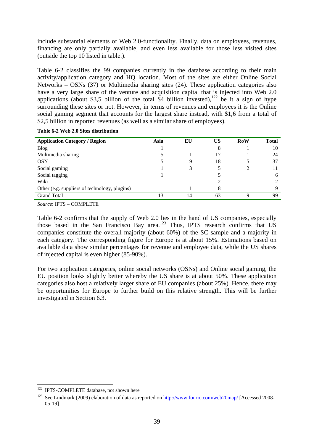include substantial elements of Web 2.0-functionality. Finally, data on employees, revenues, financing are only partially available, and even less available for those less visited sites (outside the top 10 listed in table.).

Table 6-2 classifies the 99 companies currently in the database according to their main activity/application category and HQ location. Most of the sites are either Online Social Networks – OSNs (37) or Multimedia sharing sites (24). These application categories also have a very large share of the venture and acquisition capital that is injected into Web 2.0 applications (about \$3,5 billion of the total \$4 billion invested),<sup>122</sup> be it a sign of hype surrounding these sites or not. However, in terms of revenues and employees it is the Online social gaming segment that accounts for the largest share instead, with \$1,6 from a total of \$2,5 billion in reported revenues (as well as a similar share of employees).

| <b>Application Category / Region</b>          | Asia | EU | US | <b>RoW</b> | <b>Total</b> |
|-----------------------------------------------|------|----|----|------------|--------------|
| <b>Blog</b>                                   |      |    | 8  |            | 10           |
| Multimedia sharing                            |      |    | 17 |            | 24           |
| <b>OSN</b>                                    |      | Q  | 18 |            | 37           |
| Social gaming                                 |      |    |    |            |              |
| Social tagging                                |      |    |    |            | 6            |
| Wiki                                          |      |    |    |            |              |
| Other (e.g. suppliers of technology, plugins) |      |    | 8  |            | Q            |
| <b>Grand Total</b>                            | 13   | 14 | 63 | Q          | 99           |

**Table 6-2 Web 2.0 Sites distribution** 

*Source*: IPTS – COMPLETE

Table 6-2 confirms that the supply of Web 2.0 lies in the hand of US companies, especially those based in the San Francisco Bay area.123 Thus, IPTS research confirms that US companies constitute the overall majority (about 60%) of the SC sample and a majority in each category. The corresponding figure for Europe is at about 15%. Estimations based on available data show similar percentages for revenue and employee data, while the US shares of injected capital is even higher (85-90%).

For two application categories, online social networks (OSNs) and Online social gaming, the EU position looks slightly better whereby the US share is at about 50%. These application categories also host a relatively larger share of EU companies (about 25%). Hence, there may be opportunities for Europe to further build on this relative strength. This will be further investigated in Section 6.3.

<sup>&</sup>lt;sup>122</sup> IPTS-COMPLETE database, not shown here

<sup>&</sup>lt;sup>123</sup> See Lindmark (2009) elaboration of data as reported on  $\frac{http://www.fourio.com/web20map}{http://www.fourio.com/web20map}/$  [Accessed 2008-05-19]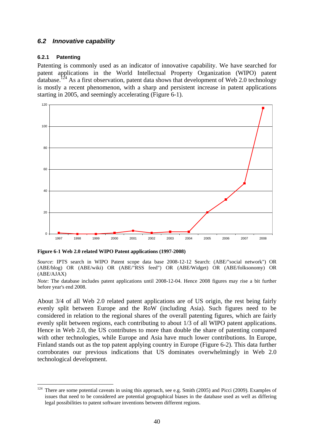### *6.2 Innovative capability*

### **6.2.1 Patenting**

Patenting is commonly used as an indicator of innovative capability. We have searched for patent applications in the World Intellectual Property Organization (WIPO) patent database.<sup>124</sup> As a first observation, patent data shows that development of Web 2.0 technology is mostly a recent phenomenon, with a sharp and persistent increase in patent applications starting in 2005, and seemingly accelerating (Figure 6-1).



**Figure 6-1 Web 2.0 related WIPO Patent applications (1997-2008)** 

*Source*: IPTS search in WIPO Patent scope data base 2008-12-12 Search: (ABE/"social network") OR (ABE/blog) OR (ABE/wiki) OR (ABE/"RSS feed") OR (ABE/Widget) OR (ABE/folksonomy) OR (ABE/AJAX)

*Note*: The database includes patent applications until 2008-12-04. Hence 2008 figures may rise a bit further before year's end 2008.

About 3/4 of all Web 2.0 related patent applications are of US origin, the rest being fairly evenly split between Europe and the RoW (including Asia). Such figures need to be considered in relation to the regional shares of the overall patenting figures, which are fairly evenly split between regions, each contributing to about 1/3 of all WIPO patent applications. Hence in Web 2.0, the US contributes to more than double the share of patenting compared with other technologies, while Europe and Asia have much lower contributions. In Europe, Finland stands out as the top patent applying country in Europe (Figure 6-2). This data further corroborates our previous indications that US dominates overwhelmingly in Web 2.0 technological development.

<sup>124</sup> There are some potential caveats in using this approach, see e.g. Smith (2005) and Picci (2009). Examples of issues that need to be considered are potential geographical biases in the database used as well as differing legal possibilities to patent software inventions between different regions.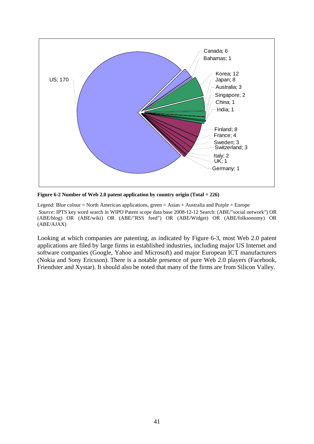

**Figure 6-2 Number of Web 2.0 patent application by country origin (Total = 226)** 

Legend: Blue colour = North American applications, green = Asian + Australia and Purple = Europe  *Source*: IPTS key word search in WIPO Patent scope data base 2008-12-12 Search: (ABE/"social network") OR (ABE/blog) OR (ABE/wiki) OR (ABE/"RSS feed") OR (ABE/Widget) OR (ABE/folksonomy) OR (ABE/AJAX)

Looking at which companies are patenting, as indicated by Figure 6-3, most Web 2.0 patent applications are filed by large firms in established industries, including major US Internet and software companies (Google, Yahoo and Microsoft) and major European ICT manufacturers (Nokia and Sony Ericsson). There is a notable presence of pure Web 2.0 players (Facebook, Friendster and Xystar). It should also be noted that many of the firms are from Silicon Valley.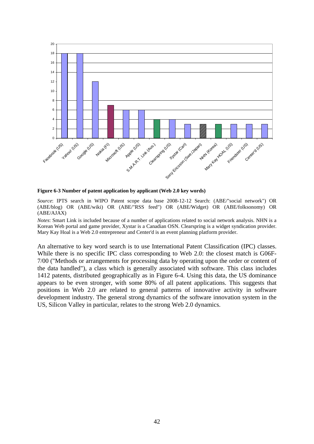

**Figure 6-3 Number of patent application by applicant (Web 2.0 key words)** 

*Source*: IPTS search in WIPO Patent scope data base 2008-12-12 Search: (ABE/"social network") OR (ABE/blog) OR (ABE/wiki) OR (ABE/"RSS feed") OR (ABE/Widget) OR (ABE/folksonomy) OR (ABE/AJAX)

*Notes*: Smart Link is included because of a number of applications related to social network analysis. NHN is a Korean Web portal and game provider, Xystar is a Canadian OSN. Clearspring is a widget syndication provider. Mary Kay Hoal is a Web 2.0 entrepreneur and Center'd is an event planning platform provider.

An alternative to key word search is to use International Patent Classification (IPC) classes. While there is no specific IPC class corresponding to Web 2.0: the closest match is G06F-7/00 ("Methods or arrangements for processing data by operating upon the order or content of the data handled"), a class which is generally associated with software. This class includes 1412 patents, distributed geographically as in Figure 6-4. Using this data, the US dominance appears to be even stronger, with some 80% of all patent applications. This suggests that positions in Web 2.0 are related to general patterns of innovative activity in software development industry. The general strong dynamics of the software innovation system in the US, Silicon Valley in particular, relates to the strong Web 2.0 dynamics.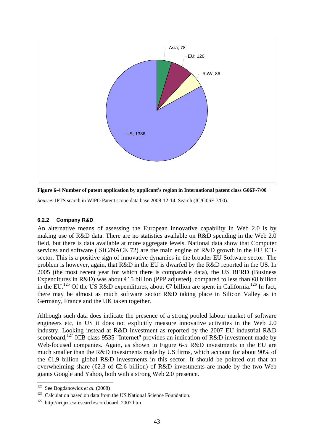



*Source*: IPTS search in WIPO Patent scope data base 2008-12-14. Search (IC/G06F-7/00).

### **6.2.2 Company R&D**

An alternative means of assessing the European innovative capability in Web 2.0 is by making use of R&D data. There are no statistics available on R&D spending in the Web 2.0 field, but there is data available at more aggregate levels. National data show that Computer services and software (ISIC/NACE 72) are the main engine of R&D growth in the EU ICTsector. This is a positive sign of innovative dynamics in the broader EU Software sector. The problem is however, again, that R&D in the EU is dwarfed by the R&D reported in the US. In 2005 (the most recent year for which there is comparable data), the US BERD (Business Expenditures in R&D) was about  $\in$  5 billion (PPP adjusted), compared to less than  $\in$  billion in the EU.<sup>125</sup> Of the US R&D expenditures, about  $\epsilon$  billion are spent in California.<sup>126</sup> In fact, there may be almost as much software sector R&D taking place in Silicon Valley as in Germany, France and the UK taken together.

Although such data does indicate the presence of a strong pooled labour market of software engineers etc, in US it does not explicitly measure innovative activities in the Web 2.0 industry. Looking instead at R&D investment as reported by the 2007 EU industrial R&D scoreboard,<sup>127</sup> ICB class 9535 "Internet" provides an indication of R&D investment made by Web-focused companies. Again, as shown in Figure 6-5 R&D investments in the EU are much smaller than the R&D investments made by US firms, which account for about 90% of the €1,9 billion global R&D investments in this sector. It should be pointed out that an overwhelming share ( $\epsilon$ 2.3 of  $\epsilon$ 2.6 billion) of R&D investments are made by the two Web giants Google and Yahoo, both with a strong Web 2.0 presence.

<sup>&</sup>lt;sup>125</sup> See Bogdanowicz et al. (2008)

<sup>&</sup>lt;sup>126</sup> Calculation based on data from the US National Science Foundation.<br><sup>127</sup> http://iri.jrc.es/research/scoreboard\_2007.htm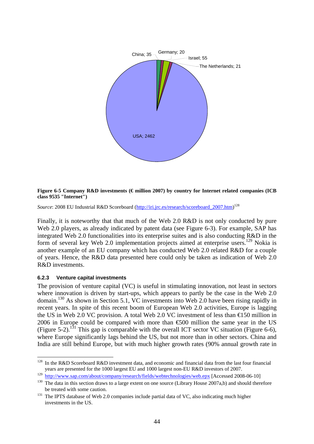

**Figure 6-5 Company R&D investments (€ million 2007) by country for Internet related companies (ICB class 9535 "Internet")** 

Source: 2008 EU Industrial R&D Scoreboard (http://iri.jrc.es/research/scoreboard\_2007.htm)<sup>128</sup>

Finally, it is noteworthy that that much of the Web 2.0 R&D is not only conducted by pure Web 2.0 players, as already indicated by patent data (see Figure 6-3). For example, SAP has integrated Web 2.0 functionalities into its enterprise suites and is also conducting R&D in the form of several key Web 2.0 implementation projects aimed at enterprise users.<sup>129</sup> Nokia is another example of an EU company which has conducted Web 2.0 related R&D for a couple of years. Hence, the R&D data presented here could only be taken as indication of Web 2.0 R&D investments.

#### **6.2.3 Venture capital investments**

1

The provision of venture capital (VC) is useful in stimulating innovation, not least in sectors where innovation is driven by start-ups, which appears to partly be the case in the Web 2.0 domain.130 As shown in Section 5.1, VC investments into Web 2.0 have been rising rapidly in recent years. In spite of this recent boom of European Web 2.0 activities, Europe is lagging the US in Web 2.0 VC provision. A total Web 2.0 VC investment of less than  $\triangle 50$  million in 2006 in Europe could be compared with more than  $\epsilon$ 500 million the same year in the US (Figure 5-2).<sup>131</sup> This gap is comparable with the overall ICT sector VC situation (Figure 6-6), where Europe significantly lags behind the US, but not more than in other sectors. China and India are still behind Europe, but with much higher growth rates (90% annual growth rate in

<sup>&</sup>lt;sup>128</sup> In the R&D Scoreboard R&D investment data, and economic and financial data from the last four financial years are presented for the 1000 largest EU and 1000 largest non-EU R&D investors of 2007.

 $\frac{129}{129}$  http://www.sap.com/about/company/research/fields/webtechnologies/web.epx [Accessed 2008-06-10]  $\frac{130}{130}$  The data in this section draws to a large extent on one source (Library House 2007a,b) and should be treated with some caution.<br><sup>131</sup> The IPTS database of Web 2.0 companies include partial data of VC, also indicating much higher

investments in the US.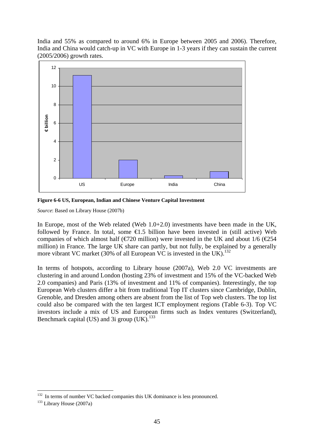India and 55% as compared to around 6% in Europe between 2005 and 2006). Therefore, India and China would catch-up in VC with Europe in 1-3 years if they can sustain the current (2005/2006) growth rates.



**Figure 6-6 US, European, Indian and Chinese Venture Capital Investment** 

*Source*: Based on Library House (2007b)

In Europe, most of the Web related (Web 1.0+2.0) investments have been made in the UK, followed by France. In total, some  $\epsilon$ 1.5 billion have been invested in (still active) Web companies of which almost half ( $\epsilon$ 720 million) were invested in the UK and about 1/6 ( $\epsilon$ 254 million) in France. The large UK share can partly, but not fully, be explained by a generally more vibrant VC market (30% of all European VC is invested in the UK).<sup>132</sup>

In terms of hotspots, according to Library house (2007a), Web 2.0 VC investments are clustering in and around London (hosting 23% of investment and 15% of the VC-backed Web 2.0 companies) and Paris (13% of investment and 11% of companies). Interestingly, the top European Web clusters differ a bit from traditional Top IT clusters since Cambridge, Dublin, Grenoble, and Dresden among others are absent from the list of Top web clusters. The top list could also be compared with the ten largest ICT employment regions (Table 6-3). Top VC investors include a mix of US and European firms such as Index ventures (Switzerland), Benchmark capital (US) and 3i group  $(UK)$ .<sup>133</sup>

<sup>&</sup>lt;u>.</u>  $132$  In terms of number VC backed companies this UK dominance is less pronounced.  $133$  Library House (2007a)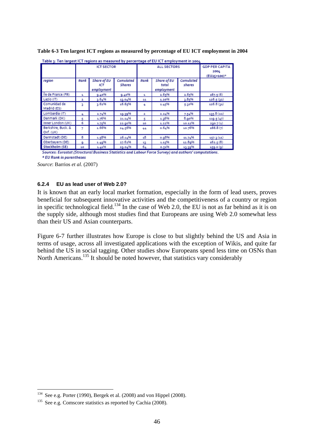|                                 |              | <b>ICT SECTOR</b>                |                     |      | <b>ALL SECTORS</b>                 |                     | <b>GDP PER CAPITA</b> |
|---------------------------------|--------------|----------------------------------|---------------------|------|------------------------------------|---------------------|-----------------------|
|                                 |              |                                  |                     |      |                                    |                     | 2004<br>(EU25=100)*   |
| region                          | Rank         | Share of EU<br>ICT<br>employment | Cumulated<br>Shares | Rank | Share of EU<br>total<br>employment | Cumulated<br>shares |                       |
| Île de France (FR)              | $\mathbf{a}$ | 9.40%                            | 9.40%               | s.   | 2.65%                              | 2.65%               | 467.5(6)              |
| Lazio (IT)                      | z            | 3.64%                            | 13.04%              | 11   | 1.20%                              | 3.85%               | 126.5(32)             |
| Comunidad de<br>Madrid (ES)     | ą.           | 3.62%                            | 16.65%              | 4    | 1.45%                              | 5.30%               | 126.8(11)             |
| Lombardia (IT)                  | 4            | 2.74%                            | 19.39%              | z.   | 2.24%                              | 7.54%               | 135.8(22)             |
| Danmark (DK)                    | 5            | 1.76%                            | 21.14%              | к    | 1.26%                              | 8.90%               | 119-5 (47)            |
| Inner London (UK)               | 6            | 1.75%                            | 22.00%              | 10   | 1.22%                              | 10.12%              | 2go.7 (1)             |
| Berkshire, Buck. &<br>Oxf. (UK) | 7            | 1.66%                            | 24.56%              | 44   | 0.64%                              | 10.76%              | 166.8(7)              |
| Darmstadt (DE)                  | 8            | 1.58%                            | 26.14%              | 18   | o.g8%                              | 11.74%              | 157.3(11)             |
| Oberbayern (DE)                 | ۰            | 1.49%                            | 27.62%              | 12   | 1.15%                              | 12.8q%              | 162.5(8)              |
| Stockholm (SE)                  | 10           | 1.41%                            | 29.04%              | 64   | 0.51%                              | 13.39%              | 159.0 (g)             |

**Table 6-3 Ten largest ICT regions as measured by percentage of EU ICT employment in 2004** 

Sources: Eurostat (Structural Business Statistics and Labour Force Survey) and authors' computations.

\* EU Rank in parentheses

*Source*: Barrios *et al*. (2007)

### **6.2.4 EU as lead user of Web 2.0?**

It is known that an early local market formation, especially in the form of lead users, proves beneficial for subsequent innovative activities and the competitiveness of a country or region in specific technological field.<sup>134</sup> In the case of Web 2.0, the EU is not as far behind as it is on the supply side, although most studies find that Europeans are using Web 2.0 somewhat less than their US and Asian counterparts.

Figure 6-7 further illustrates how Europe is close to but slightly behind the US and Asia in terms of usage, across all investigated applications with the exception of Wikis, and quite far behind the US in social tagging. Other studies show Europeans spend less time on OSNs than North Americans.135 It should be noted however, that statistics vary considerably

1

<sup>&</sup>lt;sup>134</sup> See e.g. Porter (1990), Bergek et al. (2008) and von Hippel (2008).<br><sup>135</sup> See e.g. Comscore statistics as reported by Cachia (2008).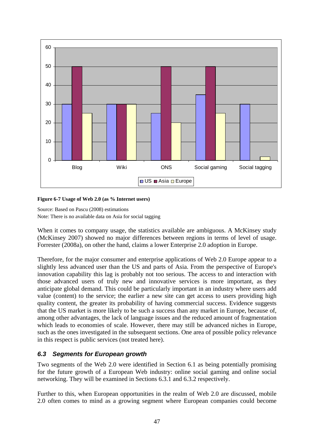

### **Figure 6-7 Usage of Web 2.0 (as % Internet users)**

Source: Based on Pascu (2008) estimations Note: There is no available data on Asia for social tagging

When it comes to company usage, the statistics available are ambiguous. A McKinsey study (McKinsey 2007) showed no major differences between regions in terms of level of usage. Forrester (2008a), on other the hand, claims a lower Enterprise 2.0 adoption in Europe.

Therefore, for the major consumer and enterprise applications of Web 2.0 Europe appear to a slightly less advanced user than the US and parts of Asia. From the perspective of Europe's innovation capability this lag is probably not too serious. The access to and interaction with those advanced users of truly new and innovative services is more important, as they anticipate global demand. This could be particularly important in an industry where users add value (content) to the service; the earlier a new site can get access to users providing high quality content, the greater its probability of having commercial success. Evidence suggests that the US market is more likely to be such a success than any market in Europe, because of, among other advantages, the lack of language issues and the reduced amount of fragmentation which leads to economies of scale. However, there may still be advanced niches in Europe, such as the ones investigated in the subsequent sections. One area of possible policy relevance in this respect is public services (not treated here).

### *6.3 Segments for European growth*

Two segments of the Web 2.0 were identified in Section 6.1 as being potentially promising for the future growth of a European Web industry: online social gaming and online social networking. They will be examined in Sections 6.3.1 and 6.3.2 respectively.

Further to this, when European opportunities in the realm of Web 2.0 are discussed, mobile 2.0 often comes to mind as a growing segment where European companies could become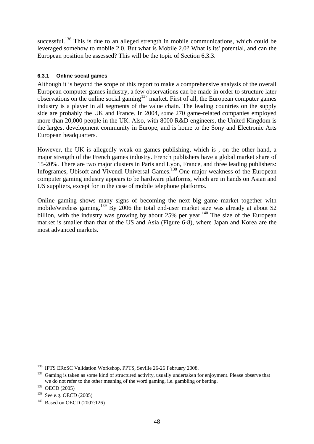successful.<sup>136</sup> This is due to an alleged strength in mobile communications, which could be leveraged somehow to mobile 2.0. But what is Mobile 2.0? What is its' potential, and can the European position be assessed? This will be the topic of Section 6.3.3.

### **6.3.1 Online social games**

Although it is beyond the scope of this report to make a comprehensive analysis of the overall European computer games industry, a few observations can be made in order to structure later observations on the online social gaming<sup>137</sup> market. First of all, the European computer games industry is a player in all segments of the value chain. The leading countries on the supply side are probably the UK and France. In 2004, some 270 game-related companies employed more than 20,000 people in the UK. Also, with 8000 R&D engineers, the United Kingdom is the largest development community in Europe, and is home to the Sony and Electronic Arts European headquarters.

However, the UK is allegedly weak on games publishing, which is , on the other hand, a major strength of the French games industry. French publishers have a global market share of 15-20%. There are two major clusters in Paris and Lyon, France, and three leading publishers: Infogrames, Ubisoft and Vivendi Universal Games.138 One major weakness of the European computer gaming industry appears to be hardware platforms, which are in hands on Asian and US suppliers, except for in the case of mobile telephone platforms.

Online gaming shows many signs of becoming the next big game market together with mobile/wireless gaming.<sup>139</sup> By 2006 the total end-user market size was already at about \$2 billion, with the industry was growing by about 25% per year.<sup>140</sup> The size of the European market is smaller than that of the US and Asia (Figure 6-8), where Japan and Korea are the most advanced markets.

<sup>&</sup>lt;sup>136</sup> IPTS ERoSC Validation Workshop, PPTS, Seville 26-26 February 2008.

<sup>&</sup>lt;sup>137</sup> Gaming is taken as some kind of structured activity, usually undertaken for enjoyment. Please observe that we do not refer to the other meaning of the word gaming, i.e. gambling or betting.<br><sup>138</sup> OECD (2005)<br><sup>139</sup> See e.g. OECD (2005)

 $140$  Based on OECD (2007:126)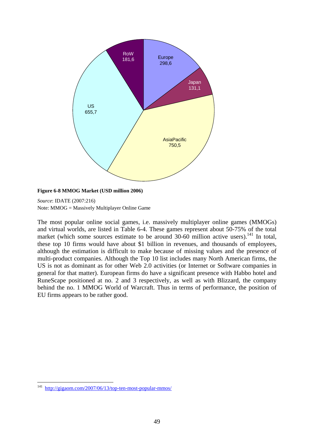

#### **Figure 6-8 MMOG Market (USD million 2006)**

*Source*: IDATE (2007:216) Note: MMOG = Massively Multiplayer Online Game

The most popular online social games, i.e. massively multiplayer online games (MMOGs) and virtual worlds, are listed in Table 6-4. These games represent about 50-75% of the total market (which some sources estimate to be around  $30-60$  million active users).<sup>141</sup> In total, these top 10 firms would have about \$1 billion in revenues, and thousands of employees, although the estimation is difficult to make because of missing values and the presence of multi-product companies. Although the Top 10 list includes many North American firms, the US is not as dominant as for other Web 2.0 activities (or Internet or Software companies in general for that matter). European firms do have a significant presence with Habbo hotel and RuneScape positioned at no. 2 and 3 respectively, as well as with Blizzard, the company behind the no. 1 MMOG World of Warcraft. Thus in terms of performance, the position of EU firms appears to be rather good.

<sup>1</sup> <sup>141</sup> http://gigaom.com/2007/06/13/top-ten-most-popular-mmos/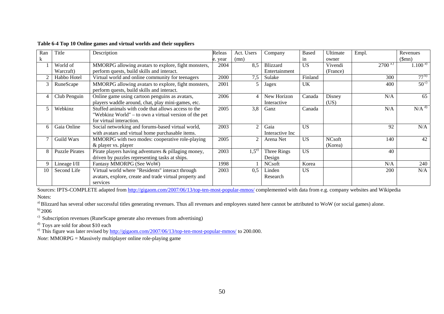| Ran | Title                 | Description                                             | Releas  | Act. Users     | Company          | <b>Based</b> | Ultimate      | Empl.      | Revenues            |
|-----|-----------------------|---------------------------------------------------------|---------|----------------|------------------|--------------|---------------|------------|---------------------|
| k   |                       |                                                         | e. year | (mn)           |                  | in           | owner         |            | (Smn)               |
|     | World of              | MMORPG allowing avatars to explore, fight monsters,     | 2004    | 8.5            | <b>Blizzard</b>  | <b>US</b>    | Vivendi       | $2700$ a.) | $1.100^{a}$         |
|     | Warcraft)             | perform quests, build skills and interact.              |         |                | Entertainment    |              | (France)      |            |                     |
|     | Habbo Hotel           | Virtual world and online community for teenagers        | 2000    | 7,5            | Sulake           | Finland      |               | 300        | $77^{b}$            |
| 3   | RuneScape             | MMORPG allowing avatars to explore, fight monsters,     | 2001    |                | Jagex            | <b>UK</b>    |               | 400        | $50^{\circ}$        |
|     |                       | perform quests, build skills and interact.              |         |                |                  |              |               |            |                     |
|     | Club Penguin          | Online game using cartoon penguins as avatars,          | 2006    | 4              | New Horizon      | Canada       | Disney        | N/A        | 65                  |
|     |                       | players waddle around, chat, play mini-games, etc.      |         |                | Interactive      |              | (US)          |            |                     |
| 5   | Webkinz               | Stuffed animals with code that allows access to the     | 2005    | 3,8            | Ganz             | Canada       |               | N/A        | $N/A$ <sup>d)</sup> |
|     |                       | "Webkinz World" – to own a virtual version of the pet   |         |                |                  |              |               |            |                     |
|     |                       | for virtual interaction.                                |         |                |                  |              |               |            |                     |
| 6   | Gaia Online           | Social networking and forums-based virtual world,       | 2003    | $\overline{2}$ | Gaia             | <b>US</b>    |               | 92         | N/A                 |
|     |                       | with avatars and virtual home purchasable items.        |         |                | Interactive Inc. |              |               |            |                     |
|     | Guild Wars            | MMORPG with two modes: cooperative role-playing         | 2005    | $\overline{2}$ | Arena Net        | <b>US</b>    | <b>NCsoft</b> | 140        | 42                  |
|     |                       | & player vs. player                                     |         |                |                  |              | (Korea)       |            |                     |
| 8   | <b>Puzzle Pirates</b> | Pirate players having adventures & pillaging money,     | 2003    | $1,5^{e}$      | Three Rings      | <b>US</b>    |               | 40         |                     |
|     |                       | driven by puzzles representing tasks at ships.          |         |                | Design           |              |               |            |                     |
| 9   | Lineage I/II          | Fantasy MMORPG (See WoW)                                | 1998    |                | <b>NCsoft</b>    | Korea        |               | N/A        | 240                 |
| 10  | Second Life           | Virtual world where "Residents" interact through        | 2003    | 0.5            | Linden           | US           |               | 200        | N/A                 |
|     |                       | avatars, explore, create and trade virtual property and |         |                | Research         |              |               |            |                     |
|     |                       | services                                                |         |                |                  |              |               |            |                     |

#### **Table 6-4 Top 10 Online games and virtual worlds and their suppliers**

Sources: IPTS-COMPLETE adapted from http://gigaom.com/2007/06/13/top-ten-most-popular-mmos/ complemented with data from e.g. company websites and Wikipedia Notes:

<sup>a)</sup> Blizzard has several other successful titles generating revenues. Thus all revenues and employees stated here cannot be attributed to WoW (or social games) alone.

 $b)$  2006

c) Subscription revenues (RuneScape generate also revenues from advertising)

<sup>d)</sup> Toys are sold for about \$10 each

<sup>e)</sup> This figure was later revised by  $\frac{http://gigaom.com/2007/06/13/top-ten-most-popular-mmos/$  to 200.000.

*Note*: MMORPG = Massively multiplayer online role-playing game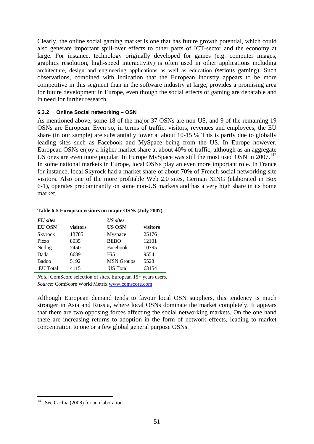Clearly, the online social gaming market is one that has future growth potential, which could also generate important spill-over effects to other parts of ICT-sector and the economy at large. For instance, technology originally developed for games (e.g. computer images, graphics resolution, high-speed interactivity) is often used in other applications including architecture, design and engineering applications as well as education (serious gaming). Such observations, combined with indication that the European industry appears to be more competitive in this segment than in the software industry at large, provides a promising area for future development in Europe, even though the social effects of gaming are debatable and in need for further research.

### **6.3.2 Online Social networking – OSN**

As mentioned above, some 18 of the major 37 OSNs are non-US, and 9 of the remaining 19 OSNs are European. Even so, in terms of traffic, visitors, revenues and employees, the EU share (in our sample) are substantially lower at about 10-15 % This is partly due to globally leading sites such as Facebook and MySpace being from the US. In Europe however, European OSNs enjoy a higher market share at about 40% of traffic, although as an aggregate US ones are even more popular. In Europe MySpace was still the most used OSN in 2007.<sup>142</sup> In some national markets in Europe, local OSNs play an even more important role. In France for instance, local Skyrock had a market share of about 70% of French social networking site visitors. Also one of the more profitable Web 2.0 sites, German XING (elaborated in Box 6-1), operates predominantly on some non-US markets and has a very high share in its home market.

### **Table 6-5 European visitors on major OSNs (July 2007)**

| EU sites        |          | <b>US</b> sites   |          |
|-----------------|----------|-------------------|----------|
| <b>EU OSN</b>   | visitors | <b>US OSN</b>     | visitors |
| Skyrock         | 13785    | Myspace           | 25176    |
| Piczo           | 8035     | <b>BEBO</b>       | 12101    |
| Netlog          | 7450     | Facebook          | 10795    |
| Dada            | 6689     | H <sub>i5</sub>   | 9554     |
| Badoo           | 5192     | <b>MSN</b> Groups | 5528     |
| <b>EU</b> Total | 41151    | <b>US</b> Total   | 63154    |

*Note*: ComScore selection of sites. European 15+ years users. *Source*: ComScore World Metrix www.comscore.com

Although European demand tends to favour local OSN suppliers, this tendency is much stronger in Asia and Russia, where local OSNs dominate the market completely. It appears that there are two opposing forces affecting the social networking markets. On the one hand there are increasing returns to adoption in the form of network effects, leading to market concentration to one or a few global general purpose OSNs.

<sup>1</sup>  $142$  See Cachia (2008) for an elaboration.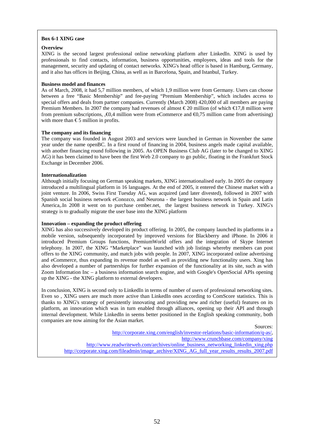#### **Box 6-1 XING case**

#### **Overview**

XING is the second largest professional online networking platform after LinkedIn. XING is used by professionals to find contacts, information, business opportunities, employees, ideas and tools for the management, security and updating of contact networks. XING's head office is based in Hamburg, Germany, and it also has offices in Beijing, China, as well as in Barcelona, Spain, and Istanbul, Turkey.

#### **Business model and finances**

As of March, 2008, it had 5,7 million members, of which 1,9 million were from Germany. Users can choose between a free "Basic Membership" and fee-paying "Premium Membership", which includes access to special offers and deals from partner companies. Currently (March 2008) 420,000 of all members are paying Premium Members. In 2007 the company had revenues of almost €20 million (of which €17.8 million were from premium subscriptions,  $, \mathcal{Q}, 4$  million were from eCommerce and  $\mathcal{Q}, 75$  million came from advertising) with more than  $€5$  million in profits.

#### **The company and its financing**

The company was founded in August 2003 and services were launched in German in November the same year under the name openBC. In a first round of financing in 2004, business angels made capital available, with another financing round following in 2005. As OPEN Business Club AG (later to be changed to XING AG) it has been claimed to have been the first Web 2.0 company to go public, floating in the Frankfurt Stock Exchange in December 2006.

#### **Internationalization**

Although initially focusing on German speaking markets, XING internationalised early. In 2005 the company introduced a multilingual platform in 16 languages. At the end of 2005, it entered the Chinese market with a joint venture. In 2006, Swiss First Tuesday AG, was acquired (and later divested), followed in 2007 with Spanish social business network eConozco, and Neurona - the largest business network in Spain and Latin America,.In 2008 it went on to purchase cember.net, the largest business network in Turkey. XING's strategy is to gradually migrate the user base into the XING platform

#### **Innovation – expanding the product offering**

XING has also successively developed its product offering. In 2005, the company launched its platforms in a mobile version, subsequently incorporated by improved versions for Blackberry and iPhone. In 2006 it introduced Premium Groups functions, PremiumWorld offers and the integration of Skype Internet telephony. In 2007, the XING "Marketplace" was launched with job listings whereby members can post offers to the XING community, and match jobs with people. In 2007, XING incorporated online advertising and eCommerce, thus expanding its revenue model as well as providing new functionality users. Xing has also developed a number of partnerships for further expansion of the functionality at its site, such as with Zoom Information Inc – a business information search engine, and with Google's OpenSocial APIs opening up the XING - the XING platform to external developers.

In conclusion, XING is second only to LinkedIn in terms of number of users of professional networking sites. Even so , XING users are much more active than LinkedIn ones according to ComScore statistics. This is thanks to XING's strategy of persistently innovating and providing new and richer (useful) features on its platform, an innovation which was in turn enabled through alliances, opening up their API and through internal development. While LinkedIn in seems better positioned in the English speaking community, both companies are now aiming for the Asian market.

Sources:

http://corporate.xing.com/english/investor-relations/basic-information/q-as/, http://www.crunchbase.com/company/xing http://www.readwriteweb.com/archives/online\_business\_networking\_linkedin\_xing.php http://corporate.xing.com/fileadmin/image\_archive/XING\_AG\_full\_year\_results\_results\_2007.pdf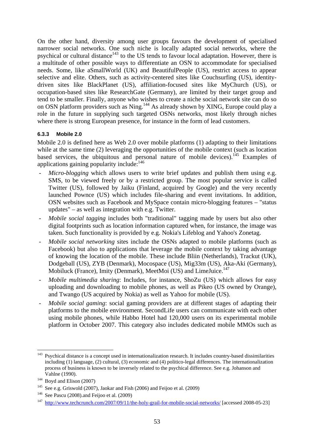On the other hand, diversity among user groups favours the development of specialised narrower social networks. One such niche is locally adapted social networks, where the psychical or cultural distance<sup>143</sup> to the US tends to favour local adaptation. However, there is a multitude of other possible ways to differentiate an OSN to accommodate for specialised needs. Some, like aSmallWorld (UK) and BeautifulPeople (US), restrict access to appear selective and elite. Others, such as activity-centered sites like Couchsurfing (US), identitydriven sites like BlackPlanet (US), affiliation-focused sites like MyChurch (US), or occupation-based sites like ResearchGate (Germany), are limited by their target group and tend to be smaller. Finally, anyone who wishes to create a niche social network site can do so on OSN platform providers such as Ning.<sup>144</sup> As already shown by XING, Europe could play a role in the future in supplying such targeted OSNs networks, most likely through niches where there is strong European presence, for instance in the form of lead customers.

### **6.3.3 Mobile 2.0**

Mobile 2.0 is defined here as Web 2.0 over mobile platforms (1) adapting to their limitations while at the same time (2) leveraging the opportunities of the mobile context (such as location based services, the ubiquitous and personal nature of mobile devices).<sup>145</sup> Examples of applications gaining popularity include:<sup>146</sup>

- *Micro-blogging* which allows users to write brief updates and publish them using e.g. SMS, to be viewed freely or by a restricted group. The most popular service is called Twitter (US), followed by Jaiku (Finland, acquired by Google) and the very recently launched Pownce (US) which includes file-sharing and event invitations. In addition, OSN websites such as Facebook and MySpace contain micro-blogging features – "status updates" – as well as integration with e.g. Twitter.
- *Mobile social tagging* includes both "traditional" tagging made by users but also other digital footprints such as location information captured when, for instance, the image was taken. Such functionality is provided by e.g. Nokia's Lifeblog and Yahoo's Zonetag.
- *Mobile social networking* sites include the OSNs adapted to mobile platforms (such as Facebook) but also to applications that leverage the mobile context by taking advantage of knowing the location of the mobile. These include Bliin (Netherlands), Trackut (UK), Dodgeball (US), ZYB (Denmark), Mocospace (US), Mig33m (US), Aka-Aki (Germany), Mobiluck (France), Imity (Denmark), MeetMoi (US) and LimeJuice.<sup>147</sup>
- *Mobile multimedia sharing*: Includes, for instance, ShoZu (US) which allows for easy uploading and downloading to mobile phones, as well as Pikeo (US owned by Orange), and Twango (US acquired by Nokia) as well as Yahoo for mobile (US).
- *Mobile social gaming*: social gaming providers are at different stages of adapting their platforms to the mobile environment. SecondLife users can communicate with each other using mobile phones, while Habbo Hotel had 120,000 users on its experimental mobile platform in October 2007. This category also includes dedicated mobile MMOs such as

<sup>143</sup> 143 Psychical distance is a concept used in internationalization research. It includes country-based dissimilarities including (1) language, (2) cultural, (3) economic and (4) politico-legal differences. The internationalization process of business is known to be inversely related to the psychical difference. See e.g. Johanson and

Vahlne (1990).<br>
<sup>144</sup> Boyd and Elison (2007)<br>
<sup>145</sup> See e.g. Griswold (2007), Jaokar and Fish (2006) and Feijoo et al. (2009)<br>
<sup>146</sup> See Pascu (2008).and Feijoo et al. (2009)<br>
<sup>147</sup> http://www.techcrunch.com/2007/09/11/the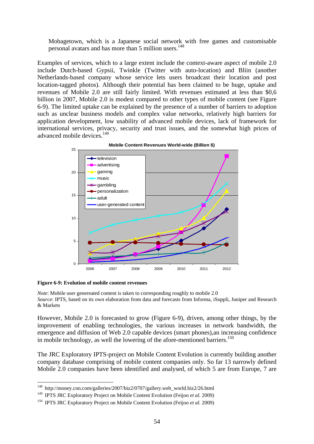Mobagetown, which is a Japanese social network with free games and customisable personal avatars and has more than 5 million users.<sup>148</sup>

Examples of services, which to a large extent include the context-aware aspect of mobile 2.0 include Dutch-based Gypsii, Twinkle (Twitter with auto-location) and Bliin (another Netherlands-based company whose service lets users broadcast their location and post location-tagged photos). Although their potential has been claimed to be huge, uptake and revenues of Mobile 2.0 are still fairly limited. With revenues estimated at less than \$0,6 billion in 2007, Mobile 2.0 is modest compared to other types of mobile content (see Figure 6-9). The limited uptake can be explained by the presence of a number of barriers to adoption such as unclear business models and complex value networks, relatively high barriers for application development, low usability of advanced mobile devices, lack of framework for international services, privacy, security and trust issues, and the somewhat high prices of advanced mobile devices.<sup>149</sup>



**Mobile Content Revenues World-wide (Billion \$)**

**Figure 6-9: Evolution of mobile content revenues** 

1

*Note*: Mobile user genereated content is taken to corresponding roughly to mobile 2.0 *Source*: IPTS, based on its own elaboration from data and forecasts from Informa, iSuppli, Juniper and Research & Markets

However, Mobile 2.0 is forecasted to grow (Figure 6-9), driven, among other things, by the improvement of enabling technologies, the various increases in network bandwidth, the emergence and diffusion of Web 2.0 capable devices (smart phones),an increasing confidence in mobile technology, as well the lowering of the afore-mentioned barriers.<sup>150</sup>

The JRC Exploratory IPTS-project on Mobile Content Evolution is currently building another company database comprising of mobile content companies only. So far 13 narrowly defined Mobile 2.0 companies have been identified and analysed, of which 5 are from Europe, 7 are

<sup>148</sup> http://money.cnn.com/galleries/2007/biz2/0707/gallery.web\_world.biz2/26.html

<sup>&</sup>lt;sup>149</sup> IPTS JRC Exploratory Project on Mobile Content Evolution (Feijoo *et al.* 2009)<br><sup>150</sup> IPTS JRC Exploratory Project on Mobile Content Evolution (Feijoo *et al.* 2009)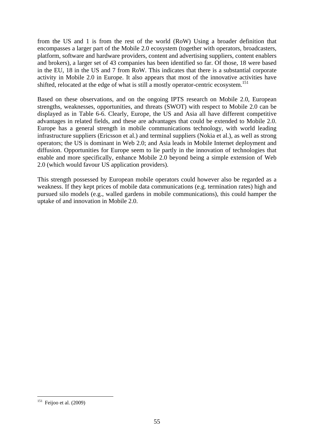from the US and 1 is from the rest of the world (RoW) Using a broader definition that encompasses a larger part of the Mobile 2.0 ecosystem (together with operators, broadcasters, platform, software and hardware providers, content and advertising suppliers, content enablers and brokers), a larger set of 43 companies has been identified so far. Of those, 18 were based in the EU, 18 in the US and 7 from RoW. This indicates that there is a substantial corporate activity in Mobile 2.0 in Europe. It also appears that most of the innovative activities have shifted, relocated at the edge of what is still a mostly operator-centric ecosystem.<sup>151</sup>

Based on these observations, and on the ongoing IPTS research on Mobile 2.0, European strengths, weaknesses, opportunities, and threats (SWOT) with respect to Mobile 2.0 can be displayed as in Table 6-6. Clearly, Europe, the US and Asia all have different competitive advantages in related fields, and these are advantages that could be extended to Mobile 2.0. Europe has a general strength in mobile communications technology, with world leading infrastructure suppliers (Ericsson et al.) and terminal suppliers (Nokia et al.), as well as strong operators; the US is dominant in Web 2.0; and Asia leads in Mobile Internet deployment and diffusion. Opportunities for Europe seem to lie partly in the innovation of technologies that enable and more specifically, enhance Mobile 2.0 beyond being a simple extension of Web 2.0 (which would favour US application providers).

This strength possessed by European mobile operators could however also be regarded as a weakness. If they kept prices of mobile data communications (e.g. termination rates) high and pursued silo models (e.g., walled gardens in mobile communications), this could hamper the uptake of and innovation in Mobile 2.0.

1

 $151$  Feijoo et al. (2009)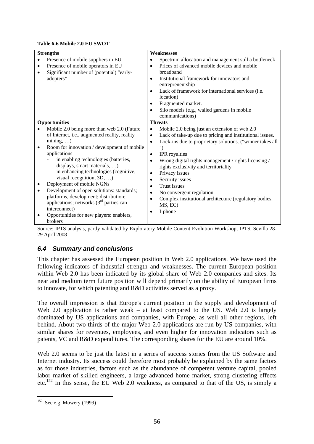| <b>Table 6-6 Mobile 2.0 EU SWOT</b> |  |
|-------------------------------------|--|
|-------------------------------------|--|

| <b>Strengths</b>                                                                                                                                                                                                                                                                                                                                                                                                                                                                                                                                                                                              | Weaknesses                                                                                                                                                                                                                                                                                                                                                                                                                                                                                                                                     |  |  |  |  |
|---------------------------------------------------------------------------------------------------------------------------------------------------------------------------------------------------------------------------------------------------------------------------------------------------------------------------------------------------------------------------------------------------------------------------------------------------------------------------------------------------------------------------------------------------------------------------------------------------------------|------------------------------------------------------------------------------------------------------------------------------------------------------------------------------------------------------------------------------------------------------------------------------------------------------------------------------------------------------------------------------------------------------------------------------------------------------------------------------------------------------------------------------------------------|--|--|--|--|
| Presence of mobile suppliers in EU<br>Presence of mobile operators in EU<br>٠<br>Significant number of (potential) "early-<br>$\bullet$<br>adopters"                                                                                                                                                                                                                                                                                                                                                                                                                                                          | Spectrum allocation and management still a bottleneck<br>Prices of advanced mobile devices and mobile<br>$\bullet$<br>broadband<br>Institutional framework for innovators and<br>entrepreneurship<br>Lack of framework for international services (i.e.<br>$\bullet$<br>location)<br>Fragmented market.<br>٠<br>Silo models (e.g., walled gardens in mobile<br>$\bullet$<br>communications)                                                                                                                                                    |  |  |  |  |
| <b>Opportunities</b>                                                                                                                                                                                                                                                                                                                                                                                                                                                                                                                                                                                          | <b>Threats</b>                                                                                                                                                                                                                                                                                                                                                                                                                                                                                                                                 |  |  |  |  |
| Mobile 2.0 being more than web 2.0 (Future<br>of Internet, i.e., augmented reality, reality<br>$mining, \ldots)$<br>Room for innovation / development of mobile<br>$\bullet$<br>applications<br>in enabling technologies (batteries,<br>displays, smart materials, )<br>in enhancing technologies (cognitive,<br>visual recognition, $3D, \ldots$ )<br>Deployment of mobile NGNs<br>٠<br>Development of open solutions: standards;<br>$\bullet$<br>platforms, development; distribution;<br>applications; networks $(3rd$ parties can<br>interconnect)<br>Opportunities for new players: enablers,<br>brokers | Mobile 2.0 being just an extension of web 2.0<br>٠<br>Lack of take-up due to pricing and institutional issues.<br>$\bullet$<br>Lock-ins due to proprietary solutions. ("winner takes all<br>$\bullet$<br>")<br>IPR royalties<br>$\bullet$<br>Wrong digital rights management / rights licensing /<br>rights exclusivity and territoriality<br>Privacy issues<br>٠<br>Security issues<br>٠<br><b>Trust issues</b><br>٠<br>No convergent regulation<br>$\bullet$<br>Complex institutional architecture (regulatory bodies,<br>MS, EC)<br>I-phone |  |  |  |  |

Source: IPTS analysis, partly validated by Exploratory Mobile Content Evolution Workshop, IPTS, Sevilla 28- 29 April 2008

### *6.4 Summary and conclusions*

This chapter has assessed the European position in Web 2.0 applications. We have used the following indicators of industrial strength and weaknesses. The current European position within Web 2.0 has been indicated by its global share of Web 2.0 companies and sites. Its near and medium term future position will depend primarily on the ability of European firms to innovate, for which patenting and R&D activities served as a proxy.

The overall impression is that Europe's current position in the supply and development of Web 2.0 application is rather weak – at least compared to the US. Web 2.0 is largely dominated by US applications and companies, with Europe, as well all other regions, left behind. About two thirds of the major Web 2.0 applications are run by US companies, with similar shares for revenues, employees, and even higher for innovation indicators such as patents, VC and R&D expenditures. The corresponding shares for the EU are around 10%.

Web 2.0 seems to be just the latest in a series of success stories from the US Software and Internet industry. Its success could therefore most probably be explained by the same factors as for those industries, factors such as the abundance of competent venture capital, pooled labor market of skilled engineers, a large advanced home market, strong clustering effects etc.152 In this sense, the EU Web 2.0 weakness, as compared to that of the US, is simply a

1

 $152$  See e.g. Mowery (1999)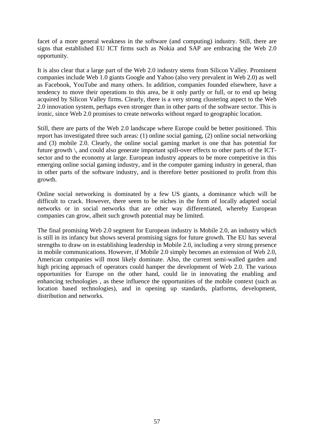facet of a more general weakness in the software (and computing) industry. Still, there are signs that established EU ICT firms such as Nokia and SAP are embracing the Web 2.0 opportunity.

It is also clear that a large part of the Web 2.0 industry stems from Silicon Valley. Prominent companies include Web 1.0 giants Google and Yahoo (also very prevalent in Web 2.0) as well as Facebook, YouTube and many others. In addition, companies founded elsewhere, have a tendency to move their operations to this area, be it only partly or full, or to end up being acquired by Silicon Valley firms. Clearly, there is a very strong clustering aspect to the Web 2.0 innovation system, perhaps even stronger than in other parts of the software sector. This is ironic, since Web 2.0 promises to create networks without regard to geographic location.

Still, there are parts of the Web 2.0 landscape where Europe could be better positioned. This report has investigated three such areas: (1) online social gaming, (2) online social networking and (3) mobile 2.0. Clearly, the online social gaming market is one that has potential for future growth \, and could also generate important spill-over effects to other parts of the ICTsector and to the economy at large. European industry appears to be more competitive in this emerging online social gaming industry, and in the computer gaming industry in general, than in other parts of the software industry, and is therefore better positioned to profit from this growth.

Online social networking is dominated by a few US giants, a dominance which will be difficult to crack. However, there seem to be niches in the form of locally adapted social networks or in social networks that are other way differentiated, whereby European companies can grow, albeit such growth potential may be limited.

The final promising Web 2.0 segment for European industry is Mobile 2.0, an industry which is still in its infancy but shows several promising signs for future growth. The EU has several strengths to draw on in establishing leadership in Mobile 2.0, including a very strong presence in mobile communications. However, if Mobile 2.0 simply becomes an extension of Web 2.0, American companies will most likely dominate. Also, the current semi-walled garden and high pricing approach of operators could hamper the development of Web 2.0. The various opportunities for Europe on the other hand, could lie in innovating the enabling and enhancing technologies , as these influence the opportunities of the mobile context (such as location based technologies), and in opening up standards, platforms, development, distribution and networks.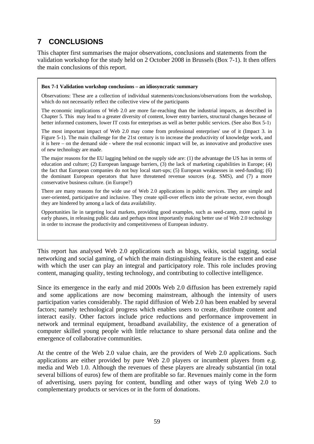# **7 CONCLUSIONS**

This chapter first summarises the major observations, conclusions and statements from the validation workshop for the study held on 2 October 2008 in Brussels (Box 7-1). It then offers the main conclusions of this report.

#### **Box 7-1 Validation workshop conclusions – an idiosyncratic summary**

Observations: These are a collection of individual statements/conclusions/observations from the workshop, which do not necessarily reflect the collective view of the participants

The economic implications of Web 2.0 are more far-reaching than the industrial impacts, as described in Chapter 5. This may lead to a greater diversity of content, lower entry barriers, structural changes because of better informed customers, lower IT costs for enterprises as well as better public services. (See also Box 5-1)

The most important impact of Web 2.0 may come from professional enterprises' use of it (Impact 3. in Figure 5-1). The main challenge for the 21st century is to increase the productivity of knowledge work, and it is here – on the demand side - where the real economic impact will be, as innovative and productive uses of new technology are made.

The major reasons for the EU lagging behind on the supply side are: (1) the advantage the US has in terms of education and culture; (2) European language barriers, (3) the lack of marketing capabilities in Europe; (4) the fact that European companies do not buy local start-ups; (5) European weaknesses in seed-funding; (6) the dominant European operators that have threatened revenue sources (e.g. SMS), and (7) a more conservative business culture. (in Europe?)

There are many reasons for the wide use of Web 2.0 applications in public services. They are simple and user-oriented, participative and inclusive. They create spill-over effects into the private sector, even though they are hindered by among a lack of data availability.

Opportunities lie in targeting local markets, providing good examples, such as seed-camp, more capital in early phases, in releasing public data and perhaps most importantly making better use of Web 2.0 technology in order to increase the productivity and competitiveness of European industry.

This report has analysed Web 2.0 applications such as blogs, wikis, social tagging, social networking and social gaming, of which the main distinguishing feature is the extent and ease with which the user can play an integral and participatory role. This role includes proving content, managing quality, testing technology, and contributing to collective intelligence.

Since its emergence in the early and mid 2000s Web 2.0 diffusion has been extremely rapid and some applications are now becoming mainstream, although the intensity of users participation varies considerably. The rapid diffusion of Web 2.0 has been enabled by several factors; namely technological progress which enables users to create, distribute content and interact easily. Other factors include price reductions and performance improvement in network and terminal equipment, broadband availability, the existence of a generation of computer skilled young people with little reluctance to share personal data online and the emergence of collaborative communities.

At the centre of the Web 2.0 value chain, are the providers of Web 2.0 applications. Such applications are either provided by pure Web 2.0 players or incumbent players from e.g. media and Web 1.0. Although the revenues of these players are already substantial (in total several billions of euros) few of them are profitable so far. Revenues mainly come in the form of advertising, users paying for content, bundling and other ways of tying Web 2.0 to complementary products or services or in the form of donations.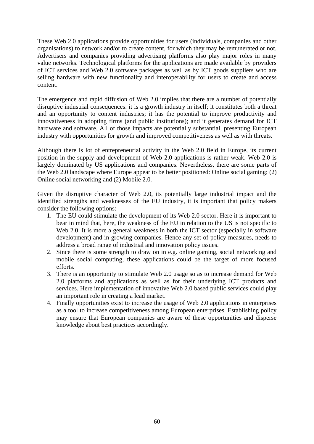These Web 2.0 applications provide opportunities for users (individuals, companies and other organisations) to network and/or to create content, for which they may be remunerated or not. Advertisers and companies providing advertising platforms also play major roles in many value networks. Technological platforms for the applications are made available by providers of ICT services and Web 2.0 software packages as well as by ICT goods suppliers who are selling hardware with new functionality and interoperability for users to create and access content.

The emergence and rapid diffusion of Web 2.0 implies that there are a number of potentially disruptive industrial consequences: it is a growth industry in itself; it constitutes both a threat and an opportunity to content industries; it has the potential to improve productivity and innovativeness in adopting firms (and public institutions); and it generates demand for ICT hardware and software. All of those impacts are potentially substantial, presenting European industry with opportunities for growth and improved competitiveness as well as with threats.

Although there is lot of entrepreneurial activity in the Web 2.0 field in Europe, its current position in the supply and development of Web 2.0 applications is rather weak. Web 2.0 is largely dominated by US applications and companies. Nevertheless, there are some parts of the Web 2.0 landscape where Europe appear to be better positioned: Online social gaming; (2) Online social networking and (2) Mobile 2.0.

Given the disruptive character of Web 2.0, its potentially large industrial impact and the identified strengths and weaknesses of the EU industry, it is important that policy makers consider the following options:

- 1. The EU could stimulate the development of its Web 2.0 sector. Here it is important to bear in mind that, here, the weakness of the EU in relation to the US is not specific to Web 2.0. It is more a general weakness in both the ICT sector (especially in software development) and in growing companies. Hence any set of policy measures, needs to address a broad range of industrial and innovation policy issues.
- 2. Since there is some strength to draw on in e.g. online gaming, social networking and mobile social computing, these applications could be the target of more focused efforts.
- 3. There is an opportunity to stimulate Web 2.0 usage so as to increase demand for Web 2.0 platforms and applications as well as for their underlying ICT products and services. Here implementation of innovative Web 2.0 based public services could play an important role in creating a lead market.
- 4. Finally opportunities exist to increase the usage of Web 2.0 applications in enterprises as a tool to increase competitiveness among European enterprises. Establishing policy may ensure that European companies are aware of these opportunities and disperse knowledge about best practices accordingly.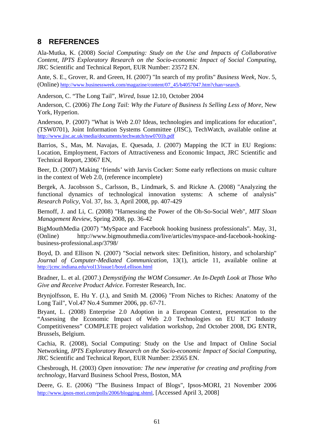# **8 REFERENCES**

Ala-Mutka, K. (2008) *Social Computing: Study on the Use and Impacts of Collaborative Content, IPTS Exploratory Research on the Socio-economic Impact of Social Computing*, JRC Scientific and Technical Report, EUR Number: 23572 EN.

Ante, S. E., Grover, R. and Green, H. (2007) "In search of my profits" *Business Week*, Nov. 5, (Online) http://www.businessweek.com/magazine/content/07\_45/b4057047.htm?chan=search.

Anderson, C. "The Long Tail", *Wired*, Issue 12.10, October 2004

Anderson, C. (2006) *The Long Tail: Why the Future of Business Is Selling Less of More*, New York, Hyperion.

Anderson, P. (2007) "What is Web 2.0? Ideas, technologies and implications for education", (TSW0701), Joint Information Systems Committee (JISC), TechWatch, available online at http://www.jisc.ac.uk/media/documents/techwatch/tsw0701b.pdf

Barrios, S., Mas, M. Navajas, E. Quesada, J. (2007) Mapping the ICT in EU Regions: Location, Employment, Factors of Attractiveness and Economic Impact, JRC Scientific and Technical Report, 23067 EN,

Beer, D. (2007) Making 'friends' with Jarvis Cocker: Some early reflections on music culture in the context of Web 2.0, (reference incomplete)

Bergek, A. Jacobsson S., Carlsson, B., Lindmark, S. and Rickne A. (2008) "Analyzing the functional dynamics of technological innovation systems: A scheme of analysis" *Research Policy*, Vol. 37, Iss. 3, April 2008, pp. 407-429

Bernoff, J. and Li, C. (2008) "Harnessing the Power of the Oh-So-Social Web", *MIT Sloan Management Review*, Spring 2008, pp. 36-42

BigMouthMedia (2007) "MySpace and Facebook hooking business professionals"*.* May, 31, (Online) http://www.bigmouthmedia.com/live/articles/myspace-and-facebook-hookingbusiness-professional.asp/3798/

Boyd, D. and Ellison N. (2007) "Social network sites: Definition, history, and scholarship" *Journal of Computer-Mediated Communication*, 13(1), article 11, available online at http://jcmc.indiana.edu/vol13/issue1/boyd.ellison.html

Bradner, L. et al. (2007.) *Demystifying the WOM Consumer. An In-Depth Look at Those Who Give and Receive Product Advice.* Forrester Research, Inc.

Brynjolfsson, E. Hu Y. (J.), and Smith M. (2006) "From Niches to Riches: Anatomy of the Long Tail", Vol.47 No.4 Summer 2006, pp. 67-71.

Bryant, L. (2008) Enterprise 2.0 Adoption in a European Context, presentation to the "Assessing the Economic Impact of Web 2.0 Technologies on EU ICT Industry Competitiveness" COMPLETE project validation workshop, 2nd October 2008, DG ENTR, Brussels, Belgium.

Cachia, R. (2008), Social Computing: Study on the Use and Impact of Online Social Networking, *IPTS Exploratory Research on the Socio-economic Impact of Social Computing*, JRC Scientific and Technical Report, EUR Number: 23565 EN.

Chesbrough, H. (2003) *Open innovation: The new imperative for creating and profiting from technology*, Harvard Business School Press, Boston, MA

Deere, G. E. (2006) "The Business Impact of Blogs", Ipsos-MORI, 21 November 2006 http://www.ipsos-mori.com/polls/2006/blogging.shtml, [Accessed April 3, 2008]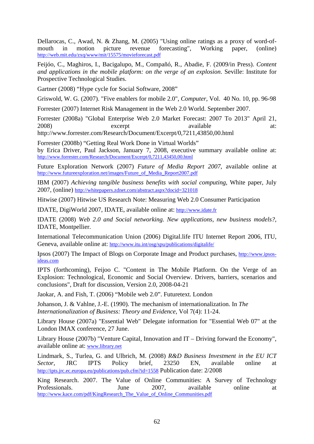Dellarocas, C., Awad, N. & Zhang, M. (2005) "Using online ratings as a proxy of word-ofmouth in motion picture revenue forecasting", Working paper, (online) http://web.mit.edu/zxq/www/mit/15575/movieforecast.pdf

Feijóo, C., Maghiros, I., Bacigalupo, M., Compañó, R., Abadie, F. (2009/in Press). *Content and applications in the mobile platform: on the verge of an explosion*. Seville: Institute for Prospective Technological Studies.

Gartner (2008) "Hype cycle for Social Software, 2008"

Griswold, W. G. (2007). "Five enablers for mobile 2.0", *Computer*, Vol. 40 No. 10, pp. 96-98

Forrester (2007) Internet Risk Management in the Web 2.0 World. September 2007.

Forrester (2008a) "Global Enterprise Web 2.0 Market Forecast: 2007 To 2013" April 21, 2008) excerpt available at:

http://www.forrester.com/Research/Document/Excerpt/0,7211,43850,00.html

Forrester (2008b) "Getting Real Work Done in Virtual Worlds"

by Erica Driver, Paul Jackson, January 7, 2008, executive summary available online at: http://www.forrester.com/Research/Document/Excerpt/0,7211,43450,00.html

Future Exploration Network (2007) *Future of Media Report 2007*, available online at http://www.futureexploration.net/images/Future\_of\_Media\_Report2007.pdf

IBM (2007) *Achieving tangible business benefits with social computing*, White paper, July 2007, (online) http://whitepapers.zdnet.com/abstract.aspx?docid=321018

Hitwise (2007) Hitwise US Research Note: Measuring Web 2.0 Consumer Participation

IDATE, DigiWorld 2007, IDATE, available online at: http://www.idate.fr

IDATE (2008) *Web 2.0 and Social networking. New applications, new business models?*, IDATE, Montpellier.

International Telecommunication Union (2006) Digital.life ITU Internet Report 2006, ITU, Geneva, available online at: http://www.itu.int/osg/spu/publications/digitalife/

Ipsos (2007) The Impact of Blogs on Corporate Image and Product purchases, http://www.ipsosideas.com

IPTS (forthcoming), Feijoo C. "Content in The Mobile Platform. On the Verge of an Explosion: Technological, Economic and Social Overview. Drivers, barriers, scenarios and conclusions", Draft for discussion, Version 2.0, 2008-04-21

Jaokar, A. and Fish, T. (2006) "Mobile web 2.0". Futuretext. London

Johanson, J. & Vahlne, J.-E. (1990). The mechanism of internationalization. In *The Internationalization of Business: Theory and Evidence*, Vol 7(4): 11-24.

Library House (2007a) "Essential Web" Delegate information for "Essential Web 07" at the London IMAX conference, 27 June.

Library House (2007b) "Venture Capital, Innovation and IT – Driving forward the Economy", available online at: www.library.net

Lindmark, S., Turlea, G. and Ulbrich, M. (2008) *R&D Business Investment in the EU ICT Sector*, JRC IPTS Policy brief, 23250 EN, available online at http://ipts.jrc.ec.europa.eu/publications/pub.cfm?id=1558 Publication date: 2/2008

King Research. 2007. The Value of Online Communities: A Survey of Technology Professionals. June 2007, available online at http://www.kace.com/pdf/KingResearch\_The\_Value\_of\_Online\_Communities.pdf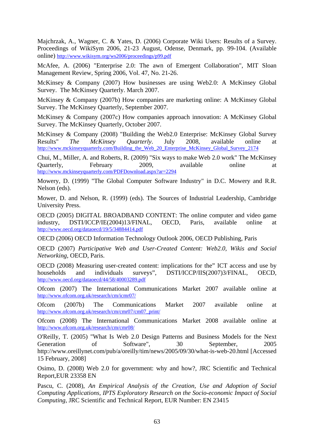Majchrzak, A., Wagner, C. & Yates, D. (2006) Corporate Wiki Users: Results of a Survey. Proceedings of WikiSym 2006, 21-23 August, Odense, Denmark, pp. 99-104. (Available online) http://www.wikisym.org/ws2006/proceedings/p99.pdf

McAfee, A. (2006) "Enterprise 2.0: The awn of Emergent Collaboration", MIT Sloan Management Review, Spring 2006, Vol. 47, No. 21-26.

McKinsey & Company (2007) How businesses are using Web2.0: A McKinsey Global Survey. The McKinsey Quarterly. March 2007.

McKinsey & Company (2007b) How companies are marketing online: A McKinsey Global Survey. The McKinsey Quarterly, September 2007.

McKinsey & Company (2007c) How companies approach innovation: A McKinsey Global Survey. The McKinsey Quarterly, October 2007.

McKinsey & Company (2008) "Building the Web2.0 Enterprise: McKinsey Global Survey Results" *The McKinsey Quarterly*. July 2008, available online at http://www.mckinseyquarterly.com/Building\_the\_Web\_20\_Enterprise\_McKinsey\_Global\_Survey\_2174

Chui, M., Miller, A. and Roberts, R. (2009) "Six ways to make Web 2.0 work" The McKinsey Quarterly, February 2009, available online at http://www.mckinseyquarterly.com/PDFDownload.aspx?ar=

Mowery, D. (1999) "The Global Computer Software Industry" in D.C. Mowery and R.R. Nelson (eds).

Mower, D. and Nelson, R. (1999) (eds). The Sources of Industrial Leadership, Cambridge University Press.

OECD (2005) DIGITAL BROADBAND CONTENT: The online computer and video game industry, DSTI/ICCP/IE(2004)13/FINAL, OECD, Paris, available online at http://www.oecd.org/dataoecd/19/5/34884414.pdf

OECD (2006) OECD Information Technology Outlook 2006, OECD Publishing, Paris

OECD (2007) *Participative Web and User-Created Content: Web2.0, Wikis and Social Networking*, OECD, Paris.

OECD (2008) Measuring user-created content: implications for the" ICT access and use by households and individuals surveys", DSTI/ICCP/IIS(2007)3/FINAL, OECD, http://www.oecd.org/dataoecd/44/58/40003289.pdf

Ofcom (2007) The International Communications Market 2007 available online at http://www.ofcom.org.uk/research/cm/icmr07/

Ofcom (2007b) The Communications Market 2007 available online at http://www.ofcom.org.uk/research/cm/cmr07/cm07\_print/

Ofcom (2008) The International Communications Market 2008 available online at http://www.ofcom.org.uk/research/cm/cmr08/

O'Reilly, T. (2005) "What Is Web 2.0 Design Patterns and Business Models for the Next Generation of Software", 30 September, 2005 http://www.oreillynet.com/pub/a/oreilly/tim/news/2005/09/30/what-is-web-20.html [Accessed 15 February, 2008]

Osimo, D. (2008) Web 2.0 for government: why and how?, JRC Scientific and Technical Report,EUR 23358 EN

Pascu, C. (2008), *An Empirical Analysis of the Creation, Use and Adoption of Social Computing Applications, IPTS Exploratory Research on the Socio-economic Impact of Social Computing*, JRC Scientific and Technical Report, EUR Number: EN 23415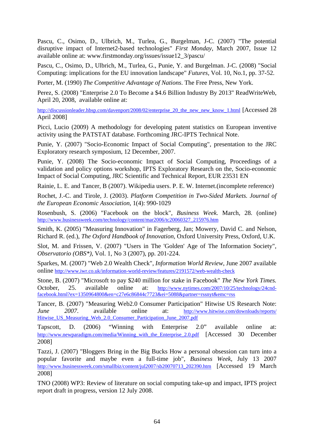Pascu, C., Osimo, D., Ulbrich, M., Turlea, G., Burgelman, J-C. (2007) "The potential disruptive impact of Internet2-based technologies" *First Monday*, March 2007, Issue 12 available online at: www.firstmonday.org/issues/issue12\_3/pascu/

Pascu, C., Osimo, D., Ulbrich, M., Turlea, G., Punie, Y. and Burgelman. J-C. (2008) "Social Computing: implications for the EU innovation landscape" *Futures*, Vol. 10, No.1, pp. 37-52.

Porter, M. (1990) *The Competitive Advantage of Nations*. The Free Press, New York.

Perez, S. (2008) "Enterprise 2.0 To Become a \$4.6 Billion Industry By 2013" ReadWriteWeb, April 20, 2008, available online at:

http://discussionleader.hbsp.com/davenport/2008/02/enterprise\_20\_the\_new\_new\_know\_1.html [Accessed 28 April 2008]

Picci, Lucio (2009) A methodology for developing patent statistics on European inventive activity using the PATSTAT database. Forthcoming JRC-IPTS Technical Note.

Punie, Y. (2007) "Socio-Economic Impact of Social Computing", presentation to the JRC Exploratory research symposium, 12 December, 2007.

Punie, Y. (2008) The Socio-economic Impact of Social Computing, Proceedings of a validation and policy options workshop, IPTS Exploratory Research on the, Socio-economic Impact of Social Computing, JRC Scientific and Technical Report, EUR 23531 EN

Rainie, L. E. and Tancer, B (2007). Wikipedia users. P. E. W. Internet.(incomplete reference)

Rochet, J.-C. and Tirole, J. (2003). *Platform Competition in Two-Sided Markets. Journal of the European Economic Association*, 1(4): 990-1029

Rosenbush, S. (2006) "Facebook on the block", *Business Week.* March, 28. (online) http://www.businessweek.com/technology/content/mar2006/tc20060327\_215976.htm

Smith, K. (2005) "Measuring Innovation" in Fagerberg, Jan; Mowery, David C. and Nelson, Richard R. (ed.), *The Oxford Handbook of Innovation*, Oxford University Press, Oxford, U.K.

Slot, M. and Frissen, V. (2007) "Users in The 'Golden' Age of The Information Society", *Observatorio (OBS\*)*, Vol. 1, No 3 (2007), pp. 201-224.

Sparkes, M. (2007) "Web 2.0 Wealth Check", *Information World Review*, June 2007 available online http://www.iwr.co.uk/information-world-review/features/2191572/web-wealth-check

Stone, B. (2007) "Microsoft to pay \$240 million for stake in Facebook" *The New York Times.*  October, 25. available online at: http://www.nytimes.com/2007/10/25/technology/24cndfacebook.html?ex=1350964800&en=c27e6c86844c7723&ei=5088&partner=rssnyt&emc=rss

Tancer, B. (2007) "Measuring Web2.0 Consumer Participation" Hitwise US Research Note: *June* 2007. available online at: http://www.hitwise.com/downloads/reports/ Hitwise\_US\_Measuring\_Web\_2.0\_Consumer\_Participation\_June\_2007.pdf

Tapscott, D. (2006) "Winning with Enterprise 2.0" available online at: http://www.newparadigm.com/media/Winning\_with\_the\_Enterprise\_2.0.pdf [Accessed 30 December 2008]

Tazzi, J. (2007) "Bloggers Bring in the Big Bucks How a personal obsession can turn into a popular favorite and maybe even a full-time job", *Business Week*, July 13 2007 http://www.businessweek.com/smallbiz/content/jul2007/sb20070713\_202390.htm [Accessed 19 March 2008]

TNO (2008) WP3: Review of literature on social computing take-up and impact, IPTS project report draft in progress, version 12 July 2008.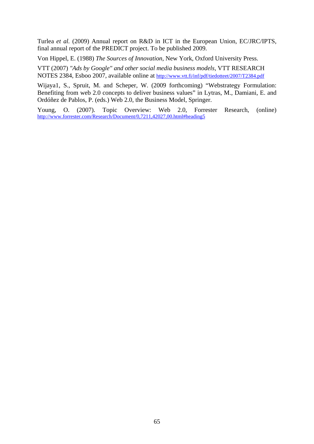Turlea *et al.* (2009) Annual report on R&D in ICT in the European Union, EC/JRC/IPTS, final annual report of the PREDICT project. To be published 2009.

Von Hippel, E. (1988) *The Sources of Innovation*, New York, Oxford University Press.

VTT (2007) *"Ads by Google" and other social media business models,* VTT RESEARCH NOTES 2384, Esboo 2007, available online at http://www.vtt.fi/inf/pdf/tiedotteet/2007/T2384.pdf

Wijaya1, S., Spruit, M. and Scheper, W. (2009 forthcoming) "Webstrategy Formulation: Benefiting from web 2.0 concepts to deliver business values" in Lytras, M., Damiani, E. and Ordóñez de Pablos, P. (eds.) Web 2.0, the Business Model, Springer.

Young, O. (2007). Topic Overview: Web 2.0, Forrester Research, (online) http://www.forrester.com/Research/Document/0,7211,42027,00.html#heading5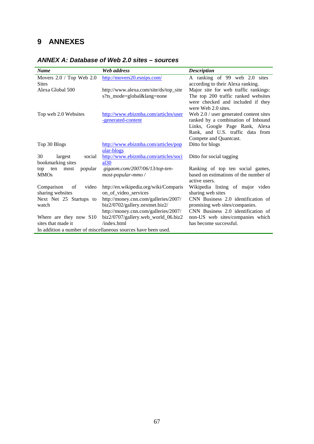# **9 ANNEXES**

| <b>Name</b>                                                   | Web address                                                             | <b>Description</b>                                                   |  |
|---------------------------------------------------------------|-------------------------------------------------------------------------|----------------------------------------------------------------------|--|
| Movers 2.0 / Top Web 2.0                                      | http://movers20.esnips.com/                                             | A ranking of 99 web 2.0 sites                                        |  |
| <b>Sites</b>                                                  |                                                                         | according to their Alexa ranking.                                    |  |
| Alexa Global 500                                              | http://www.alexa.com/site/ds/top_site                                   | Major site for web traffic rankings:                                 |  |
|                                                               | s?ts_mode=global⟨=none                                                  | The top 200 traffic ranked websites                                  |  |
|                                                               |                                                                         | were checked and included if they                                    |  |
|                                                               |                                                                         | were Web 2.0 sites.                                                  |  |
| Top web 2.0 Websites                                          | http://www.ebizmba.com/articles/user                                    | Web $2.0 /$ user generated content sites                             |  |
|                                                               | -generated-content                                                      | ranked by a combination of Inbound                                   |  |
|                                                               |                                                                         | Links, Google Page Rank, Alexa                                       |  |
|                                                               |                                                                         | Rank, and U.S. traffic data from                                     |  |
|                                                               |                                                                         | Compete and Quantcast.                                               |  |
| Top 30 Blogs                                                  | http://www.ebizmba.com/articles/pop                                     | Ditto for blogs                                                      |  |
|                                                               | ular-blogs                                                              |                                                                      |  |
| 30<br>largest<br>social                                       | http://www.ebizmba.com/articles/soci                                    | Ditto for social tagging                                             |  |
| bookmarking sites                                             | al30                                                                    |                                                                      |  |
| popular<br>ten<br>most<br>top                                 | gigaom.com/2007/06/13/top-ten-                                          | Ranking of top ten social games,                                     |  |
| <b>MMOs</b>                                                   | most-popular-mmo /                                                      | based on estimations of the number of                                |  |
|                                                               |                                                                         | active users.                                                        |  |
| Comparison<br>video<br><sub>of</sub>                          | http://en.wikipedia.org/wiki/Comparis                                   | Wikipedia listing of major video                                     |  |
| sharing websites                                              | on_of_video_services                                                    | sharing web sites                                                    |  |
| Next Net 25 Startups to<br>watch                              | http://money.cnn.com/galleries/2007/                                    | CNN Business 2.0 identification of                                   |  |
|                                                               | biz2/0702/gallery.nextnet.biz2/<br>http://money.cnn.com/galleries/2007/ | promising web sites/companies.<br>CNN Business 2.0 identification of |  |
|                                                               |                                                                         |                                                                      |  |
| Where are they now S10<br>sites that made it                  | biz2/0707/gallery.web_world_06.biz2<br>/index.html                      | non-US web sites/companies which<br>has become successful.           |  |
| In addition a number of miscellaneous sources have been used. |                                                                         |                                                                      |  |
|                                                               |                                                                         |                                                                      |  |

## *ANNEX A: Database of Web 2.0 sites – sources*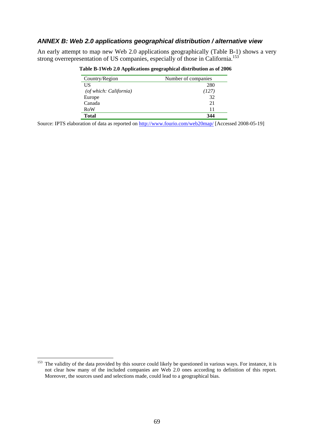### *ANNEX B: Web 2.0 applications geographical distribution / alternative view*

An early attempt to map new Web 2.0 applications geographically (Table B-1) shows a very strong overrepresentation of US companies, especially of those in California.<sup>153</sup>

| Country/Region         | Number of companies |
|------------------------|---------------------|
| US                     | 280                 |
| (of which: California) | (127)               |
| Europe                 | 32                  |
| Canada                 | 21                  |
| RoW                    | 11                  |
| <b>Total</b>           | 344                 |

 **Table B-1Web 2.0 Applications geographical distribution as of 2006** 

Source: IPTS elaboration of data as reported on http://www.fourio.com/web20map/ [Accessed 2008-05-19]

<u>.</u>

<sup>&</sup>lt;sup>153</sup> The validity of the data provided by this source could likely be questioned in various ways. For instance, it is not clear how many of the included companies are Web 2.0 ones according to definition of this report. Moreover, the sources used and selections made, could lead to a geographical bias.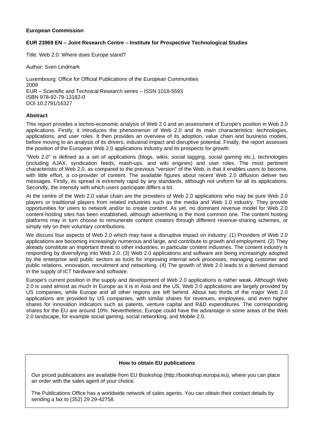#### **European Commission**

#### **EUR 23969 EN – Joint Research Centre – Institute for Prospective Technological Studies**

Title: Web 2.0: Where does Europe stand?

Author: Sven Lindmark

Luxembourg: Office for Official Publications of the European Communities 2009 EUR – Scientific and Technical Research series – ISSN 1018-5593 ISBN 978-92-79-13182-0 DOI 10.2791/16327

#### **Abstract**

This report provides a techno-economic analysis of Web 2.0 and an assessment of Europe's position in Web 2.0 applications. Firstly, it introduces the phenomenon of Web 2.0 and its main characteristics: technologies, applications, and user roles. It then provides an overview of its adoption, value chain and business models, before moving to an analysis of its drivers, industrial impact and disruptive potential. Finally, the report assesses the position of the European Web 2.0 applications industry and its prospects for growth.

"Web 2.0" is defined as a set of applications (blogs, wikis, social tagging, social gaming etc.), technologies (including AJAX, syndication feeds, mash-ups, and wiki engines) and user roles. The most pertinent characteristic of Web 2.0, as compared to the previous "version" of the Web, is that it enables users to become, with little effort, a co-provider of content. The available figures about recent Web 2.0 diffusion deliver two messages. Firstly, its spread is extremely rapid by any standards, although not uniform for all its applications. Secondly, the intensity with which users participate differs a lot.

At the centre of the Web 2.0 value chain are the providers of Web 2.0 applications who may be pure Web 2.0 players or traditional players from related industries such as the media and Web 1.0 industry. They provide opportunities for users to network and/or to create content. As yet, no dominant revenue model for Web 2.0 content-hosting sites has been established, although advertising is the most common one. The content hosting platforms may in turn choose to remunerate content creators through different revenue-sharing schemes, or simply rely on their voluntary contributions.

We discuss four aspects of Web 2.0 which may have a disruptive impact on industry: (1) Providers of Web 2.0 applications are becoming increasingly numerous and large, and contribute to growth and employment. (2) They already constitute an important threat to other industries, in particular content industries. The content industry is responding by diversifying into Web 2.0. (3) Web 2.0 applications and software are being increasingly adopted by the enterprise and public sectors as tools for improving internal work processes, managing customer and public relations, innovation, recruitment and networking. (4) The growth of Web 2.0 leads to a derived demand in the supply of ICT hardware and software.

Europe's current position in the supply and development of Web 2.0 applications is rather weak. Although Web 2.0 is used almost as much in Europe as it is in Asia and the US, Web 2.0 applications are largely provided by US companies, while Europe and all other regions are left behind. About two thirds of the major Web 2.0 applications are provided by US companies, with similar shares for revenues, employees, and even higher shares for innovation indicators such as patents, venture capital and R&D expenditures. The corresponding shares for the EU are around 10%. Nevertheless, Europe could have the advantage in some areas of the Web 2.0 landscape, for example social gaming, social networking, and Mobile 2.0.

#### **How to obtain EU publications**

Our priced publications are available from EU Bookshop (http://bookshop.europa.eu), where you can place an order with the sales agent of your choice.

The Publications Office has a worldwide network of sales agents. You can obtain their contact details by sending a fax to (352) 29 29-42758.